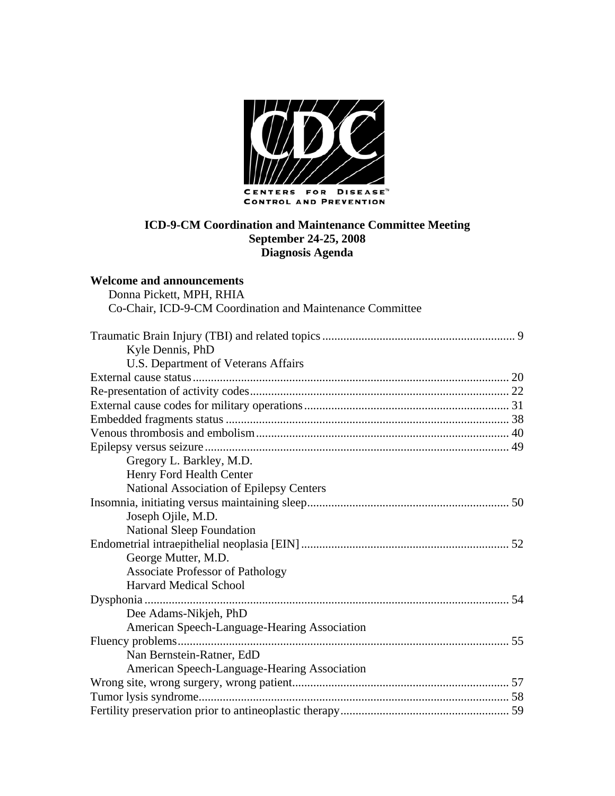

**Welcome and announcements** 

| Donna Pickett, MPH, RHIA                                  |
|-----------------------------------------------------------|
| Co-Chair, ICD-9-CM Coordination and Maintenance Committee |
|                                                           |
|                                                           |
| Kyle Dennis, PhD                                          |
| U.S. Department of Veterans Affairs                       |
|                                                           |
|                                                           |
|                                                           |
|                                                           |
|                                                           |
|                                                           |
| Gregory L. Barkley, M.D.                                  |
| Henry Ford Health Center                                  |
| <b>National Association of Epilepsy Centers</b>           |
|                                                           |
| Joseph Ojile, M.D.                                        |
| <b>National Sleep Foundation</b>                          |
|                                                           |
| George Mutter, M.D.                                       |
| <b>Associate Professor of Pathology</b>                   |
| <b>Harvard Medical School</b>                             |
|                                                           |
| Dee Adams-Nikjeh, PhD                                     |
| American Speech-Language-Hearing Association              |
|                                                           |
| Nan Bernstein-Ratner, EdD                                 |
| American Speech-Language-Hearing Association              |
|                                                           |
|                                                           |
|                                                           |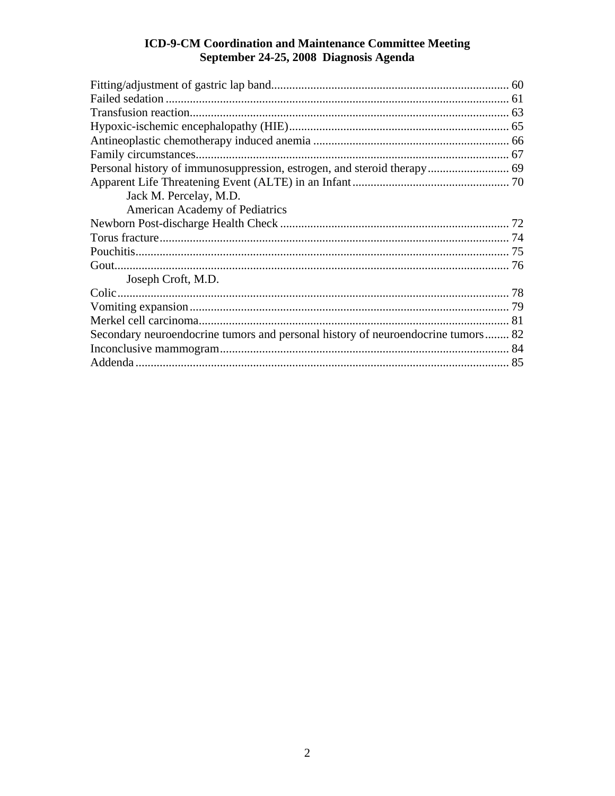| Jack M. Percelay, M.D.                                                           |  |
|----------------------------------------------------------------------------------|--|
| <b>American Academy of Pediatrics</b>                                            |  |
|                                                                                  |  |
|                                                                                  |  |
|                                                                                  |  |
|                                                                                  |  |
| Joseph Croft, M.D.                                                               |  |
|                                                                                  |  |
|                                                                                  |  |
|                                                                                  |  |
| Secondary neuroendocrine tumors and personal history of neuroendocrine tumors 82 |  |
|                                                                                  |  |
|                                                                                  |  |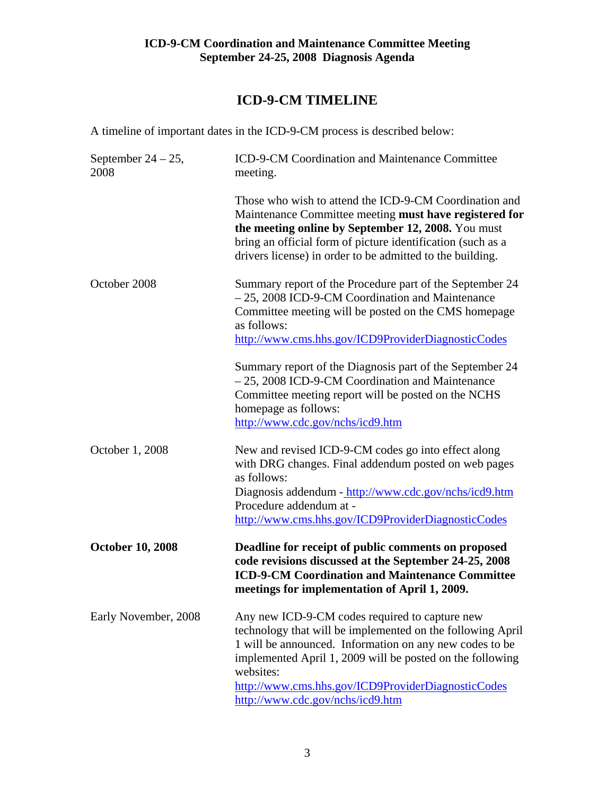# **ICD-9-CM TIMELINE**

A timeline of important dates in the ICD-9-CM process is described below:

| September $24 - 25$ ,<br>2008 | ICD-9-CM Coordination and Maintenance Committee<br>meeting.                                                                                                                                                                                                                                                                                 |
|-------------------------------|---------------------------------------------------------------------------------------------------------------------------------------------------------------------------------------------------------------------------------------------------------------------------------------------------------------------------------------------|
|                               | Those who wish to attend the ICD-9-CM Coordination and<br>Maintenance Committee meeting must have registered for<br>the meeting online by September 12, 2008. You must<br>bring an official form of picture identification (such as a<br>drivers license) in order to be admitted to the building.                                          |
| October 2008                  | Summary report of the Procedure part of the September 24<br>- 25, 2008 ICD-9-CM Coordination and Maintenance<br>Committee meeting will be posted on the CMS homepage<br>as follows:<br>http://www.cms.hhs.gov/ICD9ProviderDiagnosticCodes                                                                                                   |
|                               | Summary report of the Diagnosis part of the September 24<br>- 25, 2008 ICD-9-CM Coordination and Maintenance<br>Committee meeting report will be posted on the NCHS<br>homepage as follows:<br>http://www.cdc.gov/nchs/icd9.htm                                                                                                             |
| October 1, 2008               | New and revised ICD-9-CM codes go into effect along<br>with DRG changes. Final addendum posted on web pages<br>as follows:<br>Diagnosis addendum - http://www.cdc.gov/nchs/icd9.htm<br>Procedure addendum at -<br>http://www.cms.hhs.gov/ICD9ProviderDiagnosticCodes                                                                        |
| <b>October 10, 2008</b>       | Deadline for receipt of public comments on proposed<br>code revisions discussed at the September 24-25, 2008<br><b>ICD-9-CM Coordination and Maintenance Committee</b><br>meetings for implementation of April 1, 2009.                                                                                                                     |
| Early November, 2008          | Any new ICD-9-CM codes required to capture new<br>technology that will be implemented on the following April<br>1 will be announced. Information on any new codes to be<br>implemented April 1, 2009 will be posted on the following<br>websites:<br>http://www.cms.hhs.gov/ICD9ProviderDiagnosticCodes<br>http://www.cdc.gov/nchs/icd9.htm |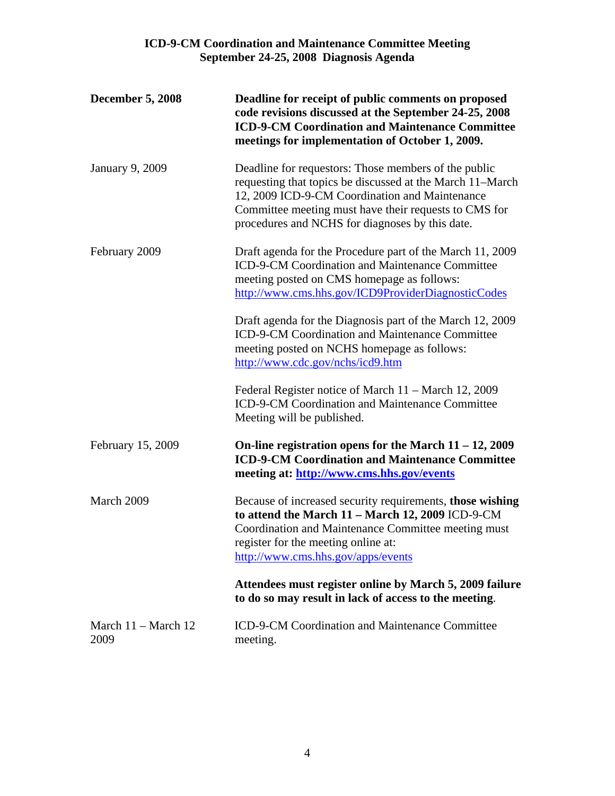| <b>December 5, 2008</b>               | Deadline for receipt of public comments on proposed<br>code revisions discussed at the September 24-25, 2008<br><b>ICD-9-CM Coordination and Maintenance Committee</b><br>meetings for implementation of October 1, 2009.                                                       |
|---------------------------------------|---------------------------------------------------------------------------------------------------------------------------------------------------------------------------------------------------------------------------------------------------------------------------------|
| <b>January 9, 2009</b>                | Deadline for requestors: Those members of the public<br>requesting that topics be discussed at the March 11–March<br>12, 2009 ICD-9-CM Coordination and Maintenance<br>Committee meeting must have their requests to CMS for<br>procedures and NCHS for diagnoses by this date. |
| February 2009                         | Draft agenda for the Procedure part of the March 11, 2009<br>ICD-9-CM Coordination and Maintenance Committee<br>meeting posted on CMS homepage as follows:<br>http://www.cms.hhs.gov/ICD9ProviderDiagnosticCodes                                                                |
|                                       | Draft agenda for the Diagnosis part of the March 12, 2009<br>ICD-9-CM Coordination and Maintenance Committee<br>meeting posted on NCHS homepage as follows:<br>http://www.cdc.gov/nchs/icd9.htm                                                                                 |
|                                       | Federal Register notice of March 11 – March 12, 2009<br>ICD-9-CM Coordination and Maintenance Committee<br>Meeting will be published.                                                                                                                                           |
| February 15, 2009                     | On-line registration opens for the March $11 - 12$ , 2009<br><b>ICD-9-CM Coordination and Maintenance Committee</b><br>meeting at: http://www.cms.hhs.gov/events                                                                                                                |
| March 2009                            | Because of increased security requirements, those wishing<br>to attend the March 11 - March 12, 2009 ICD-9-CM<br>Coordination and Maintenance Committee meeting must<br>register for the meeting online at:<br>http://www.cms.hhs.gov/apps/events                               |
|                                       | Attendees must register online by March 5, 2009 failure<br>to do so may result in lack of access to the meeting.                                                                                                                                                                |
| March $11 - \text{March } 12$<br>2009 | ICD-9-CM Coordination and Maintenance Committee<br>meeting.                                                                                                                                                                                                                     |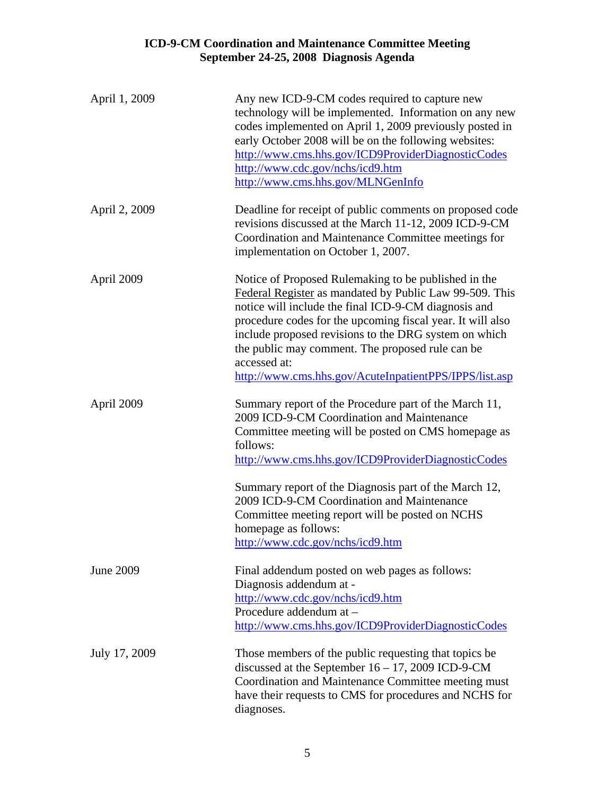| April 1, 2009    | Any new ICD-9-CM codes required to capture new<br>technology will be implemented. Information on any new<br>codes implemented on April 1, 2009 previously posted in<br>early October 2008 will be on the following websites:<br>http://www.cms.hhs.gov/ICD9ProviderDiagnosticCodes<br>http://www.cdc.gov/nchs/icd9.htm<br>http://www.cms.hhs.gov/MLNGenInfo                                                                  |
|------------------|------------------------------------------------------------------------------------------------------------------------------------------------------------------------------------------------------------------------------------------------------------------------------------------------------------------------------------------------------------------------------------------------------------------------------|
| April 2, 2009    | Deadline for receipt of public comments on proposed code<br>revisions discussed at the March 11-12, 2009 ICD-9-CM<br>Coordination and Maintenance Committee meetings for<br>implementation on October 1, 2007.                                                                                                                                                                                                               |
| April 2009       | Notice of Proposed Rulemaking to be published in the<br>Federal Register as mandated by Public Law 99-509. This<br>notice will include the final ICD-9-CM diagnosis and<br>procedure codes for the upcoming fiscal year. It will also<br>include proposed revisions to the DRG system on which<br>the public may comment. The proposed rule can be<br>accessed at:<br>http://www.cms.hhs.gov/AcuteInpatientPPS/IPPS/list.asp |
| April 2009       | Summary report of the Procedure part of the March 11,<br>2009 ICD-9-CM Coordination and Maintenance<br>Committee meeting will be posted on CMS homepage as<br>follows:<br>http://www.cms.hhs.gov/ICD9ProviderDiagnosticCodes                                                                                                                                                                                                 |
|                  | Summary report of the Diagnosis part of the March 12,<br>2009 ICD-9-CM Coordination and Maintenance<br>Committee meeting report will be posted on NCHS<br>homepage as follows:<br>http://www.cdc.gov/nchs/icd9.htm                                                                                                                                                                                                           |
| <b>June 2009</b> | Final addendum posted on web pages as follows:<br>Diagnosis addendum at -<br>http://www.cdc.gov/nchs/icd9.htm<br>Procedure addendum at -<br>http://www.cms.hhs.gov/ICD9ProviderDiagnosticCodes                                                                                                                                                                                                                               |
| July 17, 2009    | Those members of the public requesting that topics be<br>discussed at the September $16 - 17$ , 2009 ICD-9-CM<br>Coordination and Maintenance Committee meeting must<br>have their requests to CMS for procedures and NCHS for<br>diagnoses.                                                                                                                                                                                 |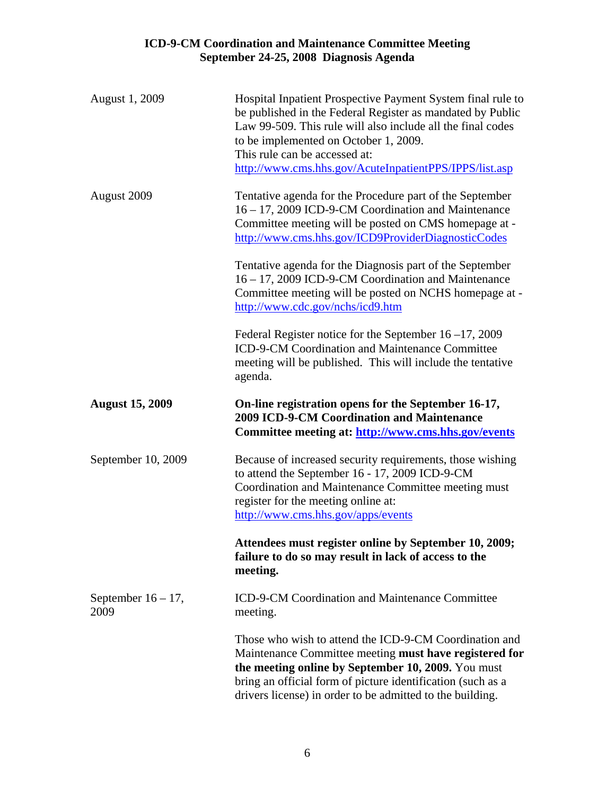| August 1, 2009                | Hospital Inpatient Prospective Payment System final rule to<br>be published in the Federal Register as mandated by Public<br>Law 99-509. This rule will also include all the final codes<br>to be implemented on October 1, 2009.<br>This rule can be accessed at:                                 |
|-------------------------------|----------------------------------------------------------------------------------------------------------------------------------------------------------------------------------------------------------------------------------------------------------------------------------------------------|
|                               | http://www.cms.hhs.gov/AcuteInpatientPPS/IPPS/list.asp                                                                                                                                                                                                                                             |
| August 2009                   | Tentative agenda for the Procedure part of the September<br>16 - 17, 2009 ICD-9-CM Coordination and Maintenance<br>Committee meeting will be posted on CMS homepage at -<br>http://www.cms.hhs.gov/ICD9ProviderDiagnosticCodes                                                                     |
|                               | Tentative agenda for the Diagnosis part of the September<br>16 - 17, 2009 ICD-9-CM Coordination and Maintenance<br>Committee meeting will be posted on NCHS homepage at -<br>http://www.cdc.gov/nchs/icd9.htm                                                                                      |
|                               | Federal Register notice for the September $16 - 17$ , 2009<br>ICD-9-CM Coordination and Maintenance Committee<br>meeting will be published. This will include the tentative<br>agenda.                                                                                                             |
| <b>August 15, 2009</b>        | On-line registration opens for the September 16-17,<br><b>2009 ICD-9-CM Coordination and Maintenance</b><br>Committee meeting at: http://www.cms.hhs.gov/events                                                                                                                                    |
| September 10, 2009            | Because of increased security requirements, those wishing<br>to attend the September 16 - 17, 2009 ICD-9-CM<br>Coordination and Maintenance Committee meeting must<br>register for the meeting online at:<br>http://www.cms.hhs.gov/apps/events                                                    |
|                               | Attendees must register online by September 10, 2009;<br>failure to do so may result in lack of access to the<br>meeting.                                                                                                                                                                          |
| September $16 - 17$ ,<br>2009 | ICD-9-CM Coordination and Maintenance Committee<br>meeting.                                                                                                                                                                                                                                        |
|                               | Those who wish to attend the ICD-9-CM Coordination and<br>Maintenance Committee meeting must have registered for<br>the meeting online by September 10, 2009. You must<br>bring an official form of picture identification (such as a<br>drivers license) in order to be admitted to the building. |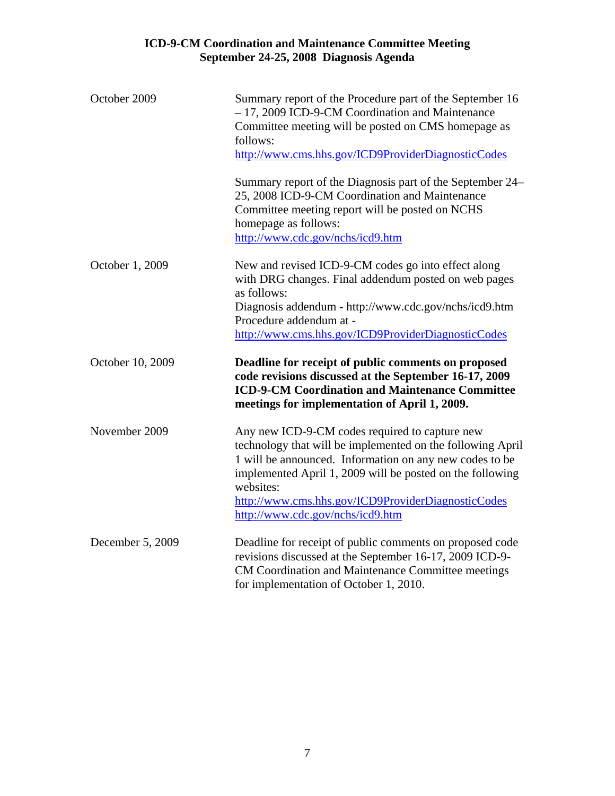| October 2009     | Summary report of the Procedure part of the September 16<br>- 17, 2009 ICD-9-CM Coordination and Maintenance<br>Committee meeting will be posted on CMS homepage as<br>follows:<br>http://www.cms.hhs.gov/ICD9ProviderDiagnosticCodes                                                                                                       |
|------------------|---------------------------------------------------------------------------------------------------------------------------------------------------------------------------------------------------------------------------------------------------------------------------------------------------------------------------------------------|
|                  | Summary report of the Diagnosis part of the September 24–<br>25, 2008 ICD-9-CM Coordination and Maintenance<br>Committee meeting report will be posted on NCHS<br>homepage as follows:<br>http://www.cdc.gov/nchs/icd9.htm                                                                                                                  |
| October 1, 2009  | New and revised ICD-9-CM codes go into effect along<br>with DRG changes. Final addendum posted on web pages<br>as follows:<br>Diagnosis addendum - http://www.cdc.gov/nchs/icd9.htm<br>Procedure addendum at -<br>http://www.cms.hhs.gov/ICD9ProviderDiagnosticCodes                                                                        |
| October 10, 2009 | Deadline for receipt of public comments on proposed<br>code revisions discussed at the September 16-17, 2009<br><b>ICD-9-CM Coordination and Maintenance Committee</b><br>meetings for implementation of April 1, 2009.                                                                                                                     |
| November 2009    | Any new ICD-9-CM codes required to capture new<br>technology that will be implemented on the following April<br>1 will be announced. Information on any new codes to be<br>implemented April 1, 2009 will be posted on the following<br>websites:<br>http://www.cms.hhs.gov/ICD9ProviderDiagnosticCodes<br>http://www.cdc.gov/nchs/icd9.htm |
| December 5, 2009 | Deadline for receipt of public comments on proposed code<br>revisions discussed at the September 16-17, 2009 ICD-9-<br>CM Coordination and Maintenance Committee meetings<br>for implementation of October 1, 2010.                                                                                                                         |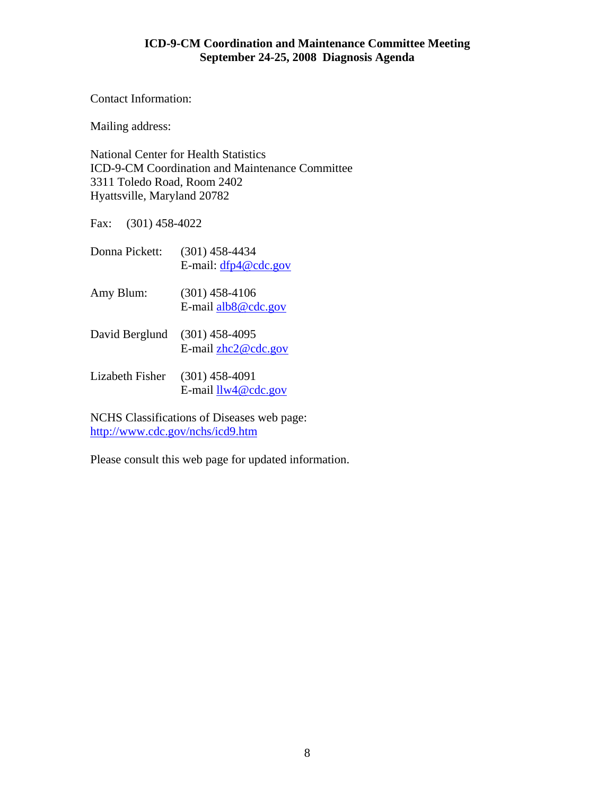Contact Information:

Mailing address:

National Center for Health Statistics ICD-9-CM Coordination and Maintenance Committee 3311 Toledo Road, Room 2402 Hyattsville, Maryland 20782

Fax: (301) 458-4022

| Donna Pickett:  | $(301)$ 458-4434<br>E-mail: $dfp4@cdc.gov$ |
|-----------------|--------------------------------------------|
| Amy Blum:       | $(301)$ 458-4106<br>E-mail $alb8@$ cdc.gov |
| David Berglund  | $(301)$ 458-4095<br>E-mail $zhc2@cdc.gov$  |
| Lizabeth Fisher | $(301)$ 458-4091<br>E-mail $llw4@cdc.gov$  |

NCHS Classifications of Diseases web page: <http://www.cdc.gov/nchs/icd9.htm>

Please consult this web page for updated information.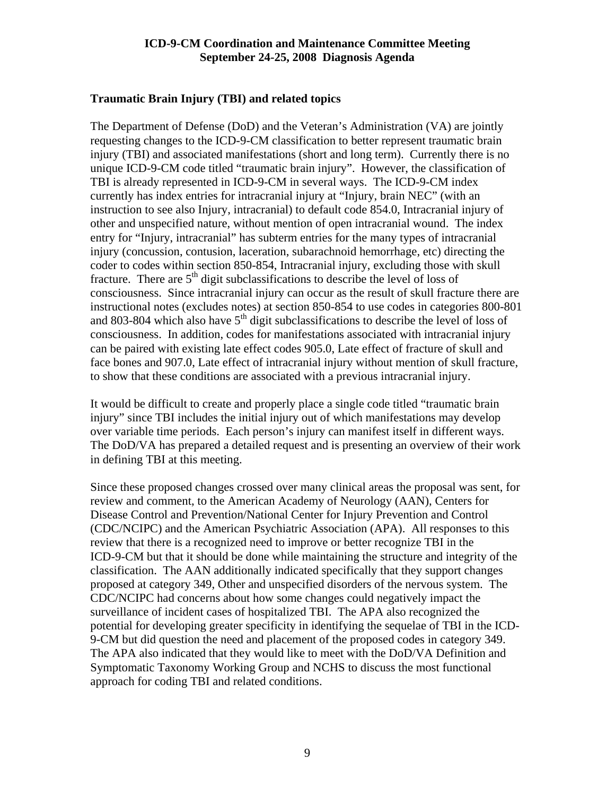#### <span id="page-8-0"></span>**Traumatic Brain Injury (TBI) and related topics**

The Department of Defense (DoD) and the Veteran's Administration (VA) are jointly requesting changes to the ICD-9-CM classification to better represent traumatic brain injury (TBI) and associated manifestations (short and long term). Currently there is no unique ICD-9-CM code titled "traumatic brain injury". However, the classification of TBI is already represented in ICD-9-CM in several ways. The ICD-9-CM index currently has index entries for intracranial injury at "Injury, brain NEC" (with an instruction to see also Injury, intracranial) to default code 854.0, Intracranial injury of other and unspecified nature, without mention of open intracranial wound. The index entry for "Injury, intracranial" has subterm entries for the many types of intracranial injury (concussion, contusion, laceration, subarachnoid hemorrhage, etc) directing the coder to codes within section 850-854, Intracranial injury, excluding those with skull fracture. There are  $5<sup>th</sup>$  digit subclassifications to describe the level of loss of consciousness. Since intracranial injury can occur as the result of skull fracture there are instructional notes (excludes notes) at section 850-854 to use codes in categories 800-801 and 803-804 which also have  $5<sup>th</sup>$  digit subclassifications to describe the level of loss of consciousness. In addition, codes for manifestations associated with intracranial injury can be paired with existing late effect codes 905.0, Late effect of fracture of skull and face bones and 907.0, Late effect of intracranial injury without mention of skull fracture, to show that these conditions are associated with a previous intracranial injury.

It would be difficult to create and properly place a single code titled "traumatic brain injury" since TBI includes the initial injury out of which manifestations may develop over variable time periods. Each person's injury can manifest itself in different ways. The DoD/VA has prepared a detailed request and is presenting an overview of their work in defining TBI at this meeting.

Since these proposed changes crossed over many clinical areas the proposal was sent, for review and comment, to the American Academy of Neurology (AAN), Centers for Disease Control and Prevention/National Center for Injury Prevention and Control (CDC/NCIPC) and the American Psychiatric Association (APA). All responses to this review that there is a recognized need to improve or better recognize TBI in the ICD-9-CM but that it should be done while maintaining the structure and integrity of the classification. The AAN additionally indicated specifically that they support changes proposed at category 349, Other and unspecified disorders of the nervous system. The CDC/NCIPC had concerns about how some changes could negatively impact the surveillance of incident cases of hospitalized TBI. The APA also recognized the potential for developing greater specificity in identifying the sequelae of TBI in the ICD-9-CM but did question the need and placement of the proposed codes in category 349. The APA also indicated that they would like to meet with the DoD/VA Definition and Symptomatic Taxonomy Working Group and NCHS to discuss the most functional approach for coding TBI and related conditions.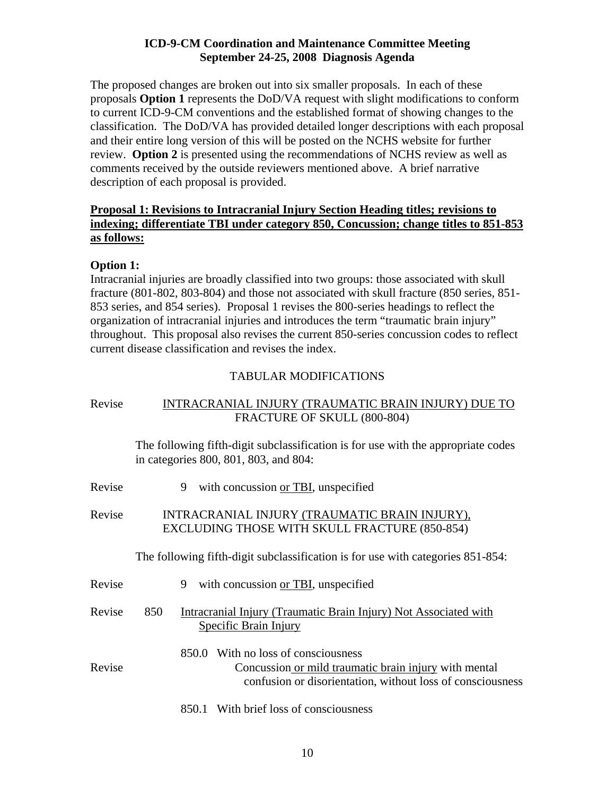The proposed changes are broken out into six smaller proposals. In each of these proposals **Option 1** represents the DoD/VA request with slight modifications to conform to current ICD-9-CM conventions and the established format of showing changes to the classification. The DoD/VA has provided detailed longer descriptions with each proposal and their entire long version of this will be posted on the NCHS website for further review. **Option 2** is presented using the recommendations of NCHS review as well as comments received by the outside reviewers mentioned above. A brief narrative description of each proposal is provided.

# **Proposal 1: Revisions to Intracranial Injury Section Heading titles; revisions to indexing; differentiate TBI under category 850, Concussion; change titles to 851-853 as follows:**

# **Option 1:**

Intracranial injuries are broadly classified into two groups: those associated with skull fracture (801-802, 803-804) and those not associated with skull fracture (850 series, 851- 853 series, and 854 series). Proposal 1 revises the 800-series headings to reflect the organization of intracranial injuries and introduces the term "traumatic brain injury" throughout. This proposal also revises the current 850-series concussion codes to reflect current disease classification and revises the index.

# TABULAR MODIFICATIONS

| Revise | INTRACRANIAL INJURY (TRAUMATIC BRAIN INJURY) DUE TO                                                                                                           |
|--------|---------------------------------------------------------------------------------------------------------------------------------------------------------------|
|        | FRACTURE OF SKULL (800-804)                                                                                                                                   |
|        | The following fifth-digit subclassification is for use with the appropriate codes<br>in categories 800, 801, 803, and 804:                                    |
| Revise | with concussion or TBI, unspecified<br>9                                                                                                                      |
| Revise | INTRACRANIAL INJURY (TRAUMATIC BRAIN INJURY),<br>EXCLUDING THOSE WITH SKULL FRACTURE (850-854)                                                                |
|        | The following fifth-digit subclassification is for use with categories 851-854:                                                                               |
| Revise | with concussion or TBI, unspecified<br>9                                                                                                                      |
| Revise | 850<br>Intracranial Injury (Traumatic Brain Injury) Not Associated with<br>Specific Brain Injury                                                              |
| Revise | With no loss of consciousness<br>850.0<br>Concussion or mild traumatic brain injury with mental<br>confusion or disorientation, without loss of consciousness |
|        | 850.1 With brief loss of consciousness                                                                                                                        |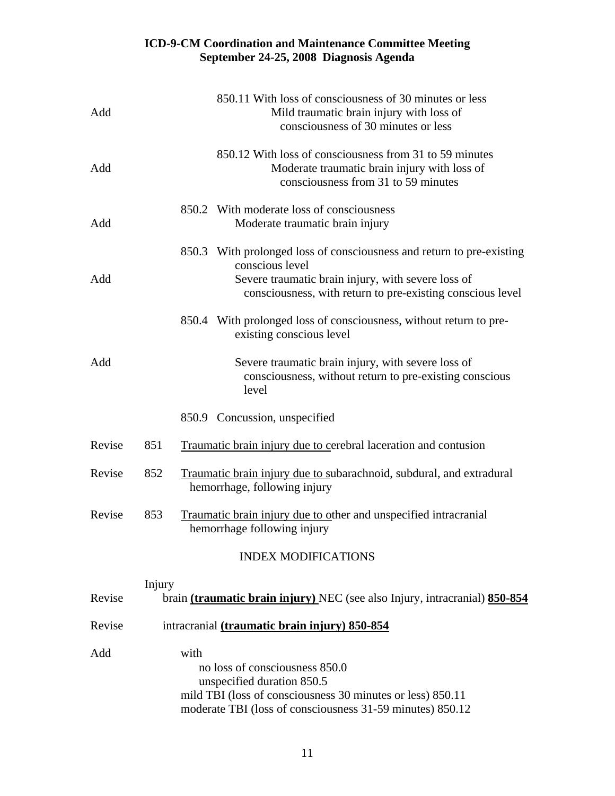| Add    |        |      | 850.11 With loss of consciousness of 30 minutes or less<br>Mild traumatic brain injury with loss of<br>consciousness of 30 minutes or less                                                                   |
|--------|--------|------|--------------------------------------------------------------------------------------------------------------------------------------------------------------------------------------------------------------|
| Add    |        |      | 850.12 With loss of consciousness from 31 to 59 minutes<br>Moderate traumatic brain injury with loss of<br>consciousness from 31 to 59 minutes                                                               |
| Add    |        |      | 850.2 With moderate loss of consciousness<br>Moderate traumatic brain injury                                                                                                                                 |
| Add    |        |      | 850.3 With prolonged loss of consciousness and return to pre-existing<br>conscious level<br>Severe traumatic brain injury, with severe loss of<br>consciousness, with return to pre-existing conscious level |
|        |        |      | 850.4 With prolonged loss of consciousness, without return to pre-<br>existing conscious level                                                                                                               |
| Add    |        |      | Severe traumatic brain injury, with severe loss of<br>consciousness, without return to pre-existing conscious<br>level                                                                                       |
|        |        |      | 850.9 Concussion, unspecified                                                                                                                                                                                |
| Revise | 851    |      | Traumatic brain injury due to cerebral laceration and contusion                                                                                                                                              |
| Revise | 852    |      | Traumatic brain injury due to subarachnoid, subdural, and extradural<br>hemorrhage, following injury                                                                                                         |
| Revise | 853    |      | Traumatic brain injury due to other and unspecified intracranial<br>hemorrhage following injury                                                                                                              |
|        |        |      | <b>INDEX MODIFICATIONS</b>                                                                                                                                                                                   |
| Revise | Injury |      | brain (traumatic brain injury) NEC (see also Injury, intracranial) 850-854                                                                                                                                   |
| Revise |        |      | intracranial (traumatic brain injury) 850-854                                                                                                                                                                |
| Add    |        | with | no loss of consciousness 850.0<br>unspecified duration 850.5<br>mild TBI (loss of consciousness 30 minutes or less) 850.11<br>moderate TBI (loss of consciousness 31-59 minutes) 850.12                      |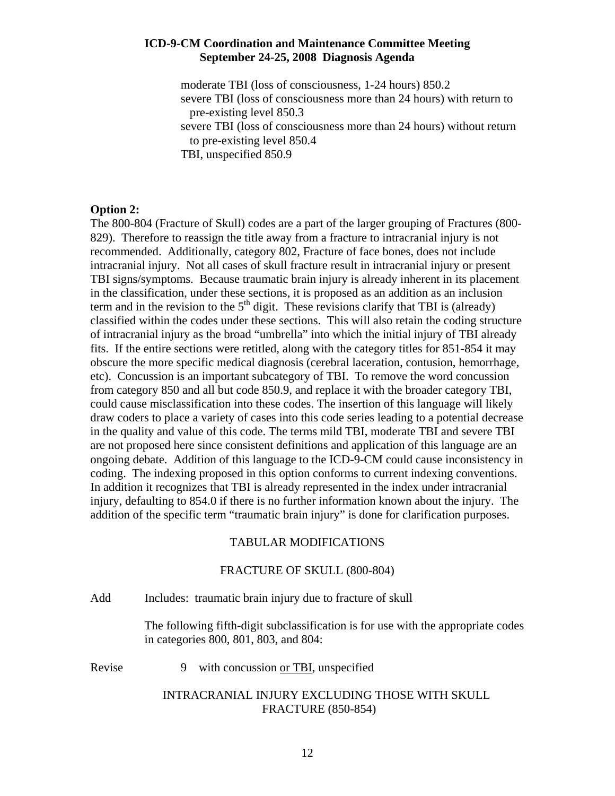moderate TBI (loss of consciousness, 1-24 hours) 850.2 severe TBI (loss of consciousness more than 24 hours) with return to pre-existing level 850.3

 severe TBI (loss of consciousness more than 24 hours) without return to pre-existing level 850.4

TBI, unspecified 850.9

#### **Option 2:**

The 800-804 (Fracture of Skull) codes are a part of the larger grouping of Fractures (800- 829). Therefore to reassign the title away from a fracture to intracranial injury is not recommended. Additionally, category 802, Fracture of face bones, does not include intracranial injury. Not all cases of skull fracture result in intracranial injury or present TBI signs/symptoms. Because traumatic brain injury is already inherent in its placement in the classification, under these sections, it is proposed as an addition as an inclusion term and in the revision to the  $5<sup>th</sup>$  digit. These revisions clarify that TBI is (already) classified within the codes under these sections. This will also retain the coding structure of intracranial injury as the broad "umbrella" into which the initial injury of TBI already fits. If the entire sections were retitled, along with the category titles for 851-854 it may obscure the more specific medical diagnosis (cerebral laceration, contusion, hemorrhage, etc). Concussion is an important subcategory of TBI. To remove the word concussion from category 850 and all but code 850.9, and replace it with the broader category TBI, could cause misclassification into these codes. The insertion of this language will likely draw coders to place a variety of cases into this code series leading to a potential decrease in the quality and value of this code. The terms mild TBI, moderate TBI and severe TBI are not proposed here since consistent definitions and application of this language are an ongoing debate. Addition of this language to the ICD-9-CM could cause inconsistency in coding. The indexing proposed in this option conforms to current indexing conventions. In addition it recognizes that TBI is already represented in the index under intracranial injury, defaulting to 854.0 if there is no further information known about the injury. The addition of the specific term "traumatic brain injury" is done for clarification purposes.

#### TABULAR MODIFICATIONS

#### FRACTURE OF SKULL (800-804)

Add Includes: traumatic brain injury due to fracture of skull

 The following fifth-digit subclassification is for use with the appropriate codes in categories 800, 801, 803, and 804:

Revise 9 with concussion or TBI, unspecified

#### INTRACRANIAL INJURY EXCLUDING THOSE WITH SKULL FRACTURE (850-854)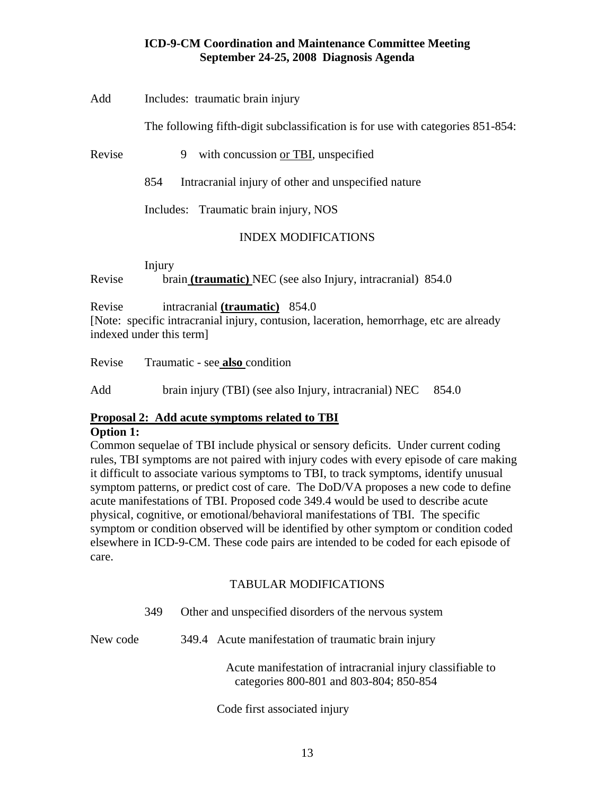#### Add Includes: traumatic brain injury

The following fifth-digit subclassification is for use with categories 851-854:

Revise 9 with concussion or TBI, unspecified

854 Intracranial injury of other and unspecified nature

Includes: Traumatic brain injury, NOS

# INDEX MODIFICATIONS

Injury

Revise brain **(traumatic)** NEC (see also Injury, intracranial) 854.0

Revise intracranial **(traumatic)** 854.0

[Note: specific intracranial injury, contusion, laceration, hemorrhage, etc are already indexed under this term]

Revise Traumatic - see **also** condition

Add brain injury (TBI) (see also Injury, intracranial) NEC 854.0

#### **Proposal 2: Add acute symptoms related to TBI Option 1:**

Common sequelae of TBI include physical or sensory deficits. Under current coding rules, TBI symptoms are not paired with injury codes with every episode of care making it difficult to associate various symptoms to TBI, to track symptoms, identify unusual symptom patterns, or predict cost of care. The DoD/VA proposes a new code to define acute manifestations of TBI. Proposed code 349.4 would be used to describe acute physical, cognitive, or emotional/behavioral manifestations of TBI. The specific symptom or condition observed will be identified by other symptom or condition coded elsewhere in ICD-9-CM. These code pairs are intended to be coded for each episode of care.

# TABULAR MODIFICATIONS

|          | 349 | Other and unspecified disorders of the nervous system |                                                                                                       |
|----------|-----|-------------------------------------------------------|-------------------------------------------------------------------------------------------------------|
| New code |     |                                                       | 349.4 Acute manifestation of traumatic brain injury                                                   |
|          |     |                                                       | Acute manifestation of intracranial injury classifiable to<br>categories 800-801 and 803-804; 850-854 |
|          |     |                                                       | Code first associated injury                                                                          |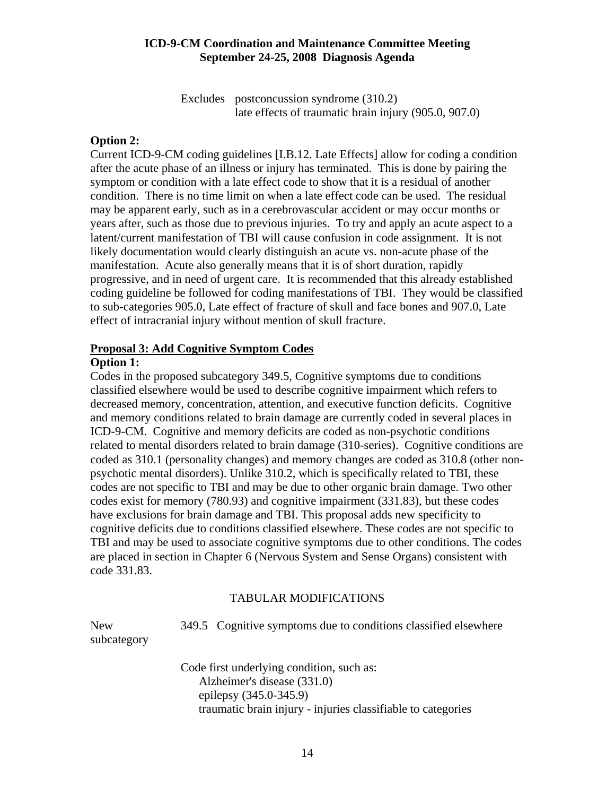Excludes postconcussion syndrome (310.2) late effects of traumatic brain injury (905.0, 907.0)

#### **Option 2:**

Current ICD-9-CM coding guidelines [I.B.12. Late Effects] allow for coding a condition after the acute phase of an illness or injury has terminated. This is done by pairing the symptom or condition with a late effect code to show that it is a residual of another condition. There is no time limit on when a late effect code can be used. The residual may be apparent early, such as in a cerebrovascular accident or may occur months or years after, such as those due to previous injuries. To try and apply an acute aspect to a latent/current manifestation of TBI will cause confusion in code assignment. It is not likely documentation would clearly distinguish an acute vs. non-acute phase of the manifestation. Acute also generally means that it is of short duration, rapidly progressive, and in need of urgent care. It is recommended that this already established coding guideline be followed for coding manifestations of TBI. They would be classified to sub-categories 905.0, Late effect of fracture of skull and face bones and 907.0, Late effect of intracranial injury without mention of skull fracture.

#### **Proposal 3: Add Cognitive Symptom Codes**

#### **Option 1:**

Codes in the proposed subcategory 349.5, Cognitive symptoms due to conditions classified elsewhere would be used to describe cognitive impairment which refers to decreased memory, concentration, attention, and executive function deficits. Cognitive and memory conditions related to brain damage are currently coded in several places in ICD-9-CM. Cognitive and memory deficits are coded as non-psychotic conditions related to mental disorders related to brain damage (310-series). Cognitive conditions are coded as 310.1 (personality changes) and memory changes are coded as 310.8 (other nonpsychotic mental disorders). Unlike 310.2, which is specifically related to TBI, these codes are not specific to TBI and may be due to other organic brain damage. Two other codes exist for memory (780.93) and cognitive impairment (331.83), but these codes have exclusions for brain damage and TBI. This proposal adds new specificity to cognitive deficits due to conditions classified elsewhere. These codes are not specific to TBI and may be used to associate cognitive symptoms due to other conditions. The codes are placed in section in Chapter 6 (Nervous System and Sense Organs) consistent with code 331.83.

#### TABULAR MODIFICATIONS

New 349.5 Cognitive symptoms due to conditions classified elsewhere subcategory

> Code first underlying condition, such as: Alzheimer's disease (331.0) epilepsy (345.0-345.9) traumatic brain injury - injuries classifiable to categories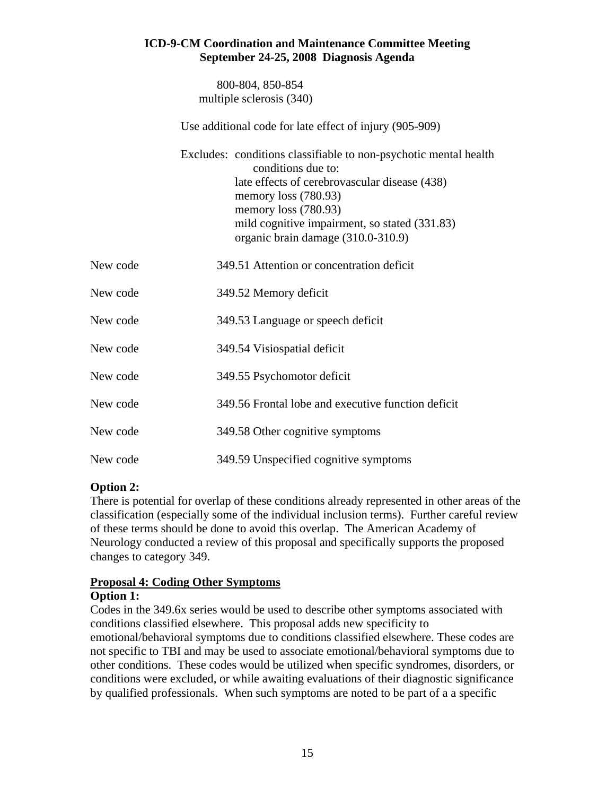800-804, 850-854 multiple sclerosis (340)

Use additional code for late effect of injury (905-909)

 Excludes: conditions classifiable to non-psychotic mental health conditions due to: late effects of cerebrovascular disease (438) memory loss (780.93) memory loss (780.93) mild cognitive impairment, so stated (331.83) organic brain damage (310.0-310.9)

| New code | 349.51 Attention or concentration deficit          |
|----------|----------------------------------------------------|
| New code | 349.52 Memory deficit                              |
| New code | 349.53 Language or speech deficit                  |
| New code | 349.54 Visiospatial deficit                        |
| New code | 349.55 Psychomotor deficit                         |
| New code | 349.56 Frontal lobe and executive function deficit |
| New code | 349.58 Other cognitive symptoms                    |
| New code | 349.59 Unspecified cognitive symptoms              |

# **Option 2:**

There is potential for overlap of these conditions already represented in other areas of the classification (especially some of the individual inclusion terms). Further careful review of these terms should be done to avoid this overlap. The American Academy of Neurology conducted a review of this proposal and specifically supports the proposed changes to category 349.

# **Proposal 4: Coding Other Symptoms**

# **Option 1:**

Codes in the 349.6x series would be used to describe other symptoms associated with conditions classified elsewhere. This proposal adds new specificity to emotional/behavioral symptoms due to conditions classified elsewhere. These codes are not specific to TBI and may be used to associate emotional/behavioral symptoms due to other conditions. These codes would be utilized when specific syndromes, disorders, or conditions were excluded, or while awaiting evaluations of their diagnostic significance by qualified professionals. When such symptoms are noted to be part of a a specific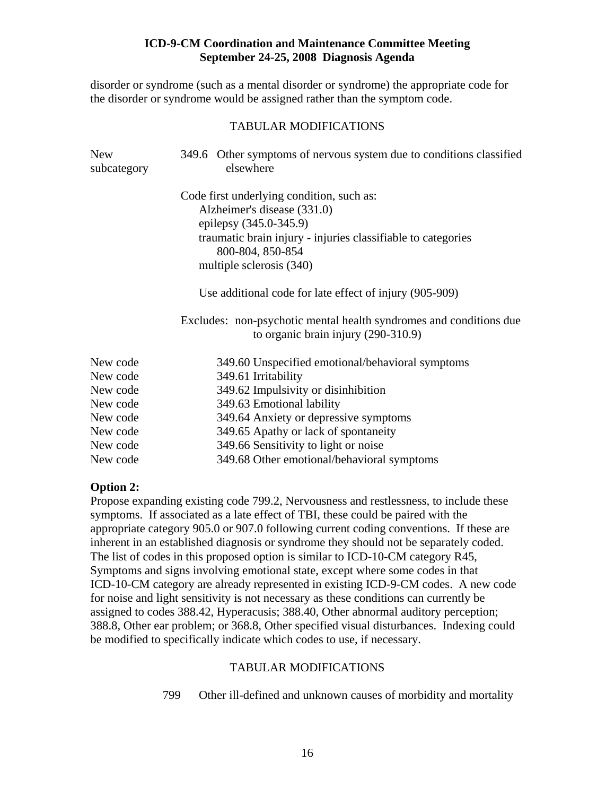disorder or syndrome (such as a mental disorder or syndrome) the appropriate code for the disorder or syndrome would be assigned rather than the symptom code.

#### TABULAR MODIFICATIONS

| <b>New</b><br>subcategory | 349.6 Other symptoms of nervous system due to conditions classified<br>elsewhere                            |
|---------------------------|-------------------------------------------------------------------------------------------------------------|
|                           | Code first underlying condition, such as:                                                                   |
|                           | Alzheimer's disease (331.0)                                                                                 |
|                           | epilepsy (345.0-345.9)                                                                                      |
|                           | traumatic brain injury - injuries classifiable to categories<br>800-804, 850-854                            |
|                           | multiple sclerosis (340)                                                                                    |
|                           | Use additional code for late effect of injury (905-909)                                                     |
|                           | Excludes: non-psychotic mental health syndromes and conditions due<br>to organic brain injury $(290-310.9)$ |
| New code                  | 349.60 Unspecified emotional/behavioral symptoms                                                            |
| New code                  | 349.61 Irritability                                                                                         |
| New code                  | 349.62 Impulsivity or disinhibition                                                                         |
| New code                  | 349.63 Emotional lability                                                                                   |
| New code                  | 349.64 Anxiety or depressive symptoms                                                                       |
| New code                  | 349.65 Apathy or lack of spontaneity                                                                        |
| New code                  | 349.66 Sensitivity to light or noise                                                                        |
| New code                  | 349.68 Other emotional/behavioral symptoms                                                                  |

#### **Option 2:**

Propose expanding existing code 799.2, Nervousness and restlessness, to include these symptoms. If associated as a late effect of TBI, these could be paired with the appropriate category 905.0 or 907.0 following current coding conventions. If these are inherent in an established diagnosis or syndrome they should not be separately coded. The list of codes in this proposed option is similar to ICD-10-CM category R45, Symptoms and signs involving emotional state, except where some codes in that ICD-10-CM category are already represented in existing ICD-9-CM codes. A new code for noise and light sensitivity is not necessary as these conditions can currently be assigned to codes 388.42, Hyperacusis; 388.40, Other abnormal auditory perception; 388.8, Other ear problem; or 368.8, Other specified visual disturbances. Indexing could be modified to specifically indicate which codes to use, if necessary.

#### TABULAR MODIFICATIONS

799 Other ill-defined and unknown causes of morbidity and mortality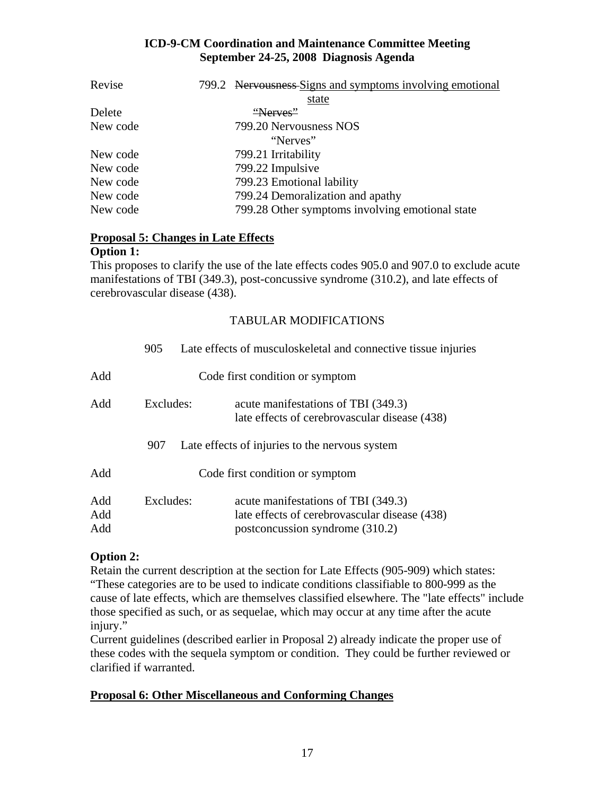| Revise   | 799.2 Nervousness Signs and symptoms involving emotional |
|----------|----------------------------------------------------------|
|          | state                                                    |
| Delete   | "Nerves"                                                 |
| New code | 799.20 Nervousness NOS                                   |
|          | "Nerves"                                                 |
| New code | 799.21 Irritability                                      |
| New code | 799.22 Impulsive                                         |
| New code | 799.23 Emotional lability                                |
| New code | 799.24 Demoralization and apathy                         |
| New code | 799.28 Other symptoms involving emotional state          |

# **Proposal 5: Changes in Late Effects**

#### **Option 1:**

This proposes to clarify the use of the late effects codes 905.0 and 907.0 to exclude acute manifestations of TBI (349.3), post-concussive syndrome (310.2), and late effects of cerebrovascular disease (438).

# TABULAR MODIFICATIONS

|                   | 905       | Late effects of musculoskeletal and connective tissue injuries                                                          |
|-------------------|-----------|-------------------------------------------------------------------------------------------------------------------------|
| Add               |           | Code first condition or symptom                                                                                         |
| Add               | Excludes: | acute manifestations of TBI (349.3)<br>late effects of cerebrovascular disease (438)                                    |
|                   | 907       | Late effects of injuries to the nervous system                                                                          |
| Add               |           | Code first condition or symptom                                                                                         |
| Add<br>Add<br>Add | Excludes: | acute manifestations of TBI (349.3)<br>late effects of cerebrovascular disease (438)<br>postconcussion syndrome (310.2) |

# **Option 2:**

Retain the current description at the section for Late Effects (905-909) which states: "These categories are to be used to indicate conditions classifiable to 800-999 as the cause of late effects, which are themselves classified elsewhere. The "late effects" include those specified as such, or as sequelae, which may occur at any time after the acute injury."

Current guidelines (described earlier in Proposal 2) already indicate the proper use of these codes with the sequela symptom or condition. They could be further reviewed or clarified if warranted.

#### **Proposal 6: Other Miscellaneous and Conforming Changes**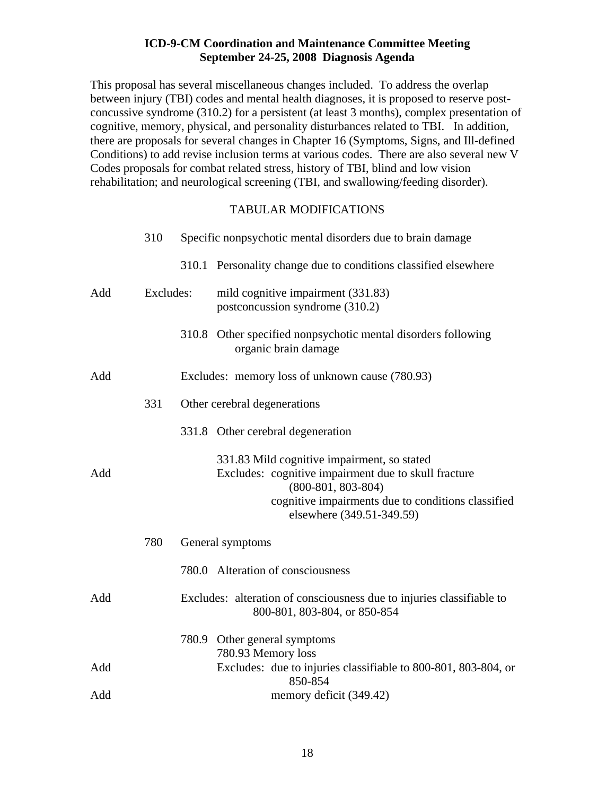This proposal has several miscellaneous changes included. To address the overlap between injury (TBI) codes and mental health diagnoses, it is proposed to reserve postconcussive syndrome (310.2) for a persistent (at least 3 months), complex presentation of cognitive, memory, physical, and personality disturbances related to TBI. In addition, there are proposals for several changes in Chapter 16 (Symptoms, Signs, and Ill-defined Conditions) to add revise inclusion terms at various codes. There are also several new V Codes proposals for combat related stress, history of TBI, blind and low vision rehabilitation; and neurological screening (TBI, and swallowing/feeding disorder).

# TABULAR MODIFICATIONS

|     | 310       | Specific nonpsychotic mental disorders due to brain damage |                                                                                                                                                                                                                |  |
|-----|-----------|------------------------------------------------------------|----------------------------------------------------------------------------------------------------------------------------------------------------------------------------------------------------------------|--|
|     |           |                                                            | 310.1 Personality change due to conditions classified elsewhere                                                                                                                                                |  |
| Add | Excludes: |                                                            | mild cognitive impairment (331.83)<br>postconcussion syndrome (310.2)                                                                                                                                          |  |
|     |           |                                                            | 310.8 Other specified nonpsychotic mental disorders following<br>organic brain damage                                                                                                                          |  |
| Add |           |                                                            | Excludes: memory loss of unknown cause (780.93)                                                                                                                                                                |  |
|     | 331       |                                                            | Other cerebral degenerations                                                                                                                                                                                   |  |
|     |           |                                                            | 331.8 Other cerebral degeneration                                                                                                                                                                              |  |
| Add |           |                                                            | 331.83 Mild cognitive impairment, so stated<br>Excludes: cognitive impairment due to skull fracture<br>$(800-801, 803-804)$<br>cognitive impairments due to conditions classified<br>elsewhere (349.51-349.59) |  |
|     | 780       |                                                            | General symptoms                                                                                                                                                                                               |  |
|     |           |                                                            | 780.0 Alteration of consciousness                                                                                                                                                                              |  |
| Add |           |                                                            | Excludes: alteration of consciousness due to injuries classifiable to<br>800-801, 803-804, or 850-854                                                                                                          |  |
|     |           |                                                            | 780.9 Other general symptoms                                                                                                                                                                                   |  |
| Add |           |                                                            | 780.93 Memory loss<br>Excludes: due to injuries classifiable to 800-801, 803-804, or<br>850-854                                                                                                                |  |
| Add |           |                                                            | memory deficit (349.42)                                                                                                                                                                                        |  |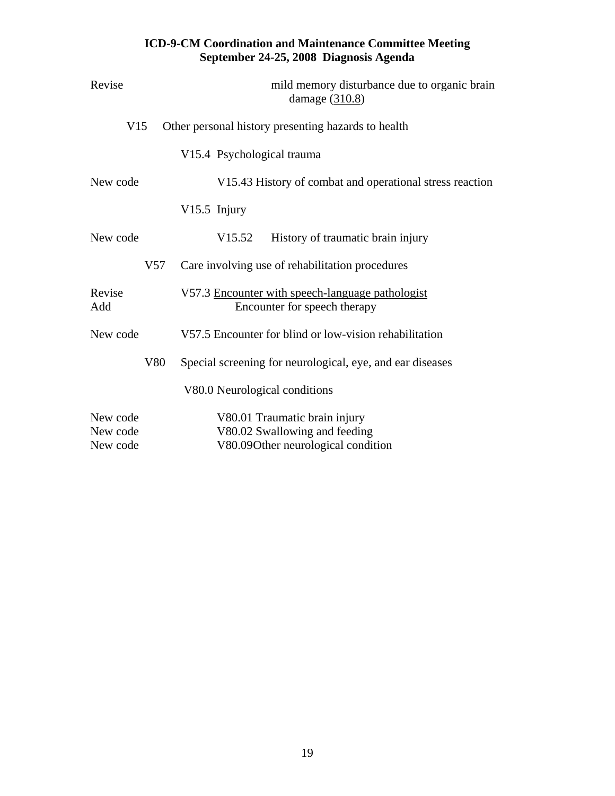| Revise                           |     | mild memory disturbance due to organic brain<br>damage (310.8)                                       |
|----------------------------------|-----|------------------------------------------------------------------------------------------------------|
| V15                              |     | Other personal history presenting hazards to health                                                  |
|                                  |     | V15.4 Psychological trauma                                                                           |
| New code                         |     | V15.43 History of combat and operational stress reaction                                             |
|                                  |     | V15.5 Injury                                                                                         |
| New code                         |     | V15.52<br>History of traumatic brain injury                                                          |
|                                  | V57 | Care involving use of rehabilitation procedures                                                      |
| Revise<br>Add                    |     | V57.3 Encounter with speech-language pathologist<br>Encounter for speech therapy                     |
| New code                         |     | V57.5 Encounter for blind or low-vision rehabilitation                                               |
|                                  | V80 | Special screening for neurological, eye, and ear diseases                                            |
|                                  |     | V80.0 Neurological conditions                                                                        |
| New code<br>New code<br>New code |     | V80.01 Traumatic brain injury<br>V80.02 Swallowing and feeding<br>V80.09Other neurological condition |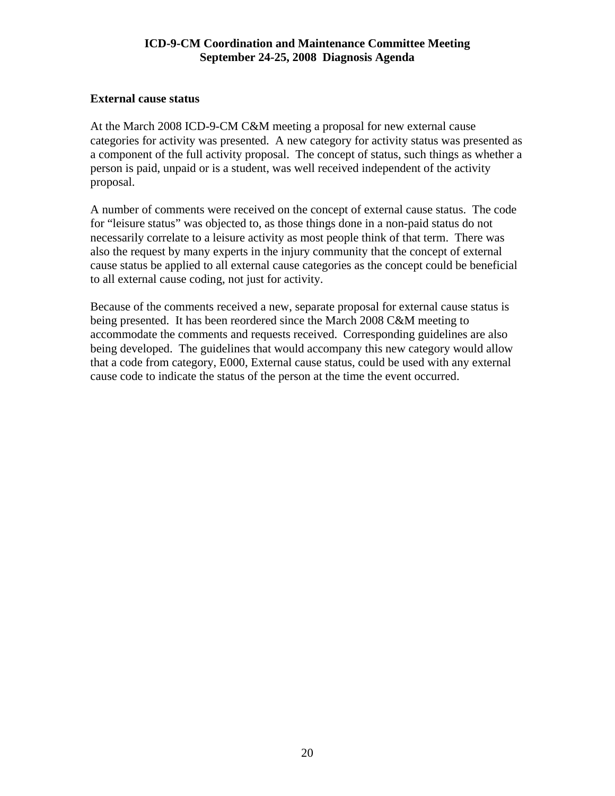# <span id="page-19-0"></span>**External cause status**

At the March 2008 ICD-9-CM C&M meeting a proposal for new external cause categories for activity was presented. A new category for activity status was presented as a component of the full activity proposal. The concept of status, such things as whether a person is paid, unpaid or is a student, was well received independent of the activity proposal.

A number of comments were received on the concept of external cause status. The code for "leisure status" was objected to, as those things done in a non-paid status do not necessarily correlate to a leisure activity as most people think of that term. There was also the request by many experts in the injury community that the concept of external cause status be applied to all external cause categories as the concept could be beneficial to all external cause coding, not just for activity.

Because of the comments received a new, separate proposal for external cause status is being presented. It has been reordered since the March 2008 C&M meeting to accommodate the comments and requests received. Corresponding guidelines are also being developed. The guidelines that would accompany this new category would allow that a code from category, E000, External cause status, could be used with any external cause code to indicate the status of the person at the time the event occurred.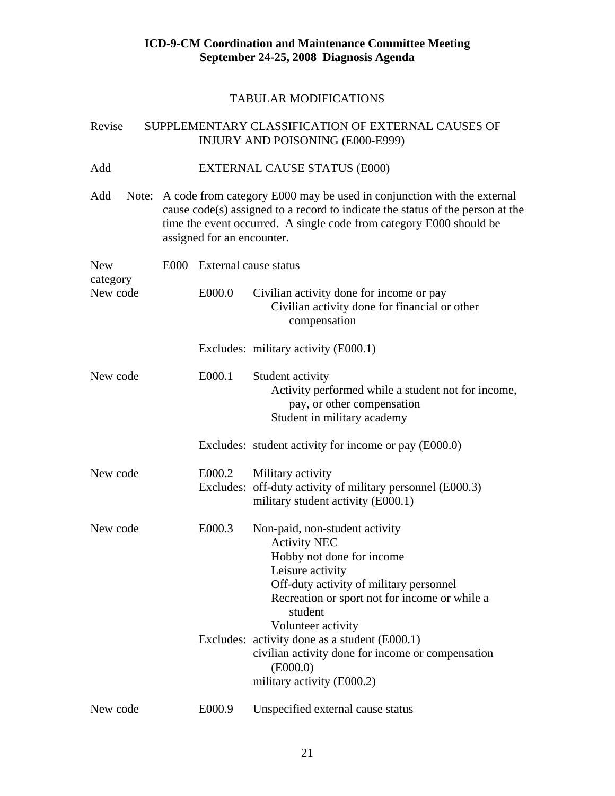#### TABULAR MODIFICATIONS

# Revise SUPPLEMENTARY CLASSIFICATION OF EXTERNAL CAUSES OF INJURY AND POISONING (E000-E999)

# Add **EXTERNAL CAUSE STATUS** (E000)

Add Note: A code from category E000 may be used in conjunction with the external cause code(s) assigned to a record to indicate the status of the person at the time the event occurred. A single code from category E000 should be assigned for an encounter.

| <b>New</b><br>category | E000 | External cause status |                                                                                                                                                                                                                                     |
|------------------------|------|-----------------------|-------------------------------------------------------------------------------------------------------------------------------------------------------------------------------------------------------------------------------------|
| New code               |      | E000.0                | Civilian activity done for income or pay<br>Civilian activity done for financial or other<br>compensation                                                                                                                           |
|                        |      |                       | Excludes: military activity (E000.1)                                                                                                                                                                                                |
| New code               |      | E000.1                | Student activity<br>Activity performed while a student not for income,<br>pay, or other compensation<br>Student in military academy                                                                                                 |
|                        |      |                       | Excludes: student activity for income or pay (E000.0)                                                                                                                                                                               |
| New code               |      | E000.2                | Military activity<br>Excludes: off-duty activity of military personnel (E000.3)<br>military student activity (E000.1)                                                                                                               |
| New code               |      | E000.3                | Non-paid, non-student activity<br><b>Activity NEC</b><br>Hobby not done for income<br>Leisure activity<br>Off-duty activity of military personnel<br>Recreation or sport not for income or while a<br>student<br>Volunteer activity |
|                        |      |                       | Excludes: activity done as a student (E000.1)<br>civilian activity done for income or compensation<br>(E000.0)<br>military activity (E000.2)                                                                                        |
| New code               |      | E000.9                | Unspecified external cause status                                                                                                                                                                                                   |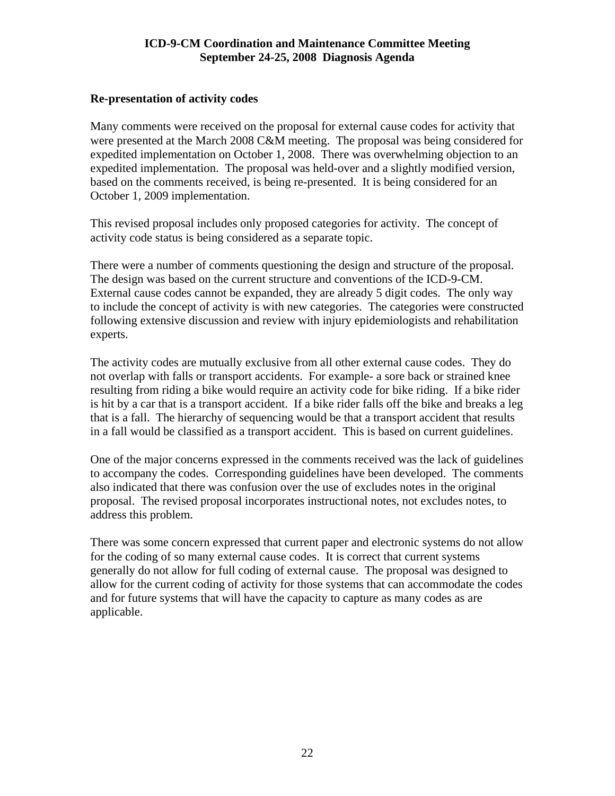# <span id="page-21-0"></span>**Re-presentation of activity codes**

Many comments were received on the proposal for external cause codes for activity that were presented at the March 2008 C&M meeting. The proposal was being considered for expedited implementation on October 1, 2008. There was overwhelming objection to an expedited implementation. The proposal was held-over and a slightly modified version, based on the comments received, is being re-presented. It is being considered for an October 1, 2009 implementation.

This revised proposal includes only proposed categories for activity. The concept of activity code status is being considered as a separate topic.

There were a number of comments questioning the design and structure of the proposal. The design was based on the current structure and conventions of the ICD-9-CM. External cause codes cannot be expanded, they are already 5 digit codes. The only way to include the concept of activity is with new categories. The categories were constructed following extensive discussion and review with injury epidemiologists and rehabilitation experts.

The activity codes are mutually exclusive from all other external cause codes. They do not overlap with falls or transport accidents. For example- a sore back or strained knee resulting from riding a bike would require an activity code for bike riding. If a bike rider is hit by a car that is a transport accident. If a bike rider falls off the bike and breaks a leg that is a fall. The hierarchy of sequencing would be that a transport accident that results in a fall would be classified as a transport accident. This is based on current guidelines.

One of the major concerns expressed in the comments received was the lack of guidelines to accompany the codes. Corresponding guidelines have been developed. The comments also indicated that there was confusion over the use of excludes notes in the original proposal. The revised proposal incorporates instructional notes, not excludes notes, to address this problem.

There was some concern expressed that current paper and electronic systems do not allow for the coding of so many external cause codes. It is correct that current systems generally do not allow for full coding of external cause. The proposal was designed to allow for the current coding of activity for those systems that can accommodate the codes and for future systems that will have the capacity to capture as many codes as are applicable.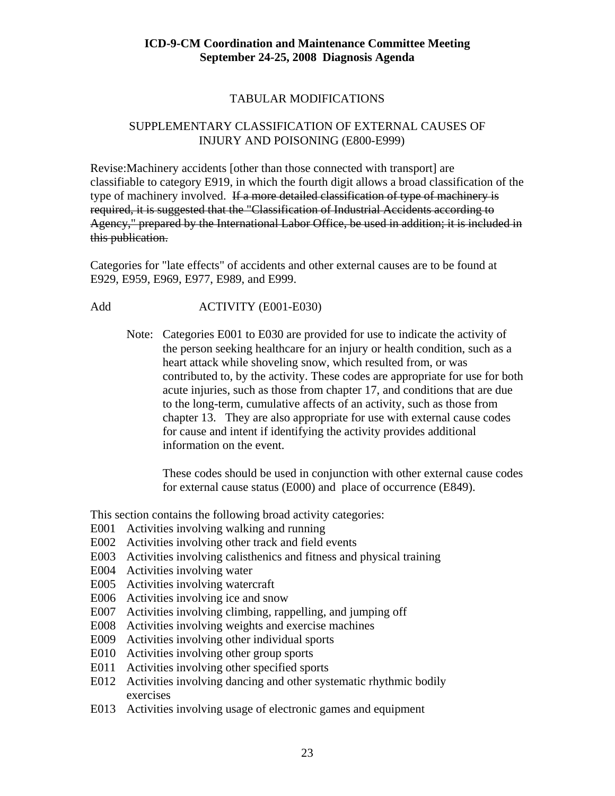# TABULAR MODIFICATIONS

# SUPPLEMENTARY CLASSIFICATION OF EXTERNAL CAUSES OF INJURY AND POISONING (E800-E999)

Revise:Machinery accidents [other than those connected with transport] are classifiable to category E919, in which the fourth digit allows a broad classification of the type of machinery involved. If a more detailed classification of type of machinery is required, it is suggested that the "Classification of Industrial Accidents according to Agency," prepared by the International Labor Office, be used in addition; it is included in this publication.

Categories for "late effects" of accidents and other external causes are to be found at E929, E959, E969, E977, E989, and E999.

# Add ACTIVITY (E001-E030)

 Note: Categories E001 to E030 are provided for use to indicate the activity of the person seeking healthcare for an injury or health condition, such as a heart attack while shoveling snow, which resulted from, or was contributed to, by the activity. These codes are appropriate for use for both acute injuries, such as those from chapter 17, and conditions that are due to the long-term, cumulative affects of an activity, such as those from chapter 13. They are also appropriate for use with external cause codes for cause and intent if identifying the activity provides additional information on the event.

 These codes should be used in conjunction with other external cause codes for external cause status (E000) and place of occurrence (E849).

This section contains the following broad activity categories:

- E001 Activities involving walking and running
- E002 Activities involving other track and field events
- E003 Activities involving calisthenics and fitness and physical training
- E004 Activities involving water
- E005 Activities involving watercraft
- E006 Activities involving ice and snow
- E007 Activities involving climbing, rappelling, and jumping off
- E008 Activities involving weights and exercise machines
- E009 Activities involving other individual sports
- E010 Activities involving other group sports
- E011 Activities involving other specified sports
- E012 Activities involving dancing and other systematic rhythmic bodily exercises
- E013 Activities involving usage of electronic games and equipment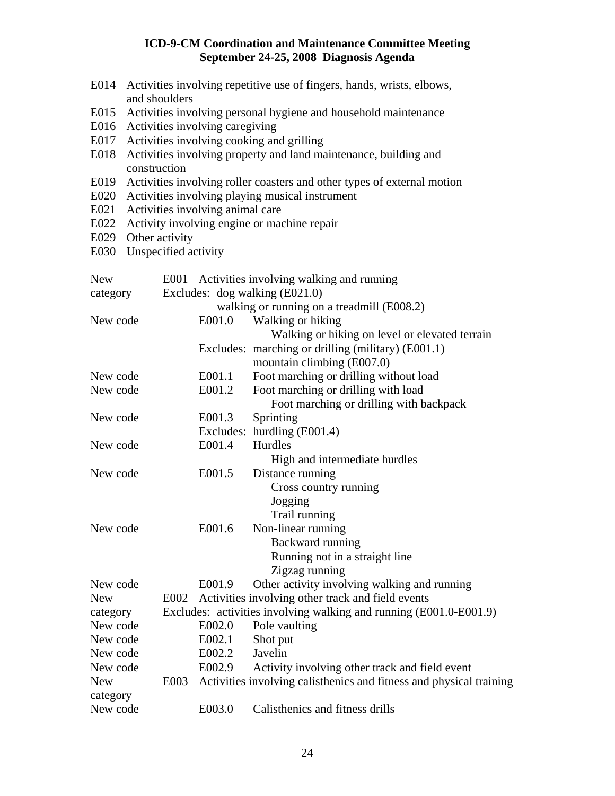- E014 Activities involving repetitive use of fingers, hands, wrists, elbows, and shoulders
- E015 Activities involving personal hygiene and household maintenance
- E016 Activities involving caregiving
- E017 Activities involving cooking and grilling
- E018 Activities involving property and land maintenance, building and construction
- E019 Activities involving roller coasters and other types of external motion
- E020 Activities involving playing musical instrument
- E021 Activities involving animal care
- E022 Activity involving engine or machine repair
- E029 Other activity
- E030 Unspecified activity

| <b>New</b> |        | E001 Activities involving walking and running                            |
|------------|--------|--------------------------------------------------------------------------|
| category   |        | Excludes: dog walking (E021.0)                                           |
|            |        | walking or running on a treadmill (E008.2)                               |
| New code   | E001.0 | Walking or hiking                                                        |
|            |        | Walking or hiking on level or elevated terrain                           |
|            |        | Excludes: marching or drilling (military) (E001.1)                       |
|            |        | mountain climbing (E007.0)                                               |
| New code   | E001.1 | Foot marching or drilling without load                                   |
| New code   | E001.2 | Foot marching or drilling with load                                      |
|            |        | Foot marching or drilling with backpack                                  |
| New code   | E001.3 | Sprinting                                                                |
|            |        | Excludes: hurdling (E001.4)                                              |
| New code   | E001.4 | Hurdles                                                                  |
|            |        | High and intermediate hurdles                                            |
| New code   | E001.5 | Distance running                                                         |
|            |        | Cross country running                                                    |
|            |        | Jogging                                                                  |
|            |        | Trail running                                                            |
| New code   | E001.6 | Non-linear running                                                       |
|            |        | Backward running                                                         |
|            |        | Running not in a straight line                                           |
|            |        | Zigzag running                                                           |
| New code   | E001.9 | Other activity involving walking and running                             |
| <b>New</b> |        | E002 Activities involving other track and field events                   |
| category   |        | Excludes: activities involving walking and running (E001.0-E001.9)       |
| New code   | E002.0 | Pole vaulting                                                            |
| New code   | E002.1 | Shot put                                                                 |
| New code   | E002.2 | Javelin                                                                  |
| New code   | E002.9 | Activity involving other track and field event                           |
| <b>New</b> |        | E003 Activities involving calisthenics and fitness and physical training |
| category   |        |                                                                          |
| New code   | E003.0 | Calisthenics and fitness drills                                          |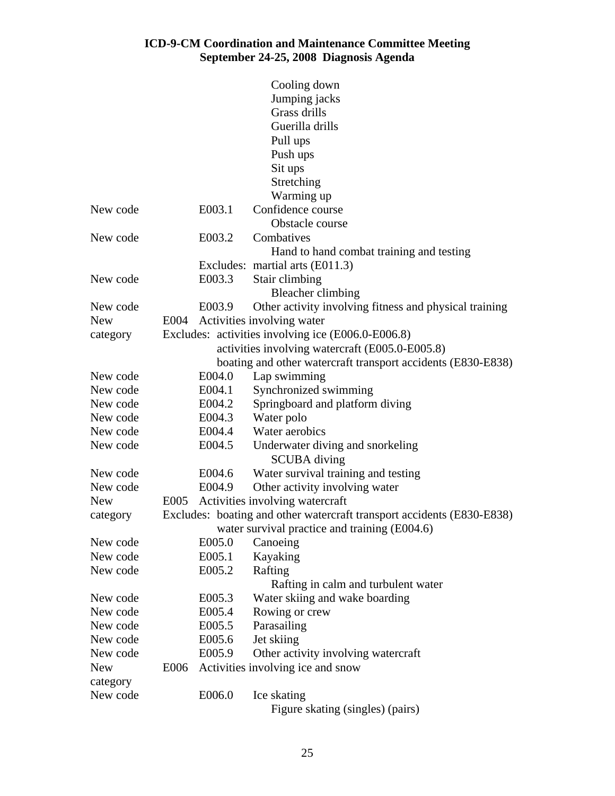|            |      |        | Cooling down                                                           |
|------------|------|--------|------------------------------------------------------------------------|
|            |      |        | Jumping jacks                                                          |
|            |      |        | Grass drills                                                           |
|            |      |        | Guerilla drills                                                        |
|            |      |        | Pull ups                                                               |
|            |      |        | Push ups                                                               |
|            |      |        | Sit ups                                                                |
|            |      |        | Stretching                                                             |
|            |      |        | Warming up                                                             |
| New code   |      | E003.1 | Confidence course                                                      |
|            |      |        | Obstacle course                                                        |
| New code   |      | E003.2 | Combatives                                                             |
|            |      |        | Hand to hand combat training and testing                               |
|            |      |        | Excludes: martial arts (E011.3)                                        |
| New code   |      | E003.3 | Stair climbing                                                         |
|            |      |        | <b>Bleacher climbing</b>                                               |
| New code   |      | E003.9 | Other activity involving fitness and physical training                 |
| <b>New</b> | E004 |        | Activities involving water                                             |
| category   |      |        | Excludes: activities involving ice (E006.0-E006.8)                     |
|            |      |        | activities involving watercraft (E005.0-E005.8)                        |
|            |      |        | boating and other watercraft transport accidents (E830-E838)           |
| New code   |      | E004.0 | Lap swimming                                                           |
| New code   |      | E004.1 | Synchronized swimming                                                  |
| New code   |      | E004.2 | Springboard and platform diving                                        |
| New code   |      | E004.3 | Water polo                                                             |
| New code   |      | E004.4 | Water aerobics                                                         |
| New code   |      | E004.5 | Underwater diving and snorkeling<br><b>SCUBA</b> diving                |
| New code   |      | E004.6 | Water survival training and testing                                    |
| New code   |      | E004.9 | Other activity involving water                                         |
| <b>New</b> | E005 |        | Activities involving watercraft                                        |
| category   |      |        | Excludes: boating and other watercraft transport accidents (E830-E838) |
|            |      |        | water survival practice and training (E004.6)                          |
| New code   |      | E005.0 | Canoeing                                                               |
| New code   |      | E005.1 | Kayaking                                                               |
| New code   |      | E005.2 | Rafting<br>Rafting in calm and turbulent water                         |
| New code   |      | E005.3 | Water skiing and wake boarding                                         |
| New code   |      | E005.4 | Rowing or crew                                                         |
| New code   |      | E005.5 | Parasailing                                                            |
| New code   |      | E005.6 | Jet skiing                                                             |
| New code   |      | E005.9 | Other activity involving watercraft                                    |
| <b>New</b> | E006 |        | Activities involving ice and snow                                      |
| category   |      |        |                                                                        |
| New code   |      | E006.0 | Ice skating                                                            |
|            |      |        | Figure skating (singles) (pairs)                                       |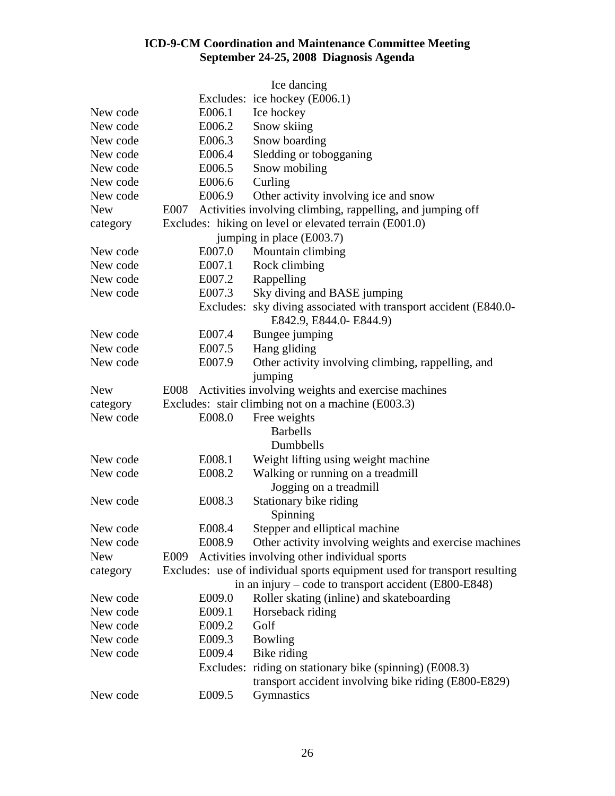|            |        | Ice dancing                                                                                 |
|------------|--------|---------------------------------------------------------------------------------------------|
|            |        | Excludes: ice hockey (E006.1)                                                               |
| New code   | E006.1 | Ice hockey                                                                                  |
| New code   | E006.2 | Snow skiing                                                                                 |
| New code   | E006.3 | Snow boarding                                                                               |
| New code   | E006.4 | Sledding or tobogganing                                                                     |
| New code   | E006.5 | Snow mobiling                                                                               |
| New code   | E006.6 | Curling                                                                                     |
| New code   | E006.9 | Other activity involving ice and snow                                                       |
| <b>New</b> | E007   | Activities involving climbing, rappelling, and jumping off                                  |
| category   |        | Excludes: hiking on level or elevated terrain (E001.0)                                      |
|            |        | jumping in place (E003.7)                                                                   |
| New code   | E007.0 | Mountain climbing                                                                           |
| New code   | E007.1 | Rock climbing                                                                               |
| New code   | E007.2 | Rappelling                                                                                  |
| New code   | E007.3 | Sky diving and BASE jumping                                                                 |
|            |        | Excludes: sky diving associated with transport accident (E840.0-<br>E842.9, E844.0- E844.9) |
| New code   | E007.4 | Bungee jumping                                                                              |
| New code   | E007.5 | Hang gliding                                                                                |
| New code   | E007.9 | Other activity involving climbing, rappelling, and                                          |
|            |        | jumping                                                                                     |
| <b>New</b> |        | E008 Activities involving weights and exercise machines                                     |
| category   |        | Excludes: stair climbing not on a machine (E003.3)                                          |
| New code   | E008.0 | Free weights                                                                                |
|            |        | <b>Barbells</b>                                                                             |
|            |        | Dumbbells                                                                                   |
| New code   | E008.1 | Weight lifting using weight machine                                                         |
| New code   | E008.2 | Walking or running on a treadmill                                                           |
|            |        | Jogging on a treadmill                                                                      |
| New code   | E008.3 | Stationary bike riding                                                                      |
|            |        | Spinning                                                                                    |
| New code   | E008.4 | Stepper and elliptical machine                                                              |
| New code   | E008.9 | Other activity involving weights and exercise machines                                      |
| <b>New</b> | E009   | Activities involving other individual sports                                                |
| category   |        | Excludes: use of individual sports equipment used for transport resulting                   |
|            |        | in an injury – code to transport accident (E800-E848)                                       |
| New code   | E009.0 | Roller skating (inline) and skateboarding                                                   |
| New code   | E009.1 | Horseback riding                                                                            |
| New code   | E009.2 | Golf                                                                                        |
| New code   | E009.3 | Bowling                                                                                     |
| New code   | E009.4 | Bike riding                                                                                 |
|            |        | Excludes: riding on stationary bike (spinning) (E008.3)                                     |
|            |        | transport accident involving bike riding (E800-E829)                                        |
| New code   | E009.5 | Gymnastics                                                                                  |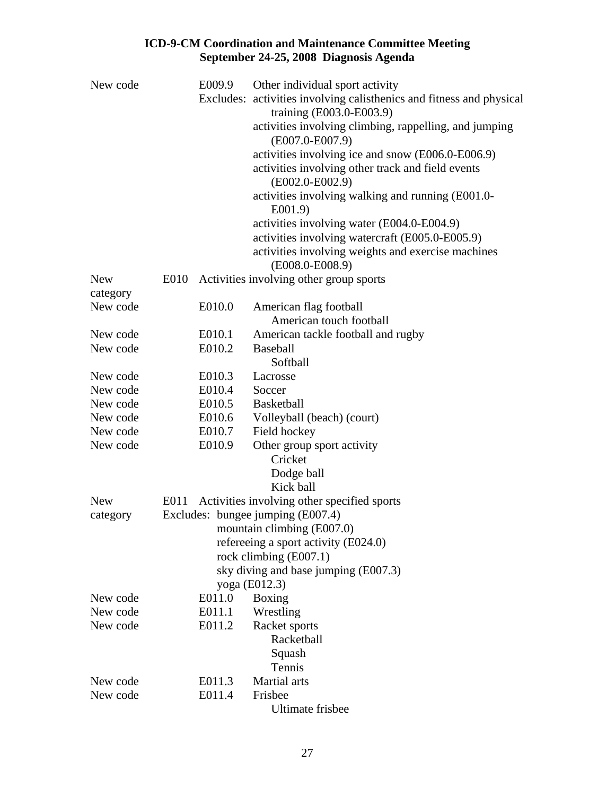| New code             | E009.9           | Other individual sport activity                                        |
|----------------------|------------------|------------------------------------------------------------------------|
|                      |                  | Excludes: activities involving calisthenics and fitness and physical   |
|                      |                  | training (E003.0-E003.9)                                               |
|                      |                  | activities involving climbing, rappelling, and jumping                 |
|                      |                  | $(E007.0-E007.9)$                                                      |
|                      |                  | activities involving ice and snow (E006.0-E006.9)                      |
|                      |                  | activities involving other track and field events<br>$(E002.0-E002.9)$ |
|                      |                  | activities involving walking and running (E001.0-<br>E001.9            |
|                      |                  | activities involving water (E004.0-E004.9)                             |
|                      |                  | activities involving watercraft (E005.0-E005.9)                        |
|                      |                  | activities involving weights and exercise machines                     |
|                      |                  | $(E008.0-E008.9)$                                                      |
| <b>New</b>           | E010             | Activities involving other group sports                                |
| category             |                  |                                                                        |
| New code             | E010.0           | American flag football                                                 |
|                      |                  | American touch football                                                |
| New code             | E010.1           | American tackle football and rugby                                     |
| New code             | E010.2           | <b>Baseball</b>                                                        |
|                      |                  | Softball                                                               |
| New code             | E010.3           | Lacrosse                                                               |
| New code<br>New code | E010.4<br>E010.5 | Soccer<br><b>Basketball</b>                                            |
| New code             | E010.6           | Volleyball (beach) (court)                                             |
| New code             | E010.7           | Field hockey                                                           |
| New code             | E010.9           | Other group sport activity                                             |
|                      |                  | Cricket                                                                |
|                      |                  | Dodge ball                                                             |
|                      |                  | Kick ball                                                              |
| <b>New</b>           |                  | E011 Activities involving other specified sports                       |
| category             |                  | Excludes: bungee jumping (E007.4)                                      |
|                      |                  | mountain climbing (E007.0)                                             |
|                      |                  | refereeing a sport activity (E024.0)                                   |
|                      |                  | rock climbing (E007.1)                                                 |
|                      |                  | sky diving and base jumping (E007.3)                                   |
|                      |                  | yoga (E012.3)                                                          |
| New code             | E011.0           | Boxing                                                                 |
| New code             | E011.1           | Wrestling                                                              |
| New code             | E011.2           | Racket sports                                                          |
|                      |                  | Racketball                                                             |
|                      |                  | Squash                                                                 |
|                      |                  | Tennis                                                                 |
| New code             | E011.3           | Martial arts                                                           |
| New code             | E011.4           | Frisbee<br><b>Ultimate frisbee</b>                                     |
|                      |                  |                                                                        |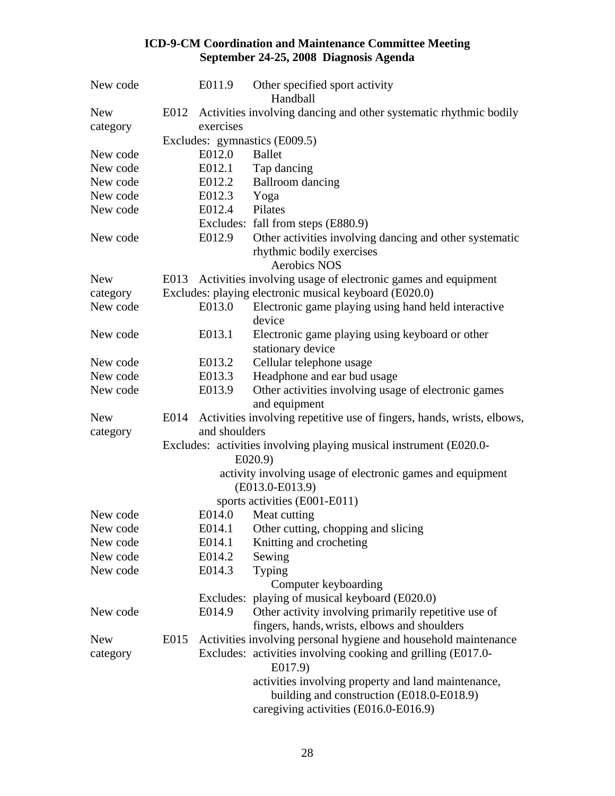| New code   |      | E011.9        | Other specified sport activity<br>Handball                                                                                                |
|------------|------|---------------|-------------------------------------------------------------------------------------------------------------------------------------------|
| <b>New</b> | E012 |               | Activities involving dancing and other systematic rhythmic bodily                                                                         |
| category   |      | exercises     |                                                                                                                                           |
|            |      |               | Excludes: gymnastics (E009.5)                                                                                                             |
| New code   |      | E012.0        | <b>Ballet</b>                                                                                                                             |
| New code   |      | E012.1        | Tap dancing                                                                                                                               |
| New code   |      | E012.2        | <b>Ballroom</b> dancing                                                                                                                   |
| New code   |      | E012.3        | Yoga                                                                                                                                      |
| New code   |      | E012.4        | Pilates                                                                                                                                   |
|            |      |               | Excludes: fall from steps (E880.9)                                                                                                        |
| New code   |      | E012.9        | Other activities involving dancing and other systematic<br>rhythmic bodily exercises<br><b>Aerobics NOS</b>                               |
| <b>New</b> |      |               | E013 Activities involving usage of electronic games and equipment                                                                         |
| category   |      |               | Excludes: playing electronic musical keyboard (E020.0)                                                                                    |
| New code   |      | E013.0        | Electronic game playing using hand held interactive<br>device                                                                             |
| New code   |      | E013.1        | Electronic game playing using keyboard or other<br>stationary device                                                                      |
| New code   |      | E013.2        | Cellular telephone usage                                                                                                                  |
| New code   |      | E013.3        | Headphone and ear bud usage                                                                                                               |
| New code   |      | E013.9        | Other activities involving usage of electronic games<br>and equipment                                                                     |
| <b>New</b> | E014 |               | Activities involving repetitive use of fingers, hands, wrists, elbows,                                                                    |
| category   |      | and shoulders |                                                                                                                                           |
|            |      |               | Excludes: activities involving playing musical instrument (E020.0-<br>E020.9                                                              |
|            |      |               | activity involving usage of electronic games and equipment<br>$(E013.0-E013.9)$                                                           |
|            |      |               | sports activities (E001-E011)                                                                                                             |
| New code   |      | E014.0        | Meat cutting                                                                                                                              |
| New code   |      |               | E014.1 Other cutting, chopping and slicing                                                                                                |
| New code   |      | E014.1        | Knitting and crocheting                                                                                                                   |
| New code   |      | E014.2        | Sewing                                                                                                                                    |
| New code   |      | E014.3        | Typing<br>Computer keyboarding                                                                                                            |
|            |      |               | Excludes: playing of musical keyboard (E020.0)                                                                                            |
| New code   |      | E014.9        | Other activity involving primarily repetitive use of<br>fingers, hands, wrists, elbows and shoulders                                      |
| <b>New</b> | E015 |               | Activities involving personal hygiene and household maintenance                                                                           |
| category   |      |               | Excludes: activities involving cooking and grilling (E017.0-<br>E017.9)                                                                   |
|            |      |               | activities involving property and land maintenance,<br>building and construction (E018.0-E018.9)<br>caregiving activities (E016.0-E016.9) |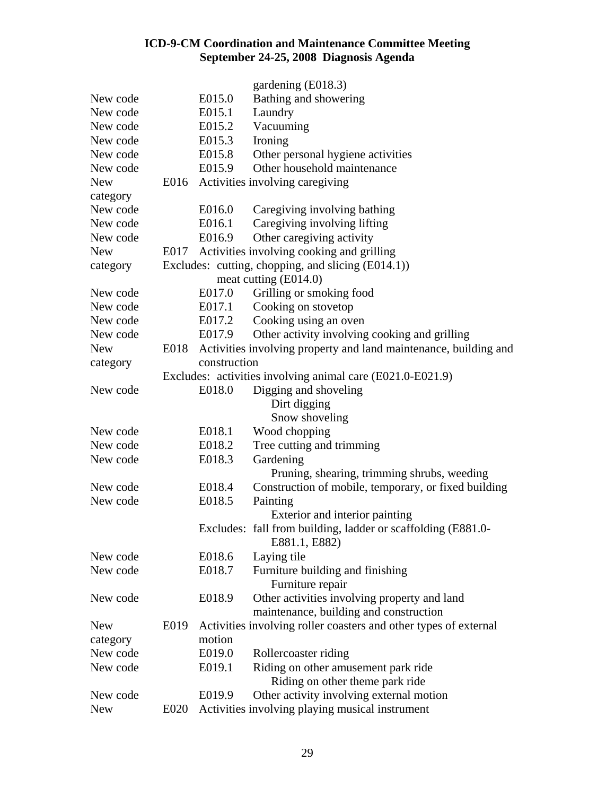|            |      |              | gardening (E018.3)                                                    |
|------------|------|--------------|-----------------------------------------------------------------------|
| New code   |      | E015.0       | Bathing and showering                                                 |
| New code   |      | E015.1       | Laundry                                                               |
| New code   |      | E015.2       | Vacuuming                                                             |
| New code   |      | E015.3       | Ironing                                                               |
| New code   |      | E015.8       | Other personal hygiene activities                                     |
| New code   |      | E015.9       | Other household maintenance                                           |
| <b>New</b> |      |              | E016 Activities involving caregiving                                  |
| category   |      |              |                                                                       |
| New code   |      | E016.0       | Caregiving involving bathing                                          |
| New code   |      | E016.1       | Caregiving involving lifting                                          |
| New code   |      | E016.9       | Other caregiving activity                                             |
| <b>New</b> | E017 |              | Activities involving cooking and grilling                             |
| category   |      |              | Excludes: cutting, chopping, and slicing (E014.1))                    |
|            |      |              | meat cutting (E014.0)                                                 |
| New code   |      | E017.0       | Grilling or smoking food                                              |
| New code   |      | E017.1       | Cooking on stovetop                                                   |
| New code   |      | E017.2       | Cooking using an oven                                                 |
| New code   |      | E017.9       | Other activity involving cooking and grilling                         |
| <b>New</b> |      |              | E018 Activities involving property and land maintenance, building and |
| category   |      | construction |                                                                       |
|            |      |              | Excludes: activities involving animal care (E021.0-E021.9)            |
| New code   |      | E018.0       | Digging and shoveling                                                 |
|            |      |              | Dirt digging                                                          |
|            |      |              | Snow shoveling                                                        |
| New code   |      | E018.1       | Wood chopping                                                         |
| New code   |      | E018.2       | Tree cutting and trimming                                             |
| New code   |      | E018.3       | Gardening                                                             |
|            |      |              | Pruning, shearing, trimming shrubs, weeding                           |
| New code   |      | E018.4       | Construction of mobile, temporary, or fixed building                  |
| New code   |      | E018.5       | Painting                                                              |
|            |      |              | Exterior and interior painting                                        |
|            |      |              | Excludes: fall from building, ladder or scaffolding (E881.0-          |
|            |      |              | E881.1, E882)                                                         |
| New code   |      | E018.6       | Laying tile                                                           |
| New code   |      | E018.7       | Furniture building and finishing                                      |
|            |      |              | Furniture repair                                                      |
| New code   |      | E018.9       | Other activities involving property and land                          |
|            |      |              | maintenance, building and construction                                |
| <b>New</b> | E019 |              | Activities involving roller coasters and other types of external      |
| category   |      | motion       |                                                                       |
| New code   |      | E019.0       | Rollercoaster riding                                                  |
| New code   |      | E019.1       | Riding on other amusement park ride                                   |
|            |      |              | Riding on other theme park ride                                       |
| New code   |      | E019.9       | Other activity involving external motion                              |
| <b>New</b> | E020 |              | Activities involving playing musical instrument                       |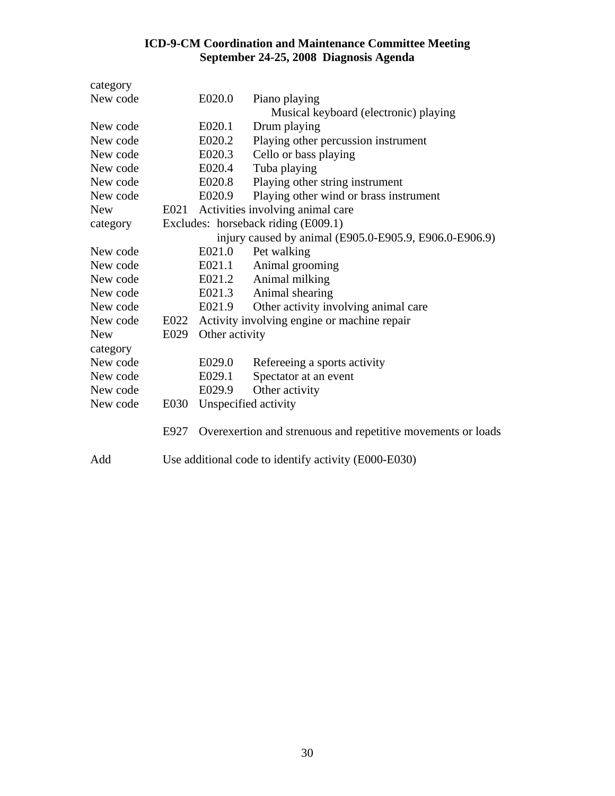| category   |      |                                                      |                                                              |
|------------|------|------------------------------------------------------|--------------------------------------------------------------|
| New code   |      | E020.0                                               | Piano playing                                                |
|            |      |                                                      | Musical keyboard (electronic) playing                        |
| New code   |      | E020.1                                               | Drum playing                                                 |
| New code   |      | E020.2                                               | Playing other percussion instrument                          |
| New code   |      | E020.3                                               | Cello or bass playing                                        |
| New code   |      | E020.4                                               | Tuba playing                                                 |
| New code   |      | E020.8                                               | Playing other string instrument                              |
| New code   |      | E020.9                                               | Playing other wind or brass instrument                       |
| <b>New</b> |      |                                                      | E021 Activities involving animal care                        |
| category   |      |                                                      | Excludes: horseback riding (E009.1)                          |
|            |      |                                                      | injury caused by animal (E905.0-E905.9, E906.0-E906.9)       |
| New code   |      | E021.0                                               | Pet walking                                                  |
| New code   |      | E021.1                                               | Animal grooming                                              |
| New code   |      | E021.2                                               | Animal milking                                               |
| New code   |      | E021.3                                               | Animal shearing                                              |
| New code   |      | E021.9                                               | Other activity involving animal care                         |
| New code   | E022 |                                                      | Activity involving engine or machine repair                  |
| <b>New</b> | E029 | Other activity                                       |                                                              |
| category   |      |                                                      |                                                              |
| New code   |      | E029.0                                               | Refereeing a sports activity                                 |
| New code   |      | E029.1                                               | Spectator at an event                                        |
| New code   |      | E029.9                                               | Other activity                                               |
| New code   | E030 |                                                      | Unspecified activity                                         |
|            | E927 |                                                      | Overexertion and strenuous and repetitive movements or loads |
| Add        |      | Use additional code to identify activity (E000-E030) |                                                              |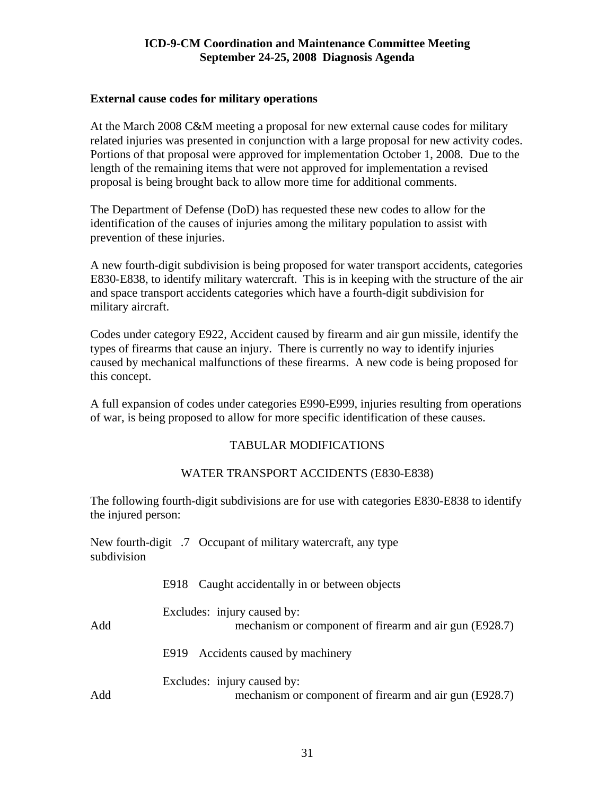#### <span id="page-30-0"></span>**External cause codes for military operations**

At the March 2008 C&M meeting a proposal for new external cause codes for military related injuries was presented in conjunction with a large proposal for new activity codes. Portions of that proposal were approved for implementation October 1, 2008. Due to the length of the remaining items that were not approved for implementation a revised proposal is being brought back to allow more time for additional comments.

The Department of Defense (DoD) has requested these new codes to allow for the identification of the causes of injuries among the military population to assist with prevention of these injuries.

A new fourth-digit subdivision is being proposed for water transport accidents, categories E830-E838, to identify military watercraft. This is in keeping with the structure of the air and space transport accidents categories which have a fourth-digit subdivision for military aircraft.

Codes under category E922, Accident caused by firearm and air gun missile, identify the types of firearms that cause an injury. There is currently no way to identify injuries caused by mechanical malfunctions of these firearms. A new code is being proposed for this concept.

A full expansion of codes under categories E990-E999, injuries resulting from operations of war, is being proposed to allow for more specific identification of these causes.

#### TABULAR MODIFICATIONS

#### WATER TRANSPORT ACCIDENTS (E830-E838)

The following fourth-digit subdivisions are for use with categories E830-E838 to identify the injured person:

New fourth-digit .7 Occupant of military watercraft, any type subdivision

|     | E918 Caught accidentally in or between objects                                        |
|-----|---------------------------------------------------------------------------------------|
| Add | Excludes: injury caused by:<br>mechanism or component of firearm and air gun (E928.7) |
|     | E919 Accidents caused by machinery                                                    |
| Add | Excludes: injury caused by:<br>mechanism or component of firearm and air gun (E928.7) |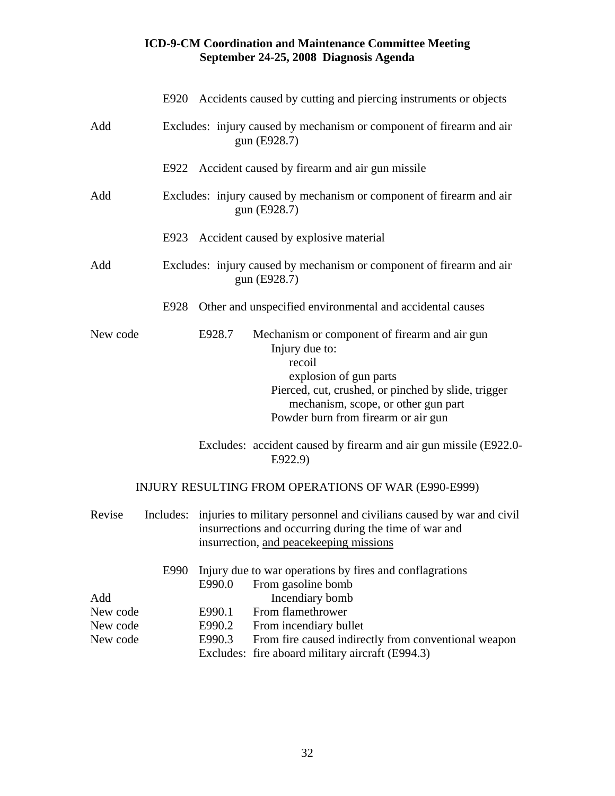|                 |           |        | E920 Accidents caused by cutting and piercing instruments or objects                                                                                                                                                                     |
|-----------------|-----------|--------|------------------------------------------------------------------------------------------------------------------------------------------------------------------------------------------------------------------------------------------|
| Add             |           |        | Excludes: injury caused by mechanism or component of firearm and air<br>gun (E928.7)                                                                                                                                                     |
|                 |           |        | E922 Accident caused by firearm and air gun missile                                                                                                                                                                                      |
| Add             |           |        | Excludes: injury caused by mechanism or component of firearm and air<br>gun (E928.7)                                                                                                                                                     |
|                 |           |        | E923 Accident caused by explosive material                                                                                                                                                                                               |
| Add             |           |        | Excludes: injury caused by mechanism or component of firearm and air<br>gun (E928.7)                                                                                                                                                     |
|                 | E928      |        | Other and unspecified environmental and accidental causes                                                                                                                                                                                |
| New code        |           | E928.7 | Mechanism or component of firearm and air gun<br>Injury due to:<br>recoil<br>explosion of gun parts<br>Pierced, cut, crushed, or pinched by slide, trigger<br>mechanism, scope, or other gun part<br>Powder burn from firearm or air gun |
|                 |           |        | Excludes: accident caused by firearm and air gun missile (E922.0-<br>E922.9)                                                                                                                                                             |
|                 |           |        | INJURY RESULTING FROM OPERATIONS OF WAR (E990-E999)                                                                                                                                                                                      |
| Revise          | Includes: |        | injuries to military personnel and civilians caused by war and civil<br>insurrections and occurring during the time of war and<br>insurrection, and peacekeeping missions                                                                |
|                 | E990      | E990.0 | Injury due to war operations by fires and conflagrations<br>From gasoline bomb                                                                                                                                                           |
| Add<br>New code |           | E990.1 | Incendiary bomb<br>From flamethrower                                                                                                                                                                                                     |
| New code        |           | E990.2 | From incendiary bullet                                                                                                                                                                                                                   |
| New code        |           | E990.3 | From fire caused indirectly from conventional weapon                                                                                                                                                                                     |
|                 |           |        | Excludes: fire aboard military aircraft (E994.3)                                                                                                                                                                                         |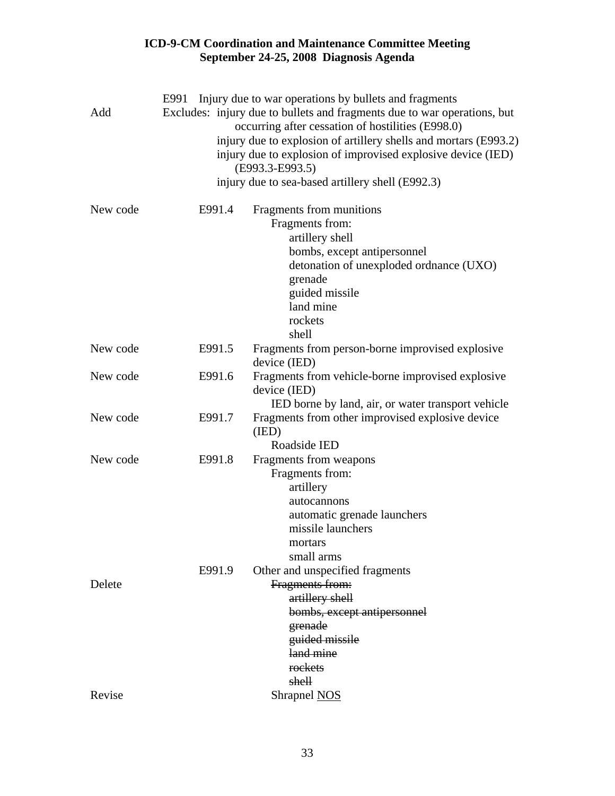| Add      | E991   | Injury due to war operations by bullets and fragments<br>Excludes: injury due to bullets and fragments due to war operations, but<br>occurring after cessation of hostilities (E998.0)<br>injury due to explosion of artillery shells and mortars (E993.2)<br>injury due to explosion of improvised explosive device (IED)<br>(E993.3-E993.5)<br>injury due to sea-based artillery shell (E992.3) |
|----------|--------|---------------------------------------------------------------------------------------------------------------------------------------------------------------------------------------------------------------------------------------------------------------------------------------------------------------------------------------------------------------------------------------------------|
| New code | E991.4 | Fragments from munitions<br>Fragments from:<br>artillery shell<br>bombs, except antipersonnel<br>detonation of unexploded ordnance (UXO)<br>grenade<br>guided missile<br>land mine<br>rockets<br>shell                                                                                                                                                                                            |
| New code | E991.5 | Fragments from person-borne improvised explosive<br>device (IED)                                                                                                                                                                                                                                                                                                                                  |
| New code | E991.6 | Fragments from vehicle-borne improvised explosive<br>device (IED)<br>IED borne by land, air, or water transport vehicle                                                                                                                                                                                                                                                                           |
| New code | E991.7 | Fragments from other improvised explosive device<br>(IED)<br>Roadside IED                                                                                                                                                                                                                                                                                                                         |
| New code | E991.8 | Fragments from weapons<br>Fragments from:<br>artillery<br>autocannons<br>automatic grenade launchers<br>missile launchers<br>mortars<br>small arms                                                                                                                                                                                                                                                |
| Delete   | E991.9 | Other and unspecified fragments<br>Fragments from:<br>artillery shell<br>bombs, except antipersonnel<br>grenade<br>guided missile<br>land mine<br>rockets<br>shell                                                                                                                                                                                                                                |
| Revise   |        | Shrapnel NOS                                                                                                                                                                                                                                                                                                                                                                                      |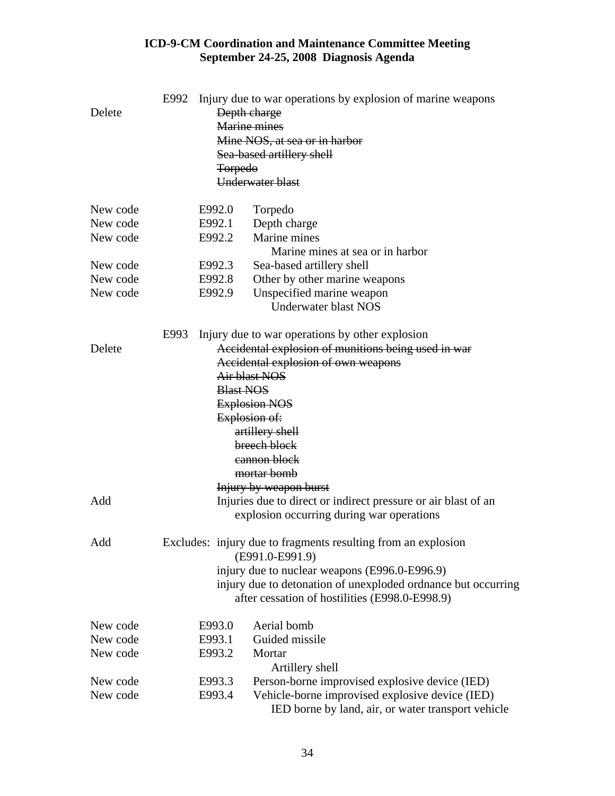| Delete   | E992                                                                             | <b>Torpedo</b>                                | Injury due to war operations by explosion of marine weapons<br>Depth charge<br>Marine mines<br>Mine NOS, at sea or in harbor<br>Sea-based artillery shell<br>Underwater blast |  |  |
|----------|----------------------------------------------------------------------------------|-----------------------------------------------|-------------------------------------------------------------------------------------------------------------------------------------------------------------------------------|--|--|
| New code |                                                                                  | E992.0                                        | Torpedo                                                                                                                                                                       |  |  |
| New code |                                                                                  | E992.1                                        | Depth charge                                                                                                                                                                  |  |  |
| New code |                                                                                  | E992.2                                        | Marine mines<br>Marine mines at sea or in harbor                                                                                                                              |  |  |
| New code |                                                                                  | E992.3                                        | Sea-based artillery shell                                                                                                                                                     |  |  |
| New code |                                                                                  | E992.8                                        | Other by other marine weapons                                                                                                                                                 |  |  |
| New code |                                                                                  | E992.9                                        | Unspecified marine weapon                                                                                                                                                     |  |  |
|          |                                                                                  |                                               | <b>Underwater blast NOS</b>                                                                                                                                                   |  |  |
| Delete   | E993                                                                             |                                               | Injury due to war operations by other explosion<br>Accidental explosion of munitions being used in war                                                                        |  |  |
|          |                                                                                  | Accidental explosion of own weapons           |                                                                                                                                                                               |  |  |
|          |                                                                                  | Air blast NOS                                 |                                                                                                                                                                               |  |  |
|          |                                                                                  | <b>Blast NOS</b>                              |                                                                                                                                                                               |  |  |
|          |                                                                                  | <b>Explosion NOS</b>                          |                                                                                                                                                                               |  |  |
|          |                                                                                  | Explosion of:                                 |                                                                                                                                                                               |  |  |
|          |                                                                                  | artillery shell                               |                                                                                                                                                                               |  |  |
|          |                                                                                  | breech block                                  |                                                                                                                                                                               |  |  |
|          |                                                                                  |                                               | cannon block                                                                                                                                                                  |  |  |
|          |                                                                                  |                                               | mortar bomb                                                                                                                                                                   |  |  |
|          |                                                                                  |                                               | <b>Injury by weapon burst</b>                                                                                                                                                 |  |  |
| Add      |                                                                                  |                                               | Injuries due to direct or indirect pressure or air blast of an<br>explosion occurring during war operations                                                                   |  |  |
| Add      | Excludes: injury due to fragments resulting from an explosion<br>(E991.0-E991.9) |                                               |                                                                                                                                                                               |  |  |
|          |                                                                                  | injury due to nuclear weapons (E996.0-E996.9) |                                                                                                                                                                               |  |  |
|          |                                                                                  |                                               | injury due to detonation of unexploded ordnance but occurring<br>after cessation of hostilities (E998.0-E998.9)                                                               |  |  |
| New code |                                                                                  | E993.0                                        | Aerial bomb                                                                                                                                                                   |  |  |
| New code |                                                                                  | E993.1                                        | Guided missile                                                                                                                                                                |  |  |
| New code |                                                                                  | E993.2                                        | Mortar<br>Artillery shell                                                                                                                                                     |  |  |
| New code |                                                                                  | E993.3                                        | Person-borne improvised explosive device (IED)                                                                                                                                |  |  |
| New code |                                                                                  | E993.4                                        | Vehicle-borne improvised explosive device (IED)                                                                                                                               |  |  |
|          |                                                                                  |                                               | IED borne by land, air, or water transport vehicle                                                                                                                            |  |  |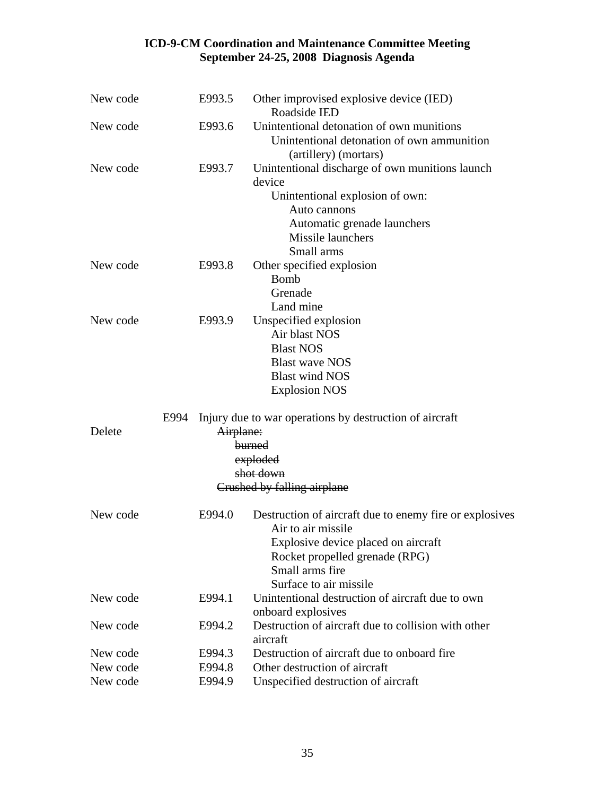| New code | E993.5    | Other improvised explosive device (IED)<br>Roadside IED                                                          |
|----------|-----------|------------------------------------------------------------------------------------------------------------------|
| New code | E993.6    | Unintentional detonation of own munitions<br>Unintentional detonation of own ammunition<br>(artillery) (mortars) |
| New code | E993.7    | Unintentional discharge of own munitions launch<br>device                                                        |
|          |           | Unintentional explosion of own:                                                                                  |
|          |           | Auto cannons                                                                                                     |
|          |           | Automatic grenade launchers                                                                                      |
|          |           | Missile launchers<br>Small arms                                                                                  |
| New code | E993.8    | Other specified explosion                                                                                        |
|          |           | <b>Bomb</b>                                                                                                      |
|          |           | Grenade                                                                                                          |
|          |           | Land mine                                                                                                        |
| New code | E993.9    | Unspecified explosion                                                                                            |
|          |           | Air blast NOS                                                                                                    |
|          |           | <b>Blast NOS</b>                                                                                                 |
|          |           | <b>Blast wave NOS</b>                                                                                            |
|          |           | <b>Blast wind NOS</b>                                                                                            |
|          |           | <b>Explosion NOS</b>                                                                                             |
| E994     |           | Injury due to war operations by destruction of aircraft                                                          |
| Delete   | Airplane: |                                                                                                                  |
|          |           | burned                                                                                                           |
|          |           | exploded<br>shot down                                                                                            |
|          |           | Crushed by falling airplane                                                                                      |
|          |           |                                                                                                                  |
| New code | E994.0    | Destruction of aircraft due to enemy fire or explosives<br>Air to air missile                                    |
|          |           | Explosive device placed on aircraft                                                                              |
|          |           | Rocket propelled grenade (RPG)                                                                                   |
|          |           | Small arms fire                                                                                                  |
|          |           | Surface to air missile                                                                                           |
| New code | E994.1    | Unintentional destruction of aircraft due to own                                                                 |
|          |           | onboard explosives                                                                                               |
| New code | E994.2    | Destruction of aircraft due to collision with other<br>aircraft                                                  |
| New code | E994.3    | Destruction of aircraft due to onboard fire.                                                                     |
| New code | E994.8    | Other destruction of aircraft                                                                                    |
| New code | E994.9    | Unspecified destruction of aircraft                                                                              |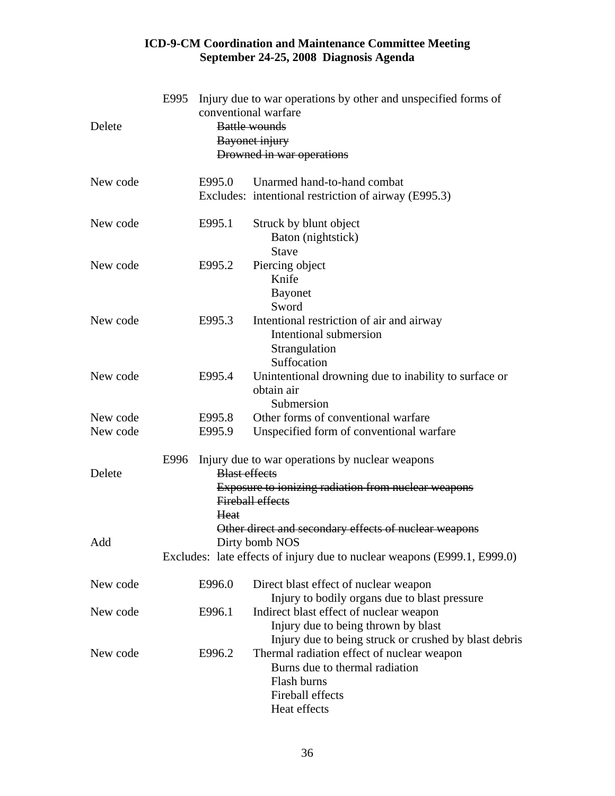| Delete   | E995         | Injury due to war operations by other and unspecified forms of<br>conventional warfare<br><b>Battle wounds</b><br>Bayonet injury<br>Drowned in war operations                            |
|----------|--------------|------------------------------------------------------------------------------------------------------------------------------------------------------------------------------------------|
| New code | E995.0       | Unarmed hand-to-hand combat                                                                                                                                                              |
|          |              | Excludes: intentional restriction of airway (E995.3)                                                                                                                                     |
| New code | E995.1       | Struck by blunt object<br>Baton (nightstick)<br><b>Stave</b>                                                                                                                             |
| New code | E995.2       | Piercing object<br>Knife<br><b>Bayonet</b><br>Sword                                                                                                                                      |
| New code | E995.3       | Intentional restriction of air and airway<br>Intentional submersion<br>Strangulation<br>Suffocation                                                                                      |
| New code | E995.4       | Unintentional drowning due to inability to surface or<br>obtain air<br>Submersion                                                                                                        |
| New code | E995.8       | Other forms of conventional warfare                                                                                                                                                      |
| New code | E995.9       | Unspecified form of conventional warfare                                                                                                                                                 |
| Delete   | E996<br>Heat | Injury due to war operations by nuclear weapons<br><b>Blast effects</b><br><b>Exposure to ionizing radiation from nuclear weapons</b><br><b>Fireball effects</b>                         |
| Add      |              | Other direct and secondary effects of nuclear weapons<br>Dirty bomb NOS<br>Excludes: late effects of injury due to nuclear weapons (E999.1, E999.0)                                      |
| New code | E996.0       | Direct blast effect of nuclear weapon                                                                                                                                                    |
| New code | E996.1       | Injury to bodily organs due to blast pressure<br>Indirect blast effect of nuclear weapon<br>Injury due to being thrown by blast<br>Injury due to being struck or crushed by blast debris |
| New code | E996.2       | Thermal radiation effect of nuclear weapon<br>Burns due to thermal radiation<br>Flash burns<br>Fireball effects<br>Heat effects                                                          |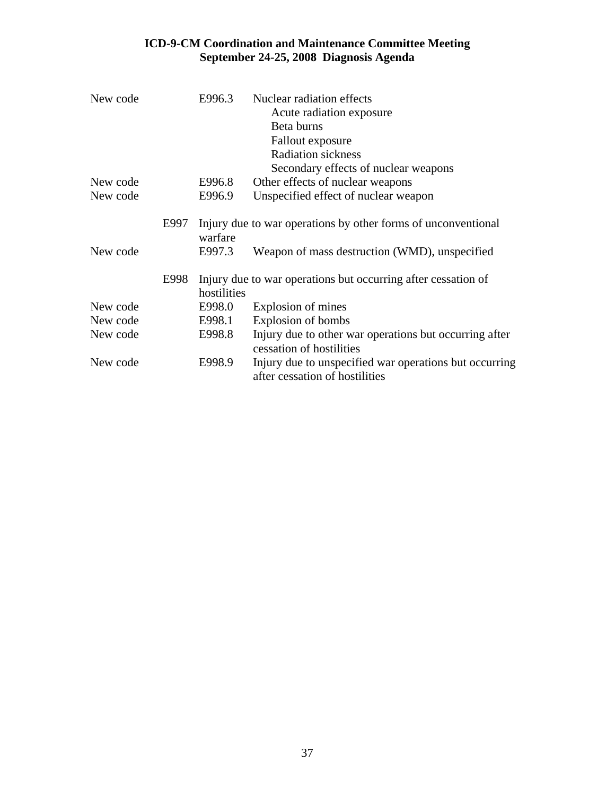| New code |      | E996.3      | Nuclear radiation effects<br>Acute radiation exposure                                    |
|----------|------|-------------|------------------------------------------------------------------------------------------|
|          |      |             | Beta burns                                                                               |
|          |      |             | <b>Fallout</b> exposure                                                                  |
|          |      |             | <b>Radiation sickness</b>                                                                |
|          |      |             | Secondary effects of nuclear weapons                                                     |
| New code |      | E996.8      | Other effects of nuclear weapons                                                         |
| New code |      | E996.9      | Unspecified effect of nuclear weapon                                                     |
|          | E997 |             | Injury due to war operations by other forms of unconventional                            |
|          |      | warfare     |                                                                                          |
| New code |      | E997.3      | Weapon of mass destruction (WMD), unspecified                                            |
|          | E998 | hostilities | Injury due to war operations but occurring after cessation of                            |
| New code |      | E998.0      | Explosion of mines                                                                       |
| New code |      | E998.1      | Explosion of bombs                                                                       |
| New code |      | E998.8      | Injury due to other war operations but occurring after<br>cessation of hostilities       |
| New code |      | E998.9      | Injury due to unspecified war operations but occurring<br>after cessation of hostilities |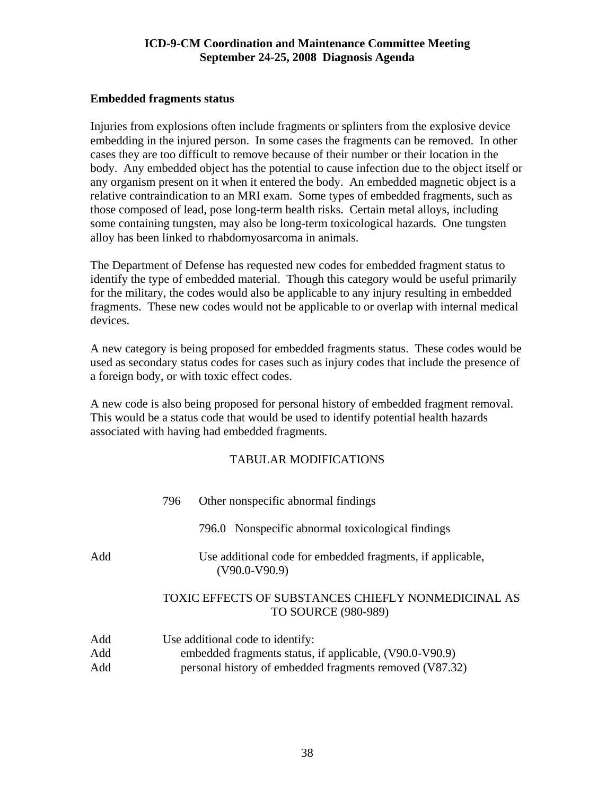#### **Embedded fragments status**

Injuries from explosions often include fragments or splinters from the explosive device embedding in the injured person. In some cases the fragments can be removed. In other cases they are too difficult to remove because of their number or their location in the body. Any embedded object has the potential to cause infection due to the object itself or any organism present on it when it entered the body. An embedded magnetic object is a relative contraindication to an MRI exam. Some types of embedded fragments, such as those composed of lead, pose long-term health risks. Certain metal alloys, including some containing tungsten, may also be long-term toxicological hazards. One tungsten alloy has been linked to rhabdomyosarcoma in animals.

The Department of Defense has requested new codes for embedded fragment status to identify the type of embedded material. Though this category would be useful primarily for the military, the codes would also be applicable to any injury resulting in embedded fragments. These new codes would not be applicable to or overlap with internal medical devices.

A new category is being proposed for embedded fragments status. These codes would be used as secondary status codes for cases such as injury codes that include the presence of a foreign body, or with toxic effect codes.

A new code is also being proposed for personal history of embedded fragment removal. This would be a status code that would be used to identify potential health hazards associated with having had embedded fragments.

|                   | 796 | Other nonspecific abnormal findings                                                                                                                    |
|-------------------|-----|--------------------------------------------------------------------------------------------------------------------------------------------------------|
|                   |     | 796.0 Nonspecific abnormal toxicological findings                                                                                                      |
| Add               |     | Use additional code for embedded fragments, if applicable,<br>$(V90.0-V90.9)$                                                                          |
|                   |     | TOXIC EFFECTS OF SUBSTANCES CHIEFLY NONMEDICINAL AS<br><b>TO SOURCE (980-989)</b>                                                                      |
| Add<br>Add<br>Add |     | Use additional code to identify:<br>embedded fragments status, if applicable, (V90.0-V90.9)<br>personal history of embedded fragments removed (V87.32) |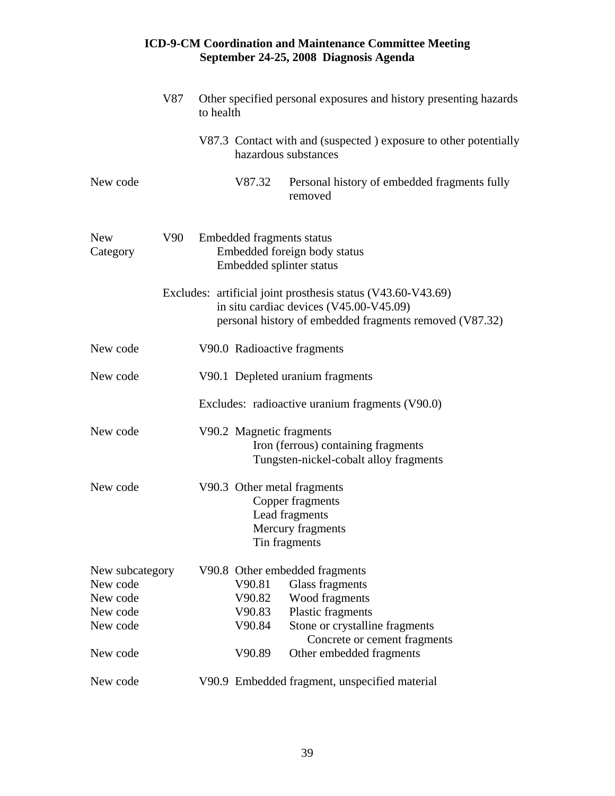|                                                                 | V87<br>to health |                                                       | Other specified personal exposures and history presenting hazards                                                                                                  |
|-----------------------------------------------------------------|------------------|-------------------------------------------------------|--------------------------------------------------------------------------------------------------------------------------------------------------------------------|
|                                                                 |                  | hazardous substances                                  | V87.3 Contact with and (suspected) exposure to other potentially                                                                                                   |
| New code                                                        |                  | V87.32                                                | Personal history of embedded fragments fully<br>removed                                                                                                            |
| <b>New</b><br>Category                                          | V90              | Embedded fragments status<br>Embedded splinter status | Embedded foreign body status                                                                                                                                       |
|                                                                 |                  |                                                       | Excludes: artificial joint prosthesis status (V43.60-V43.69)<br>in situ cardiac devices (V45.00-V45.09)<br>personal history of embedded fragments removed (V87.32) |
| New code                                                        |                  | V90.0 Radioactive fragments                           |                                                                                                                                                                    |
| New code                                                        |                  |                                                       | V90.1 Depleted uranium fragments                                                                                                                                   |
|                                                                 |                  |                                                       | Excludes: radioactive uranium fragments (V90.0)                                                                                                                    |
| New code                                                        |                  | V90.2 Magnetic fragments                              | Iron (ferrous) containing fragments<br>Tungsten-nickel-cobalt alloy fragments                                                                                      |
| New code                                                        |                  | V90.3 Other metal fragments<br>Tin fragments          | Copper fragments<br>Lead fragments<br>Mercury fragments                                                                                                            |
| New subcategory<br>New code<br>New code<br>New code<br>New code |                  | V90.81<br>V90.82<br>V90.83<br>V90.84                  | V90.8 Other embedded fragments<br><b>Glass fragments</b><br>Wood fragments<br>Plastic fragments<br>Stone or crystalline fragments<br>Concrete or cement fragments  |
| New code                                                        |                  | V90.89                                                | Other embedded fragments                                                                                                                                           |
| New code                                                        |                  |                                                       | V90.9 Embedded fragment, unspecified material                                                                                                                      |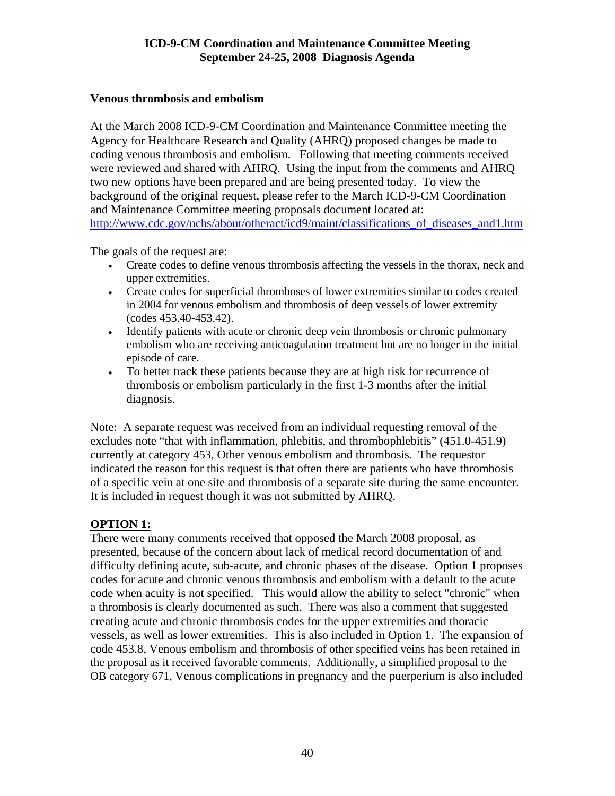## **Venous thrombosis and embolism**

At the March 2008 ICD-9-CM Coordination and Maintenance Committee meeting the Agency for Healthcare Research and Quality (AHRQ) proposed changes be made to coding venous thrombosis and embolism. Following that meeting comments received were reviewed and shared with AHRQ. Using the input from the comments and AHRQ two new options have been prepared and are being presented today. To view the background of the original request, please refer to the March ICD-9-CM Coordination and Maintenance Committee meeting proposals document located at: http://www.cdc.gov/nchs/about/otheract/icd9/maint/classifications of diseases and1.htm

The goals of the request are:

- Create codes to define venous thrombosis affecting the vessels in the thorax, neck and upper extremities.
- Create codes for superficial thromboses of lower extremities similar to codes created in 2004 for venous embolism and thrombosis of deep vessels of lower extremity (codes 453.40-453.42).
- Identify patients with acute or chronic deep vein thrombosis or chronic pulmonary embolism who are receiving anticoagulation treatment but are no longer in the initial episode of care.
- To better track these patients because they are at high risk for recurrence of thrombosis or embolism particularly in the first 1-3 months after the initial diagnosis.

Note: A separate request was received from an individual requesting removal of the excludes note "that with inflammation, phlebitis, and thrombophlebitis" (451.0-451.9) currently at category 453, Other venous embolism and thrombosis. The requestor indicated the reason for this request is that often there are patients who have thrombosis of a specific vein at one site and thrombosis of a separate site during the same encounter. It is included in request though it was not submitted by AHRQ.

# **OPTION 1:**

There were many comments received that opposed the March 2008 proposal, as presented, because of the concern about lack of medical record documentation of and difficulty defining acute, sub-acute, and chronic phases of the disease. Option 1 proposes codes for acute and chronic venous thrombosis and embolism with a default to the acute code when acuity is not specified. This would allow the ability to select "chronic" when a thrombosis is clearly documented as such. There was also a comment that suggested creating acute and chronic thrombosis codes for the upper extremities and thoracic vessels, as well as lower extremities. This is also included in Option 1. The expansion of code 453.8, Venous embolism and thrombosis of other specified veins has been retained in the proposal as it received favorable comments. Additionally, a simplified proposal to the OB category 671, Venous complications in pregnancy and the puerperium is also included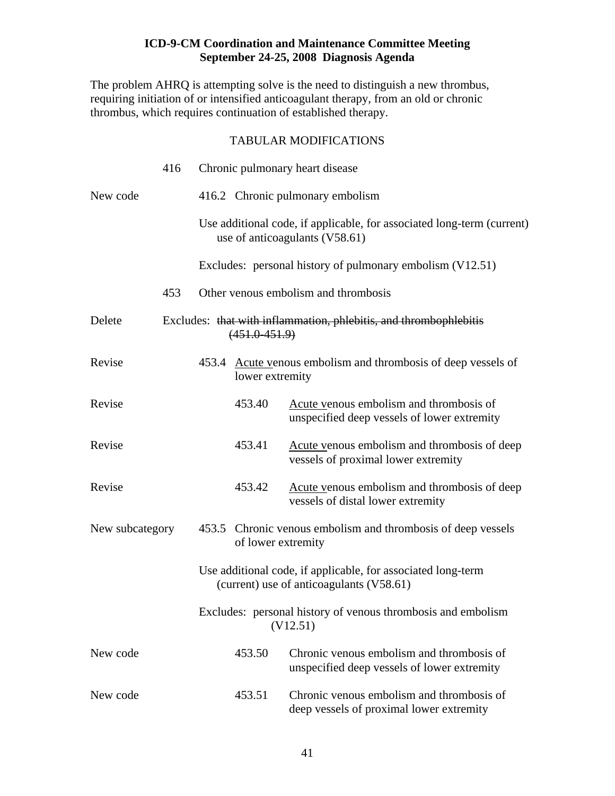The problem AHRQ is attempting solve is the need to distinguish a new thrombus, requiring initiation of or intensified anticoagulant therapy, from an old or chronic thrombus, which requires continuation of established therapy.

|                 | 416 |                    | Chronic pulmonary heart disease                                                                          |
|-----------------|-----|--------------------|----------------------------------------------------------------------------------------------------------|
| New code        |     |                    | 416.2 Chronic pulmonary embolism                                                                         |
|                 |     |                    | Use additional code, if applicable, for associated long-term (current)<br>use of anticoagulants (V58.61) |
|                 |     |                    | Excludes: personal history of pulmonary embolism (V12.51)                                                |
|                 | 453 |                    | Other venous embolism and thrombosis                                                                     |
| Delete          |     | $(451.0 - 451.9)$  | Excludes: that with inflammation, phlebitis, and thrombophlebitis                                        |
| Revise          |     | lower extremity    | 453.4 Acute venous embolism and thrombosis of deep vessels of                                            |
| Revise          |     | 453.40             | Acute venous embolism and thrombosis of<br>unspecified deep vessels of lower extremity                   |
| Revise          |     | 453.41             | Acute venous embolism and thrombosis of deep<br>vessels of proximal lower extremity                      |
| Revise          |     | 453.42             | Acute venous embolism and thrombosis of deep<br>vessels of distal lower extremity                        |
| New subcategory |     | of lower extremity | 453.5 Chronic venous embolism and thrombosis of deep vessels                                             |
|                 |     |                    | Use additional code, if applicable, for associated long-term<br>(current) use of anticoagulants (V58.61) |
|                 |     |                    | Excludes: personal history of venous thrombosis and embolism<br>(V12.51)                                 |
| New code        |     | 453.50             | Chronic venous embolism and thrombosis of<br>unspecified deep vessels of lower extremity                 |
| New code        |     | 453.51             | Chronic venous embolism and thrombosis of<br>deep vessels of proximal lower extremity                    |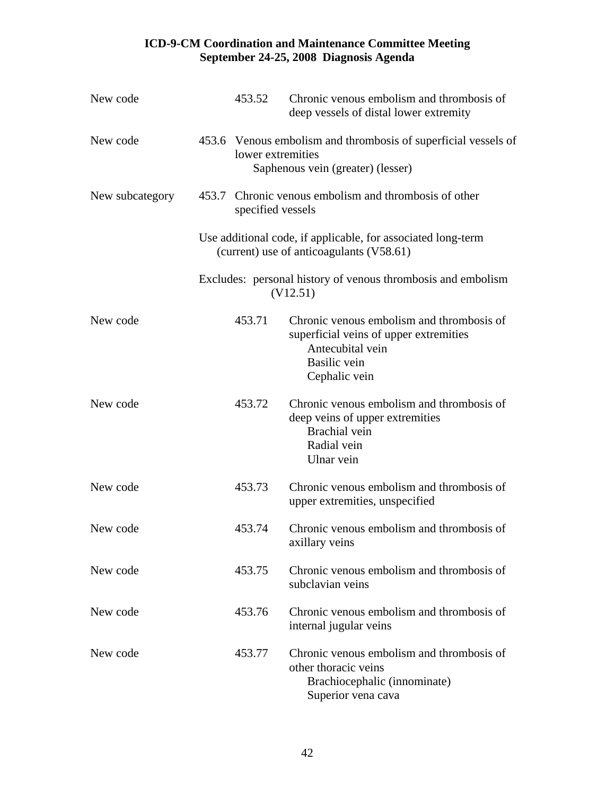| New code        | 453.52            | Chronic venous embolism and thrombosis of<br>deep vessels of distal lower extremity                                                             |
|-----------------|-------------------|-------------------------------------------------------------------------------------------------------------------------------------------------|
| New code        | lower extremities | 453.6 Venous embolism and thrombosis of superficial vessels of<br>Saphenous vein (greater) (lesser)                                             |
| New subcategory | specified vessels | 453.7 Chronic venous embolism and thrombosis of other                                                                                           |
|                 |                   | Use additional code, if applicable, for associated long-term<br>(current) use of anticoagulants (V58.61)                                        |
|                 |                   | Excludes: personal history of venous thrombosis and embolism<br>(V12.51)                                                                        |
| New code        | 453.71            | Chronic venous embolism and thrombosis of<br>superficial veins of upper extremities<br>Antecubital vein<br><b>Basilic</b> vein<br>Cephalic vein |
| New code        | 453.72            | Chronic venous embolism and thrombosis of<br>deep veins of upper extremities<br>Brachial vein<br>Radial vein<br>Ulnar vein                      |
| New code        | 453.73            | Chronic venous embolism and thrombosis of<br>upper extremities, unspecified                                                                     |
| New code        | 453.74            | Chronic venous embolism and thrombosis of<br>axillary veins                                                                                     |
| New code        | 453.75            | Chronic venous embolism and thrombosis of<br>subclavian veins                                                                                   |
| New code        | 453.76            | Chronic venous embolism and thrombosis of<br>internal jugular veins                                                                             |
| New code        | 453.77            | Chronic venous embolism and thrombosis of<br>other thoracic veins<br>Brachiocephalic (innominate)<br>Superior vena cava                         |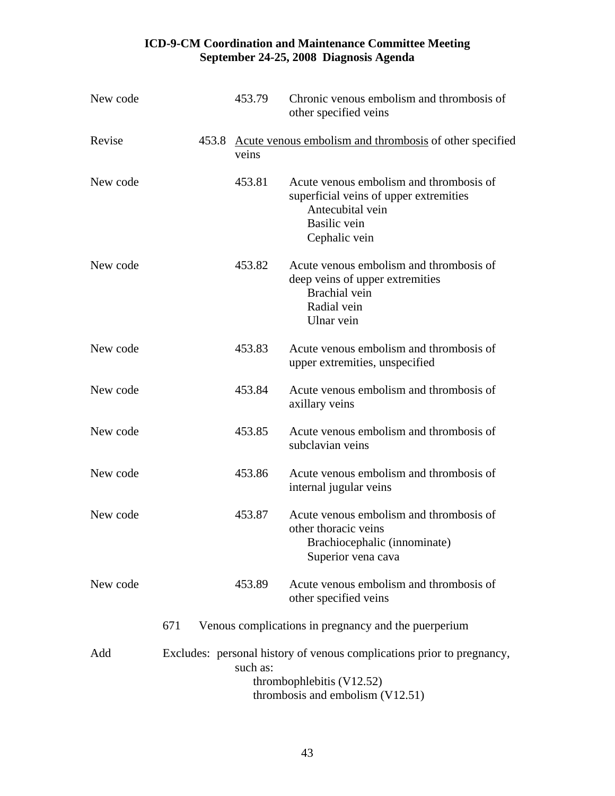| New code |     | 453.79   | Chronic venous embolism and thrombosis of<br>other specified veins                                                                            |
|----------|-----|----------|-----------------------------------------------------------------------------------------------------------------------------------------------|
| Revise   |     | veins    | 453.8 Acute venous embolism and thrombosis of other specified                                                                                 |
| New code |     | 453.81   | Acute venous embolism and thrombosis of<br>superficial veins of upper extremities<br>Antecubital vein<br><b>Basilic</b> vein<br>Cephalic vein |
| New code |     | 453.82   | Acute venous embolism and thrombosis of<br>deep veins of upper extremities<br>Brachial vein<br>Radial vein<br>Ulnar vein                      |
| New code |     | 453.83   | Acute venous embolism and thrombosis of<br>upper extremities, unspecified                                                                     |
| New code |     | 453.84   | Acute venous embolism and thrombosis of<br>axillary veins                                                                                     |
| New code |     | 453.85   | Acute venous embolism and thrombosis of<br>subclavian veins                                                                                   |
| New code |     | 453.86   | Acute venous embolism and thrombosis of<br>internal jugular veins                                                                             |
| New code |     | 453.87   | Acute venous embolism and thrombosis of<br>other thoracic veins<br>Brachiocephalic (innominate)<br>Superior vena cava                         |
| New code |     | 453.89   | Acute venous embolism and thrombosis of<br>other specified veins                                                                              |
|          | 671 |          | Venous complications in pregnancy and the puerperium                                                                                          |
| Add      |     | such as: | Excludes: personal history of venous complications prior to pregnancy,<br>thrombophlebitis $(V12.52)$<br>thrombosis and embolism (V12.51)     |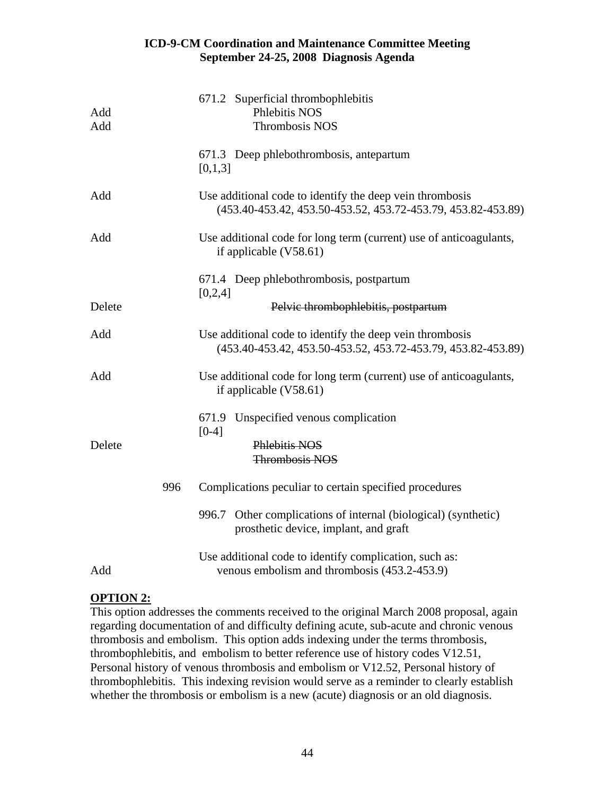| Add<br>Add | 671.2 Superficial thrombophlebitis<br>Phlebitis NOS<br>Thrombosis NOS                                                    |
|------------|--------------------------------------------------------------------------------------------------------------------------|
|            | 671.3 Deep phlebothrombosis, antepartum<br>[0,1,3]                                                                       |
| Add        | Use additional code to identify the deep vein thrombosis<br>(453.40-453.42, 453.50-453.52, 453.72-453.79, 453.82-453.89) |
| Add        | Use additional code for long term (current) use of anticoagulants,<br>if applicable $(V58.61)$                           |
|            | 671.4 Deep phlebothrombosis, postpartum<br>[0,2,4]                                                                       |
| Delete     | Pelvic thrombophlebitis, postpartum                                                                                      |
| Add        | Use additional code to identify the deep vein thrombosis<br>(453.40-453.42, 453.50-453.52, 453.72-453.79, 453.82-453.89) |
| Add        | Use additional code for long term (current) use of anticoagulants,<br>if applicable $(V58.61)$                           |
|            | Unspecified venous complication<br>671.9<br>$[0-4]$                                                                      |
| Delete     | Phlebitis NOS<br><b>Thrombosis NOS</b>                                                                                   |
| 996        | Complications peculiar to certain specified procedures                                                                   |
|            | Other complications of internal (biological) (synthetic)<br>996.7<br>prosthetic device, implant, and graft               |
| Add        | Use additional code to identify complication, such as:<br>venous embolism and thrombosis (453.2-453.9)                   |

# **OPTION 2:**

This option addresses the comments received to the original March 2008 proposal, again regarding documentation of and difficulty defining acute, sub-acute and chronic venous thrombosis and embolism. This option adds indexing under the terms thrombosis, thrombophlebitis, and embolism to better reference use of history codes V12.51, Personal history of venous thrombosis and embolism or V12.52, Personal history of thrombophlebitis. This indexing revision would serve as a reminder to clearly establish whether the thrombosis or embolism is a new (acute) diagnosis or an old diagnosis.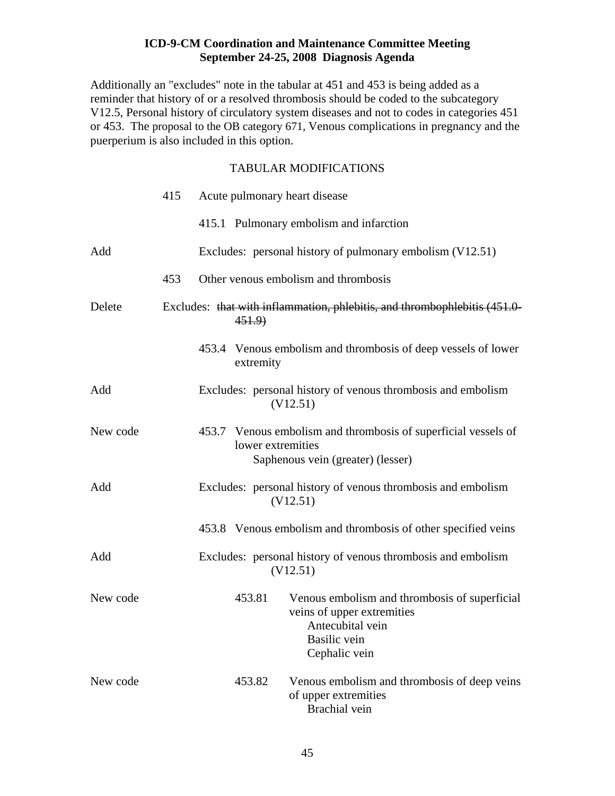Additionally an "excludes" note in the tabular at 451 and 453 is being added as a reminder that history of or a resolved thrombosis should be coded to the subcategory V12.5, Personal history of circulatory system diseases and not to codes in categories 451 or 453. The proposal to the OB category 671, Venous complications in pregnancy and the puerperium is also included in this option.

|          | 415 |                   | Acute pulmonary heart disease                                                                                                           |
|----------|-----|-------------------|-----------------------------------------------------------------------------------------------------------------------------------------|
|          |     |                   | 415.1 Pulmonary embolism and infarction                                                                                                 |
| Add      |     |                   | Excludes: personal history of pulmonary embolism (V12.51)                                                                               |
|          | 453 |                   | Other venous embolism and thrombosis                                                                                                    |
| Delete   |     | 451.9             | Excludes: that with inflammation, phlebitis, and thrombophlebitis (451.0-                                                               |
|          |     | extremity         | 453.4 Venous embolism and thrombosis of deep vessels of lower                                                                           |
| Add      |     |                   | Excludes: personal history of venous thrombosis and embolism<br>(V12.51)                                                                |
| New code |     | lower extremities | 453.7 Venous embolism and thrombosis of superficial vessels of<br>Saphenous vein (greater) (lesser)                                     |
| Add      |     |                   | Excludes: personal history of venous thrombosis and embolism<br>(V12.51)                                                                |
|          |     |                   | 453.8 Venous embolism and thrombosis of other specified veins                                                                           |
| Add      |     |                   | Excludes: personal history of venous thrombosis and embolism<br>(V12.51)                                                                |
| New code |     | 453.81            | Venous embolism and thrombosis of superficial<br>veins of upper extremities<br>Antecubital vein<br><b>Basilic</b> vein<br>Cephalic vein |
| New code |     | 453.82            | Venous embolism and thrombosis of deep veins<br>of upper extremities<br>Brachial vein                                                   |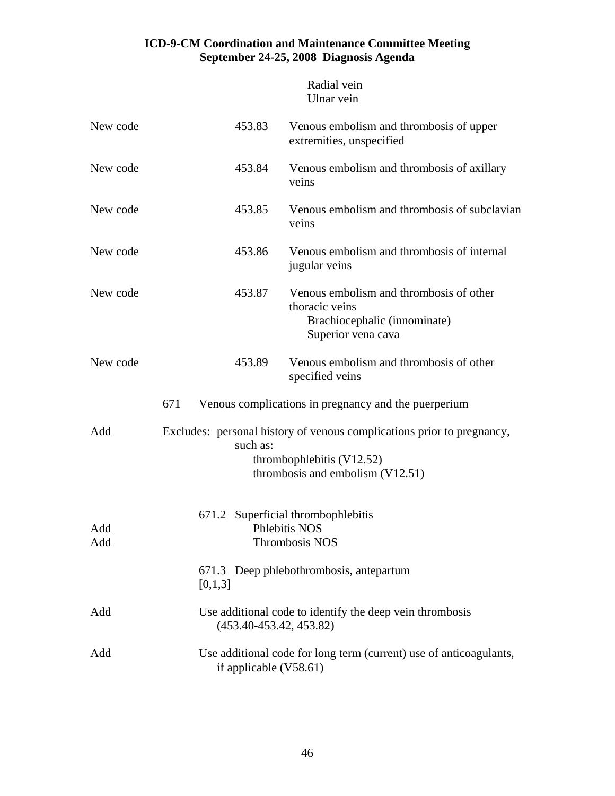|            | Radial vein<br>Ulnar vein                                                                                                                             |
|------------|-------------------------------------------------------------------------------------------------------------------------------------------------------|
| New code   | 453.83<br>Venous embolism and thrombosis of upper<br>extremities, unspecified                                                                         |
| New code   | 453.84<br>Venous embolism and thrombosis of axillary<br>veins                                                                                         |
| New code   | Venous embolism and thrombosis of subclavian<br>453.85<br>veins                                                                                       |
| New code   | Venous embolism and thrombosis of internal<br>453.86<br>jugular veins                                                                                 |
| New code   | Venous embolism and thrombosis of other<br>453.87<br>thoracic veins<br>Brachiocephalic (innominate)<br>Superior vena cava                             |
| New code   | Venous embolism and thrombosis of other<br>453.89<br>specified veins                                                                                  |
|            | Venous complications in pregnancy and the puerperium<br>671                                                                                           |
| Add        | Excludes: personal history of venous complications prior to pregnancy,<br>such as:<br>thrombophlebitis $(V12.52)$<br>thrombosis and embolism (V12.51) |
| Add<br>Add | 671.2 Superficial thrombophlebitis<br>Phlebitis NOS<br>Thrombosis NOS                                                                                 |
|            | 671.3 Deep phlebothrombosis, antepartum<br>[0,1,3]                                                                                                    |
| Add        | Use additional code to identify the deep vein thrombosis<br>$(453.40 - 453.42, 453.82)$                                                               |
| Add        | Use additional code for long term (current) use of anticoagulants,<br>if applicable $(V58.61)$                                                        |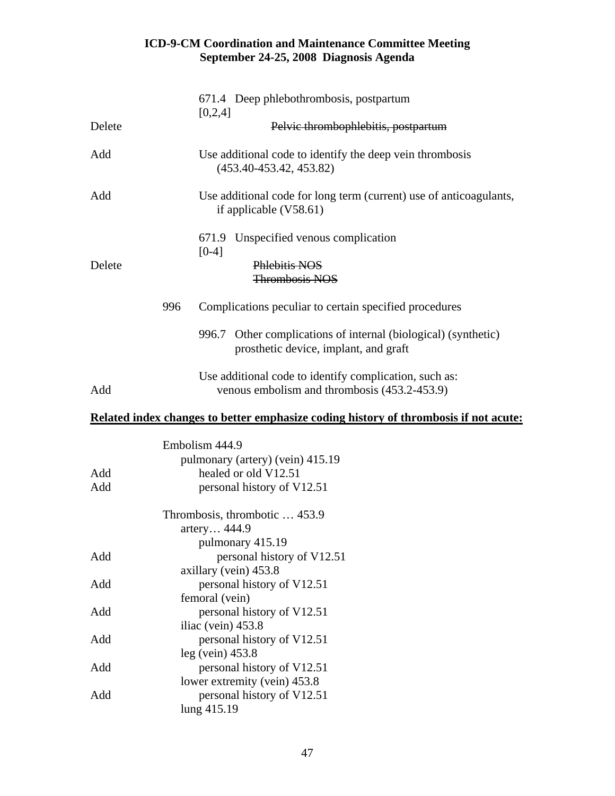|        |     | Embolism 444.9<br>pulmonary (artery) (vein) 415.19                                                         |
|--------|-----|------------------------------------------------------------------------------------------------------------|
|        |     | Related index changes to better emphasize coding history of thrombosis if not acute:                       |
| Add    |     | Use additional code to identify complication, such as:<br>venous embolism and thrombosis (453.2-453.9)     |
|        |     | Other complications of internal (biological) (synthetic)<br>996.7<br>prosthetic device, implant, and graft |
|        | 996 | Complications peculiar to certain specified procedures                                                     |
| Delete |     | Phlebitis NOS<br><b>Thrombosis NOS</b>                                                                     |
|        |     | 671.9 Unspecified venous complication<br>$[0-4]$                                                           |
| Add    |     | Use additional code for long term (current) use of anticoagulants,<br>if applicable $(V58.61)$             |
| Add    |     | Use additional code to identify the deep vein thrombosis<br>$(453.40 - 453.42, 453.82)$                    |
| Delete |     | [0,2,4]<br>Pelvic thrombophlebitis, postpartum                                                             |
|        |     | 671.4 Deep phlebothrombosis, postpartum                                                                    |

|     | $\mu$ umional y (ariery) (veni) 415.19 |
|-----|----------------------------------------|
| Add | healed or old V12.51                   |
| Add | personal history of V12.51             |
|     | Thrombosis, thrombotic  453.9          |
|     | artery 444.9                           |
|     | pulmonary 415.19                       |
| Add | personal history of V12.51             |
|     | axillary (vein) 453.8                  |
| Add | personal history of V12.51             |
|     | femoral (vein)                         |
| Add | personal history of V12.51             |
|     | iliac (vein) 453.8                     |
| Add | personal history of V12.51             |
|     | $leg$ (vein) 453.8                     |
| Add | personal history of V12.51             |
|     | lower extremity (vein) 453.8           |
| Add | personal history of V12.51             |
|     | lung 415.19                            |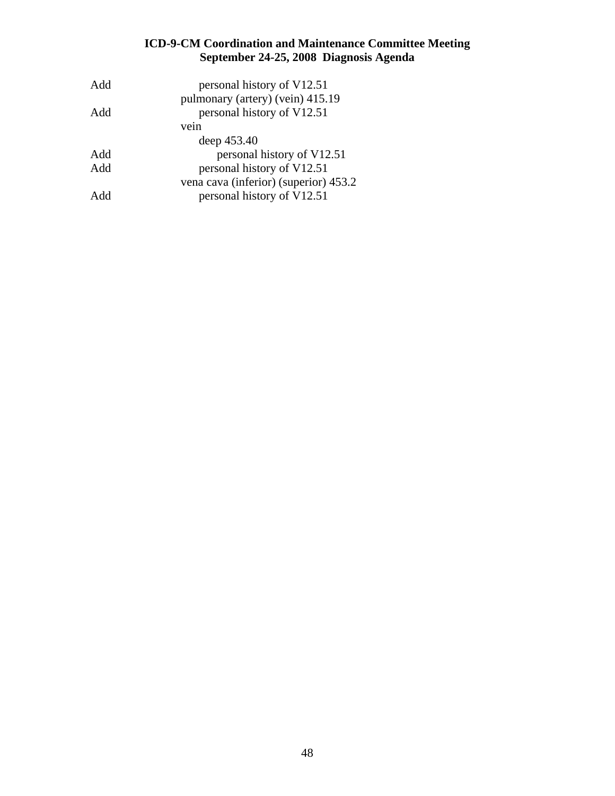| Add | personal history of V12.51            |
|-----|---------------------------------------|
|     | pulmonary (artery) (vein) 415.19      |
| Add | personal history of V12.51            |
|     | vein                                  |
|     | deep 453.40                           |
| Add | personal history of V12.51            |
| Add | personal history of V12.51            |
|     | vena cava (inferior) (superior) 453.2 |
| Add | personal history of V12.51            |
|     |                                       |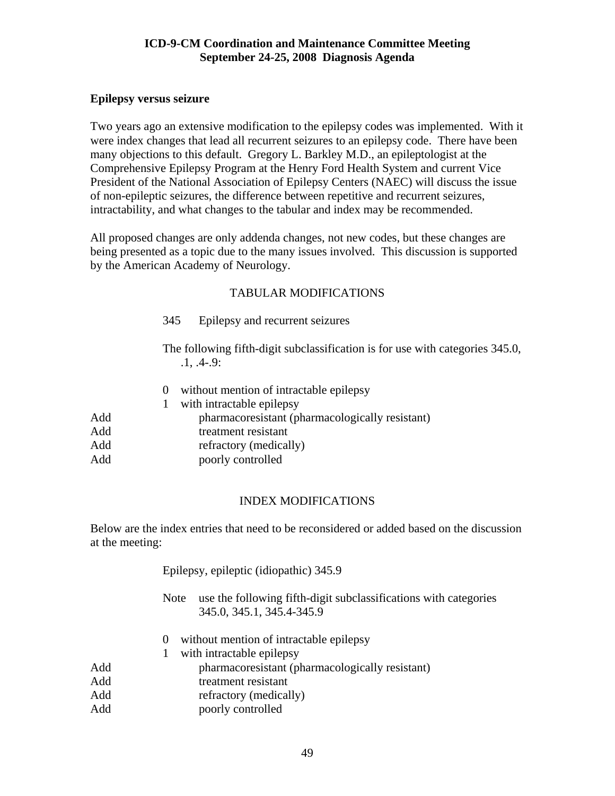# **Epilepsy versus seizure**

Two years ago an extensive modification to the epilepsy codes was implemented. With it were index changes that lead all recurrent seizures to an epilepsy code. There have been many objections to this default. Gregory L. Barkley M.D., an epileptologist at the Comprehensive Epilepsy Program at the Henry Ford Health System and current Vice President of the National Association of Epilepsy Centers (NAEC) will discuss the issue of non-epileptic seizures, the difference between repetitive and recurrent seizures, intractability, and what changes to the tabular and index may be recommended.

All proposed changes are only addenda changes, not new codes, but these changes are being presented as a topic due to the many issues involved. This discussion is supported by the American Academy of Neurology.

# TABULAR MODIFICATIONS

345 Epilepsy and recurrent seizures

 The following fifth-digit subclassification is for use with categories 345.0, .1, .4-.9:

 0 without mention of intractable epilepsy 1 with intractable epilepsy Add pharmacoresistant (pharmacologically resistant) Add treatment resistant Add refractory (medically) Add poorly controlled

#### INDEX MODIFICATIONS

Below are the index entries that need to be reconsidered or added based on the discussion at the meeting:

|     | Epilepsy, epileptic (idiopathic) 345.9                                                                       |
|-----|--------------------------------------------------------------------------------------------------------------|
|     | use the following fifth-digit subclassifications with categories<br><b>Note</b><br>345.0, 345.1, 345.4-345.9 |
|     | without mention of intractable epilepsy<br>$\theta$                                                          |
|     | with intractable epilepsy                                                                                    |
| Add | pharmacoresistant (pharmacologically resistant)                                                              |
| Add | treatment resistant                                                                                          |
| Add | refractory (medically)                                                                                       |
| Add | poorly controlled                                                                                            |
|     |                                                                                                              |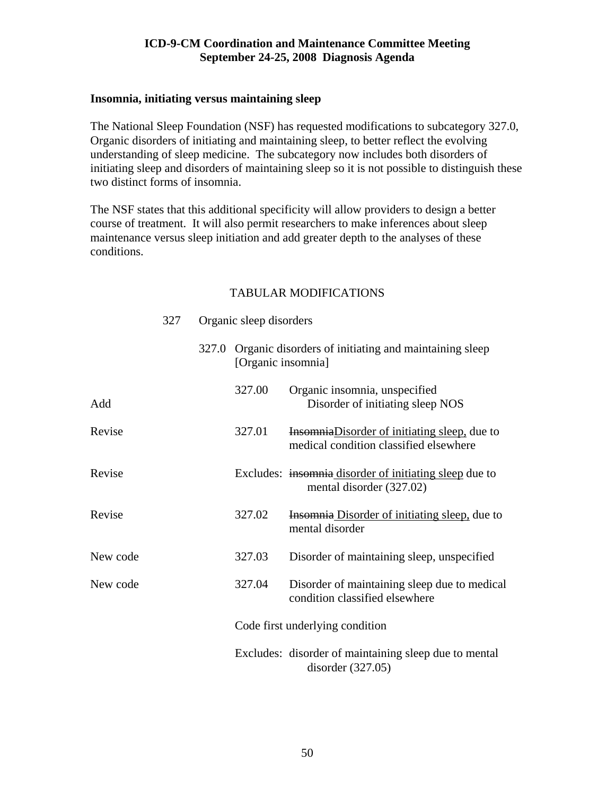#### **Insomnia, initiating versus maintaining sleep**

The National Sleep Foundation (NSF) has requested modifications to subcategory 327.0, Organic disorders of initiating and maintaining sleep, to better reflect the evolving understanding of sleep medicine. The subcategory now includes both disorders of initiating sleep and disorders of maintaining sleep so it is not possible to distinguish these two distinct forms of insomnia.

The NSF states that this additional specificity will allow providers to design a better course of treatment. It will also permit researchers to make inferences about sleep maintenance versus sleep initiation and add greater depth to the analyses of these conditions.

|          | 327 |       | Organic sleep disorders |                                                                                                |
|----------|-----|-------|-------------------------|------------------------------------------------------------------------------------------------|
|          |     | 327.0 | [Organic insomnia]      | Organic disorders of initiating and maintaining sleep                                          |
| Add      |     |       | 327.00                  | Organic insomnia, unspecified<br>Disorder of initiating sleep NOS                              |
| Revise   |     |       | 327.01                  | <b>Insomnia</b> Disorder of initiating sleep, due to<br>medical condition classified elsewhere |
| Revise   |     |       |                         | Excludes: insommia disorder of initiating sleep due to<br>mental disorder (327.02)             |
| Revise   |     |       | 327.02                  | <b>Insomnia Disorder of initiating sleep, due to</b><br>mental disorder                        |
| New code |     |       | 327.03                  | Disorder of maintaining sleep, unspecified                                                     |
| New code |     |       | 327.04                  | Disorder of maintaining sleep due to medical<br>condition classified elsewhere                 |
|          |     |       |                         | Code first underlying condition                                                                |
|          |     |       |                         | Excludes: disorder of maintaining sleep due to mental<br>disorder $(327.05)$                   |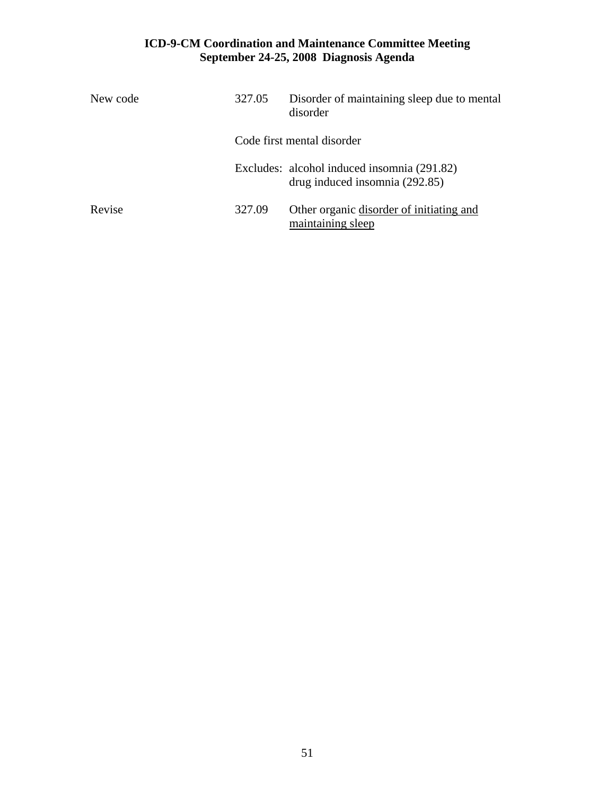| New code | 327.05 | Disorder of maintaining sleep due to mental<br>disorder                       |
|----------|--------|-------------------------------------------------------------------------------|
|          |        | Code first mental disorder                                                    |
|          |        | Excludes: alcohol induced insomnia (291.82)<br>drug induced insomnia (292.85) |
| Revise   | 327.09 | Other organic disorder of initiating and<br>maintaining sleep                 |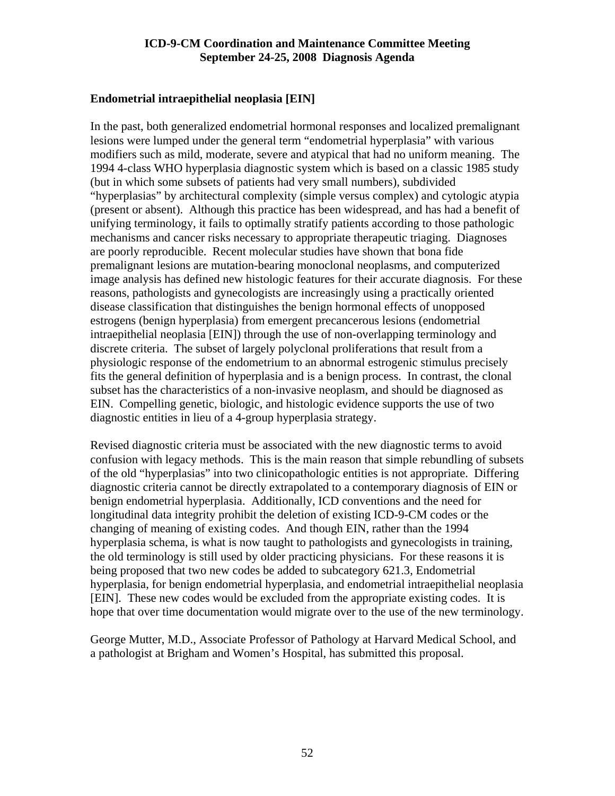#### **Endometrial intraepithelial neoplasia [EIN]**

In the past, both generalized endometrial hormonal responses and localized premalignant lesions were lumped under the general term "endometrial hyperplasia" with various modifiers such as mild, moderate, severe and atypical that had no uniform meaning. The 1994 4-class WHO hyperplasia diagnostic system which is based on a classic 1985 study (but in which some subsets of patients had very small numbers), subdivided "hyperplasias" by architectural complexity (simple versus complex) and cytologic atypia (present or absent). Although this practice has been widespread, and has had a benefit of unifying terminology, it fails to optimally stratify patients according to those pathologic mechanisms and cancer risks necessary to appropriate therapeutic triaging. Diagnoses are poorly reproducible. Recent molecular studies have shown that bona fide premalignant lesions are mutation-bearing monoclonal neoplasms, and computerized image analysis has defined new histologic features for their accurate diagnosis. For these reasons, pathologists and gynecologists are increasingly using a practically oriented disease classification that distinguishes the benign hormonal effects of unopposed estrogens (benign hyperplasia) from emergent precancerous lesions (endometrial intraepithelial neoplasia [EIN]) through the use of non-overlapping terminology and discrete criteria. The subset of largely polyclonal proliferations that result from a physiologic response of the endometrium to an abnormal estrogenic stimulus precisely fits the general definition of hyperplasia and is a benign process. In contrast, the clonal subset has the characteristics of a non-invasive neoplasm, and should be diagnosed as EIN. Compelling genetic, biologic, and histologic evidence supports the use of two diagnostic entities in lieu of a 4-group hyperplasia strategy.

Revised diagnostic criteria must be associated with the new diagnostic terms to avoid confusion with legacy methods. This is the main reason that simple rebundling of subsets of the old "hyperplasias" into two clinicopathologic entities is not appropriate. Differing diagnostic criteria cannot be directly extrapolated to a contemporary diagnosis of EIN or benign endometrial hyperplasia. Additionally, ICD conventions and the need for longitudinal data integrity prohibit the deletion of existing ICD-9-CM codes or the changing of meaning of existing codes. And though EIN, rather than the 1994 hyperplasia schema, is what is now taught to pathologists and gynecologists in training, the old terminology is still used by older practicing physicians. For these reasons it is being proposed that two new codes be added to subcategory 621.3, Endometrial hyperplasia, for benign endometrial hyperplasia, and endometrial intraepithelial neoplasia [EIN]. These new codes would be excluded from the appropriate existing codes. It is hope that over time documentation would migrate over to the use of the new terminology.

George Mutter, M.D., Associate Professor of Pathology at Harvard Medical School, and a pathologist at Brigham and Women's Hospital, has submitted this proposal.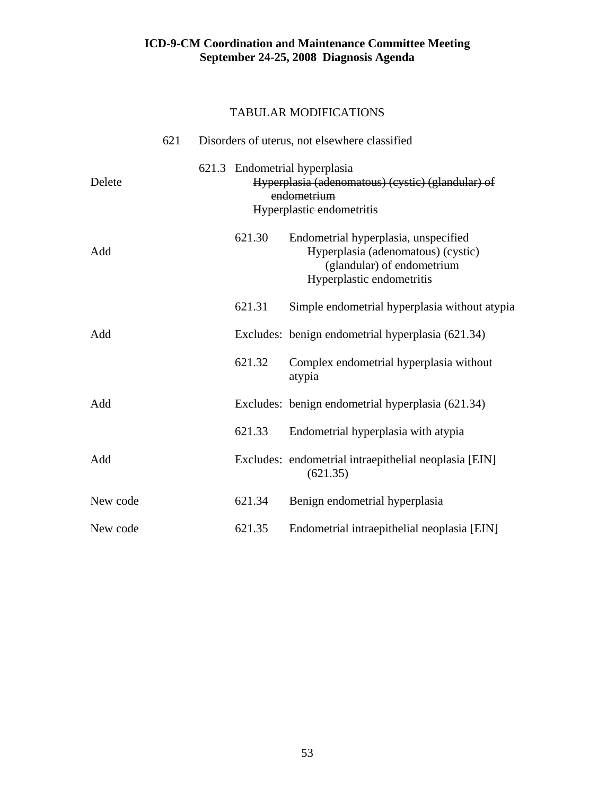|          | 621 |        | Disorders of uterus, not elsewhere classified                                                                                         |
|----------|-----|--------|---------------------------------------------------------------------------------------------------------------------------------------|
| Delete   |     |        | 621.3 Endometrial hyperplasia<br>Hyperplasia (adenomatous) (cystic) (glandular) of<br>endometrium<br>Hyperplastic endometritis        |
| Add      |     | 621.30 | Endometrial hyperplasia, unspecified<br>Hyperplasia (adenomatous) (cystic)<br>(glandular) of endometrium<br>Hyperplastic endometritis |
|          |     | 621.31 | Simple endometrial hyperplasia without atypia                                                                                         |
| Add      |     |        | Excludes: benign endometrial hyperplasia (621.34)                                                                                     |
|          |     | 621.32 | Complex endometrial hyperplasia without<br>atypia                                                                                     |
| Add      |     |        | Excludes: benign endometrial hyperplasia (621.34)                                                                                     |
|          |     | 621.33 | Endometrial hyperplasia with atypia                                                                                                   |
| Add      |     |        | Excludes: endometrial intraepithelial neoplasia [EIN]<br>(621.35)                                                                     |
| New code |     | 621.34 | Benign endometrial hyperplasia                                                                                                        |
| New code |     | 621.35 | Endometrial intraepithelial neoplasia [EIN]                                                                                           |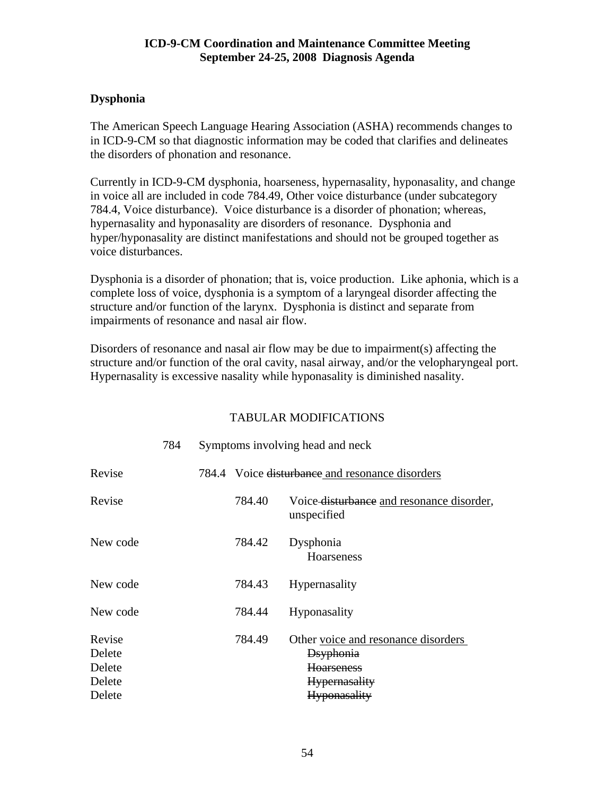# **Dysphonia**

The American Speech Language Hearing Association (ASHA) recommends changes to in ICD-9-CM so that diagnostic information may be coded that clarifies and delineates the disorders of phonation and resonance.

Currently in ICD-9-CM dysphonia, hoarseness, hypernasality, hyponasality, and change in voice all are included in code 784.49, Other voice disturbance (under subcategory 784.4, Voice disturbance). Voice disturbance is a disorder of phonation; whereas, hypernasality and hyponasality are disorders of resonance. Dysphonia and hyper/hyponasality are distinct manifestations and should not be grouped together as voice disturbances.

Dysphonia is a disorder of phonation; that is, voice production. Like aphonia, which is a complete loss of voice, dysphonia is a symptom of a laryngeal disorder affecting the structure and/or function of the larynx. Dysphonia is distinct and separate from impairments of resonance and nasal air flow.

Disorders of resonance and nasal air flow may be due to impairment(s) affecting the structure and/or function of the oral cavity, nasal airway, and/or the velopharyngeal port. Hypernasality is excessive nasality while hyponasality is diminished nasality.

|                                      | 784 |        | Symptoms involving head and neck                                                                      |
|--------------------------------------|-----|--------|-------------------------------------------------------------------------------------------------------|
| Revise                               |     |        | 784.4 Voice disturbance and resonance disorders                                                       |
| Revise                               |     | 784.40 | Voice disturbance and resonance disorder,<br>unspecified                                              |
| New code                             |     | 784.42 | Dysphonia<br><b>Hoarseness</b>                                                                        |
| New code                             |     | 784.43 | <b>Hypernasality</b>                                                                                  |
| New code                             |     | 784.44 | Hyponasality                                                                                          |
| Revise<br>Delete<br>Delete<br>Delete |     | 784.49 | Other voice and resonance disorders<br><b>D</b> syphonia<br><b>Hoarseness</b><br><b>Hypernasality</b> |
| Delete                               |     |        | <b>Hyponasality</b>                                                                                   |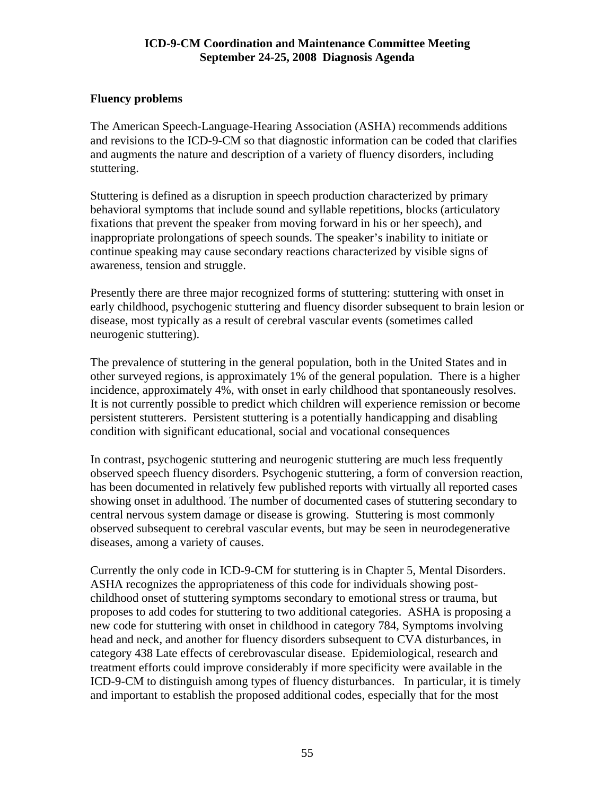# **Fluency problems**

The American Speech-Language-Hearing Association (ASHA) recommends additions and revisions to the ICD-9-CM so that diagnostic information can be coded that clarifies and augments the nature and description of a variety of fluency disorders, including stuttering.

Stuttering is defined as a disruption in speech production characterized by primary behavioral symptoms that include sound and syllable repetitions, blocks (articulatory fixations that prevent the speaker from moving forward in his or her speech), and inappropriate prolongations of speech sounds. The speaker's inability to initiate or continue speaking may cause secondary reactions characterized by visible signs of awareness, tension and struggle.

Presently there are three major recognized forms of stuttering: stuttering with onset in early childhood, psychogenic stuttering and fluency disorder subsequent to brain lesion or disease, most typically as a result of cerebral vascular events (sometimes called neurogenic stuttering).

The prevalence of stuttering in the general population, both in the United States and in other surveyed regions, is approximately 1% of the general population. There is a higher incidence, approximately 4%, with onset in early childhood that spontaneously resolves. It is not currently possible to predict which children will experience remission or become persistent stutterers. Persistent stuttering is a potentially handicapping and disabling condition with significant educational, social and vocational consequences

In contrast, psychogenic stuttering and neurogenic stuttering are much less frequently observed speech fluency disorders. Psychogenic stuttering, a form of conversion reaction, has been documented in relatively few published reports with virtually all reported cases showing onset in adulthood. The number of documented cases of stuttering secondary to central nervous system damage or disease is growing. Stuttering is most commonly observed subsequent to cerebral vascular events, but may be seen in neurodegenerative diseases, among a variety of causes.

Currently the only code in ICD-9-CM for stuttering is in Chapter 5, Mental Disorders. ASHA recognizes the appropriateness of this code for individuals showing postchildhood onset of stuttering symptoms secondary to emotional stress or trauma, but proposes to add codes for stuttering to two additional categories. ASHA is proposing a new code for stuttering with onset in childhood in category 784, Symptoms involving head and neck, and another for fluency disorders subsequent to CVA disturbances, in category 438 Late effects of cerebrovascular disease. Epidemiological, research and treatment efforts could improve considerably if more specificity were available in the ICD-9-CM to distinguish among types of fluency disturbances. In particular, it is timely and important to establish the proposed additional codes, especially that for the most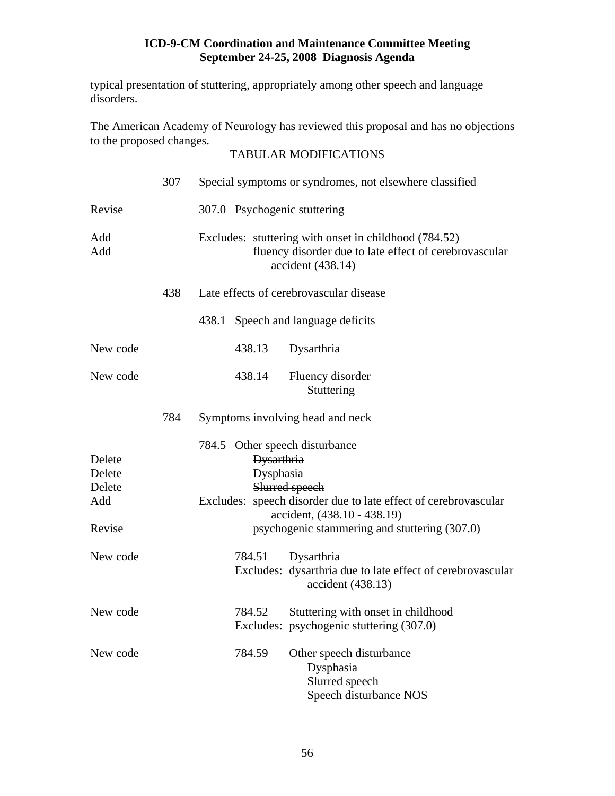typical presentation of stuttering, appropriately among other speech and language disorders.

The American Academy of Neurology has reviewed this proposal and has no objections to the proposed changes.

|                                             | 307 | Special symptoms or syndromes, not elsewhere classified                                                                                                                                                                                      |
|---------------------------------------------|-----|----------------------------------------------------------------------------------------------------------------------------------------------------------------------------------------------------------------------------------------------|
| Revise                                      |     | 307.0 Psychogenic stuttering                                                                                                                                                                                                                 |
| Add<br>Add                                  |     | Excludes: stuttering with onset in childhood (784.52)<br>fluency disorder due to late effect of cerebrovascular<br>accident (438.14)                                                                                                         |
|                                             | 438 | Late effects of cerebrovascular disease                                                                                                                                                                                                      |
|                                             |     | 438.1 Speech and language deficits                                                                                                                                                                                                           |
| New code                                    |     | 438.13<br>Dysarthria                                                                                                                                                                                                                         |
| New code                                    |     | 438.14<br>Fluency disorder<br>Stuttering                                                                                                                                                                                                     |
|                                             | 784 | Symptoms involving head and neck                                                                                                                                                                                                             |
| Delete<br>Delete<br>Delete<br>Add<br>Revise |     | 784.5 Other speech disturbance<br><b>Dysarthria</b><br><b>Dysphasia</b><br>Slurred speech<br>Excludes: speech disorder due to late effect of cerebrovascular<br>accident, (438.10 - 438.19)<br>psychogenic stammering and stuttering (307.0) |
| New code                                    |     | 784.51<br>Dysarthria<br>Excludes: dysarthria due to late effect of cerebrovascular<br>accident (438.13)                                                                                                                                      |
| New code                                    |     | 784.52<br>Stuttering with onset in childhood<br>Excludes: psychogenic stuttering (307.0)                                                                                                                                                     |
| New code                                    |     | 784.59<br>Other speech disturbance<br>Dysphasia<br>Slurred speech<br>Speech disturbance NOS                                                                                                                                                  |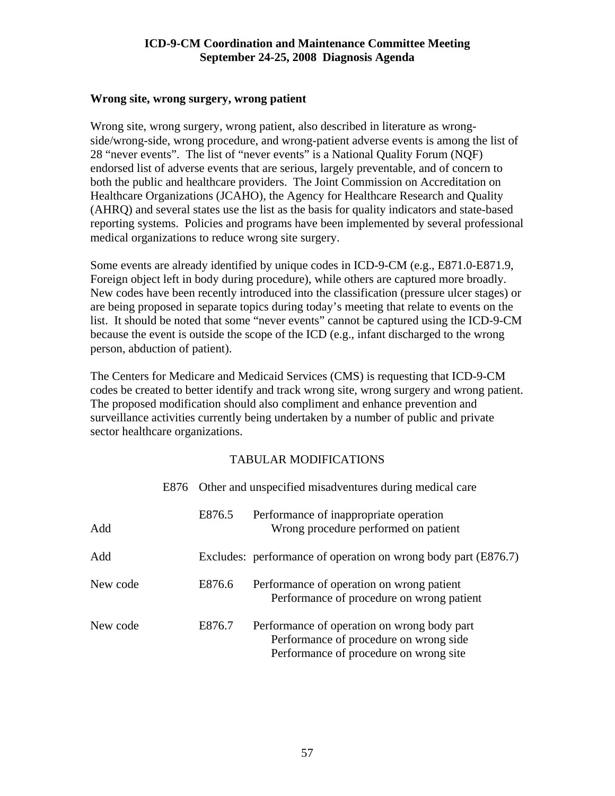#### **Wrong site, wrong surgery, wrong patient**

Wrong site, wrong surgery, wrong patient, also described in literature as wrongside/wrong-side, wrong procedure, and wrong-patient adverse events is among the list of 28 "never events". The list of "never events" is a National Quality Forum (NQF) endorsed list of adverse events that are serious, largely preventable, and of concern to both the public and healthcare providers. The Joint Commission on Accreditation on Healthcare Organizations (JCAHO), the Agency for Healthcare Research and Quality (AHRQ) and several states use the list as the basis for quality indicators and state-based reporting systems. Policies and programs have been implemented by several professional medical organizations to reduce wrong site surgery.

Some events are already identified by unique codes in ICD-9-CM (e.g., E871.0-E871.9, Foreign object left in body during procedure), while others are captured more broadly. New codes have been recently introduced into the classification (pressure ulcer stages) or are being proposed in separate topics during today's meeting that relate to events on the list. It should be noted that some "never events" cannot be captured using the ICD-9-CM because the event is outside the scope of the ICD (e.g., infant discharged to the wrong person, abduction of patient).

The Centers for Medicare and Medicaid Services (CMS) is requesting that ICD-9-CM codes be created to better identify and track wrong site, wrong surgery and wrong patient. The proposed modification should also compliment and enhance prevention and surveillance activities currently being undertaken by a number of public and private sector healthcare organizations.

|          |        | E876 Other and unspecified misadventures during medical care                                                                    |
|----------|--------|---------------------------------------------------------------------------------------------------------------------------------|
| Add      | E876.5 | Performance of inappropriate operation<br>Wrong procedure performed on patient                                                  |
| Add      |        | Excludes: performance of operation on wrong body part (E876.7)                                                                  |
| New code | E876.6 | Performance of operation on wrong patient<br>Performance of procedure on wrong patient                                          |
| New code | E876.7 | Performance of operation on wrong body part<br>Performance of procedure on wrong side<br>Performance of procedure on wrong site |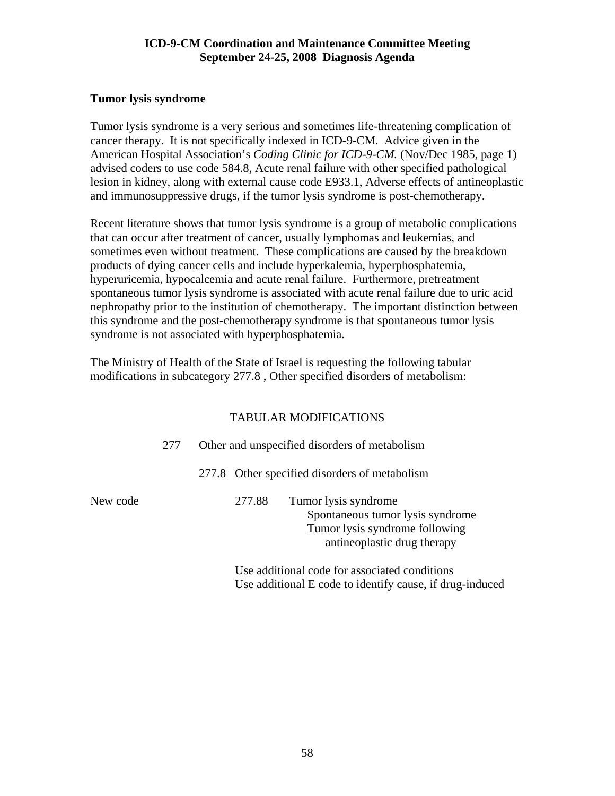# **Tumor lysis syndrome**

Tumor lysis syndrome is a very serious and sometimes life-threatening complication of cancer therapy. It is not specifically indexed in ICD-9-CM. Advice given in the American Hospital Association's *Coding Clinic for ICD-9-CM.* (Nov/Dec 1985, page 1) advised coders to use code 584.8, Acute renal failure with other specified pathological lesion in kidney, along with external cause code E933.1, Adverse effects of antineoplastic and immunosuppressive drugs, if the tumor lysis syndrome is post-chemotherapy.

Recent literature shows that tumor lysis syndrome is a group of metabolic complications that can occur after treatment of cancer, usually lymphomas and leukemias, and sometimes even without treatment. These complications are caused by the breakdown products of dying cancer cells and include hyperkalemia, hyperphosphatemia, hyperuricemia, hypocalcemia and acute renal failure. Furthermore, pretreatment spontaneous tumor lysis syndrome is associated with acute renal failure due to uric acid nephropathy prior to the institution of chemotherapy. The important distinction between this syndrome and the post-chemotherapy syndrome is that spontaneous tumor lysis syndrome is not associated with hyperphosphatemia.

The Ministry of Health of the State of Israel is requesting the following tabular modifications in subcategory 277.8 , Other specified disorders of metabolism:

# TABULAR MODIFICATIONS

|          | 277 | Other and unspecified disorders of metabolism |        |                                                                                                                           |  |  |  |
|----------|-----|-----------------------------------------------|--------|---------------------------------------------------------------------------------------------------------------------------|--|--|--|
|          |     |                                               |        | 277.8 Other specified disorders of metabolism                                                                             |  |  |  |
| New code |     |                                               | 277.88 | Tumor lysis syndrome<br>Spontaneous tumor lysis syndrome<br>Tumor lysis syndrome following<br>antineoplastic drug therapy |  |  |  |
|          |     |                                               |        | Use additional code for associated conditions                                                                             |  |  |  |

Use additional E code to identify cause, if drug-induced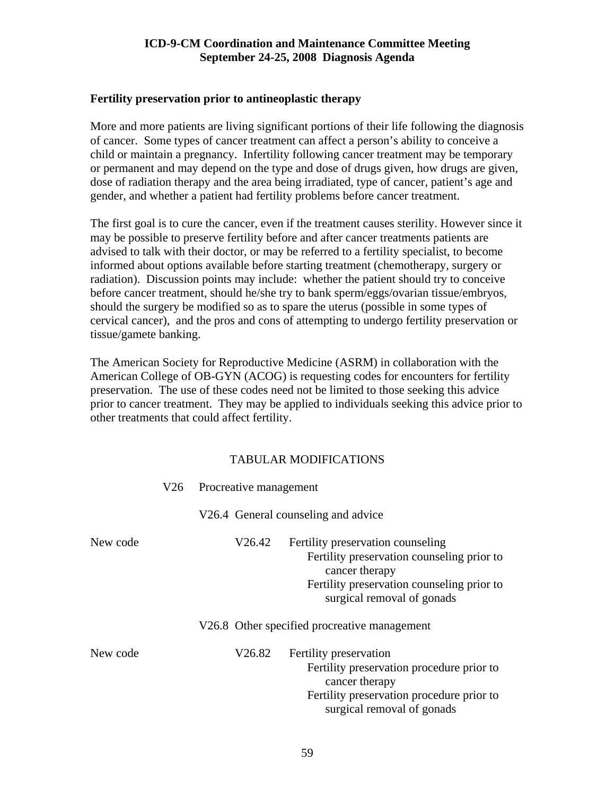#### **Fertility preservation prior to antineoplastic therapy**

More and more patients are living significant portions of their life following the diagnosis of cancer. Some types of cancer treatment can affect a person's ability to conceive a child or maintain a pregnancy. Infertility following cancer treatment may be temporary or permanent and may depend on the type and dose of drugs given, how drugs are given, dose of radiation therapy and the area being irradiated, type of cancer, patient's age and gender, and whether a patient had fertility problems before cancer treatment.

The first goal is to cure the cancer, even if the treatment causes sterility. However since it may be possible to preserve fertility before and after cancer treatments patients are advised to talk with their doctor, or may be referred to a fertility specialist, to become informed about options available before starting treatment (chemotherapy, surgery or radiation). Discussion points may include: whether the patient should try to conceive before cancer treatment, should he/she try to bank sperm/eggs/ovarian tissue/embryos, should the surgery be modified so as to spare the uterus (possible in some types of cervical cancer), and the pros and cons of attempting to undergo fertility preservation or tissue/gamete banking.

The American Society for Reproductive Medicine (ASRM) in collaboration with the American College of OB-GYN (ACOG) is requesting codes for encounters for fertility preservation. The use of these codes need not be limited to those seeking this advice prior to cancer treatment. They may be applied to individuals seeking this advice prior to other treatments that could affect fertility.

|          |  | V26 Procreative management |                                                                                                                                                                               |
|----------|--|----------------------------|-------------------------------------------------------------------------------------------------------------------------------------------------------------------------------|
|          |  |                            | V26.4 General counseling and advice                                                                                                                                           |
| New code |  | V26.42                     | Fertility preservation counseling<br>Fertility preservation counseling prior to<br>cancer therapy<br>Fertility preservation counseling prior to<br>surgical removal of gonads |
|          |  |                            | V26.8 Other specified procreative management                                                                                                                                  |
| New code |  | V26.82                     | Fertility preservation<br>Fertility preservation procedure prior to<br>cancer therapy<br>Fertility preservation procedure prior to<br>surgical removal of gonads              |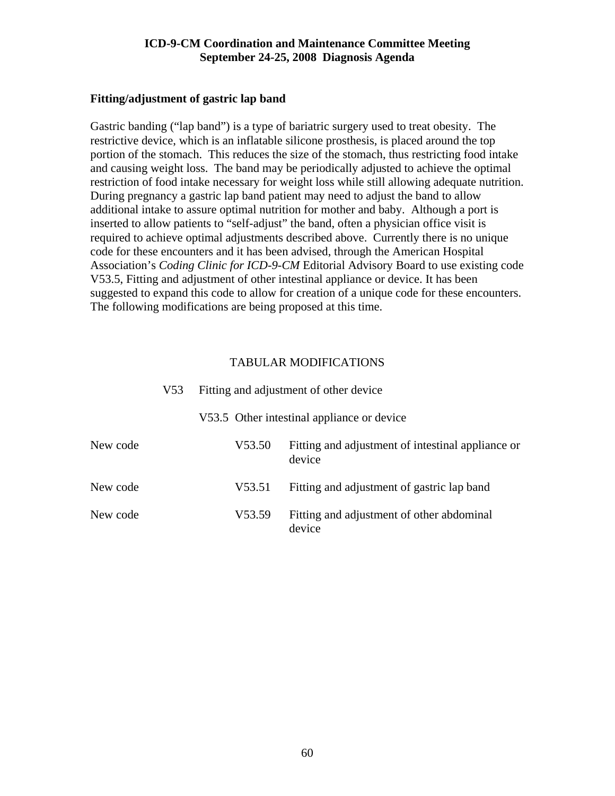#### **Fitting/adjustment of gastric lap band**

Gastric banding ("lap band") is a type of bariatric surgery used to treat obesity. The restrictive device, which is an inflatable silicone prosthesis, is placed around the top portion of the stomach. This reduces the size of the stomach, thus restricting food intake and causing weight loss. The band may be periodically adjusted to achieve the optimal restriction of food intake necessary for weight loss while still allowing adequate nutrition. During pregnancy a gastric lap band patient may need to adjust the band to allow additional intake to assure optimal nutrition for mother and baby. Although a port is inserted to allow patients to "self-adjust" the band, often a physician office visit is required to achieve optimal adjustments described above. Currently there is no unique code for these encounters and it has been advised, through the American Hospital Association's *Coding Clinic for ICD-9-CM* Editorial Advisory Board to use existing code V53.5, Fitting and adjustment of other intestinal appliance or device. It has been suggested to expand this code to allow for creation of a unique code for these encounters. The following modifications are being proposed at this time.

|          | V53 | Fitting and adjustment of other device |                                                             |  |  |  |
|----------|-----|----------------------------------------|-------------------------------------------------------------|--|--|--|
|          |     |                                        | V53.5 Other intestinal appliance or device                  |  |  |  |
| New code |     | V53.50                                 | Fitting and adjustment of intestinal appliance or<br>device |  |  |  |
| New code |     | V53.51                                 | Fitting and adjustment of gastric lap band                  |  |  |  |
| New code |     | V53.59                                 | Fitting and adjustment of other abdominal<br>device         |  |  |  |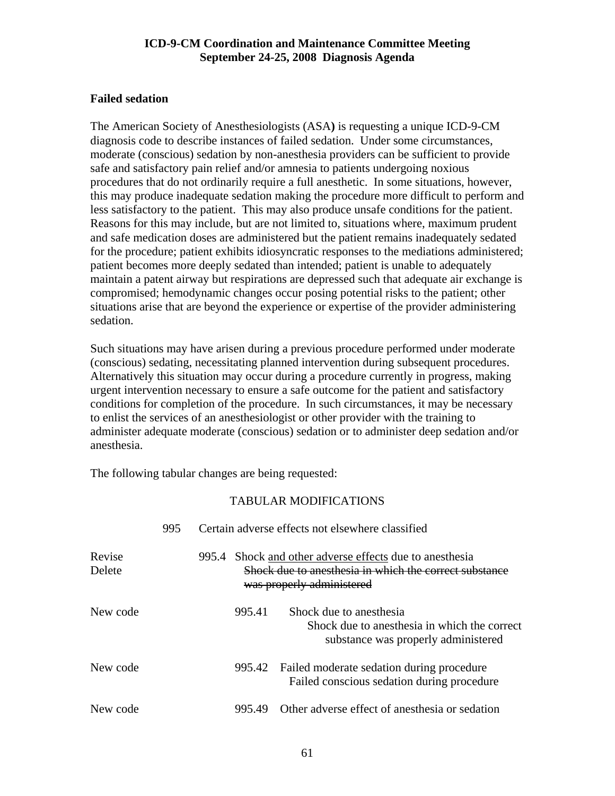# **Failed sedation**

The American Society of Anesthesiologists (ASA**)** is requesting a unique ICD-9-CM diagnosis code to describe instances of failed sedation. Under some circumstances, moderate (conscious) sedation by non-anesthesia providers can be sufficient to provide safe and satisfactory pain relief and/or amnesia to patients undergoing noxious procedures that do not ordinarily require a full anesthetic. In some situations, however, this may produce inadequate sedation making the procedure more difficult to perform and less satisfactory to the patient. This may also produce unsafe conditions for the patient. Reasons for this may include, but are not limited to, situations where, maximum prudent and safe medication doses are administered but the patient remains inadequately sedated for the procedure; patient exhibits idiosyncratic responses to the mediations administered; patient becomes more deeply sedated than intended; patient is unable to adequately maintain a patent airway but respirations are depressed such that adequate air exchange is compromised; hemodynamic changes occur posing potential risks to the patient; other situations arise that are beyond the experience or expertise of the provider administering sedation.

Such situations may have arisen during a previous procedure performed under moderate (conscious) sedating, necessitating planned intervention during subsequent procedures. Alternatively this situation may occur during a procedure currently in progress, making urgent intervention necessary to ensure a safe outcome for the patient and satisfactory conditions for completion of the procedure. In such circumstances, it may be necessary to enlist the services of an anesthesiologist or other provider with the training to administer adequate moderate (conscious) sedation or to administer deep sedation and/or anesthesia.

The following tabular changes are being requested:

|                  | 995 |                                                                                                                                                | Certain adverse effects not elsewhere classified                                                               |  |
|------------------|-----|------------------------------------------------------------------------------------------------------------------------------------------------|----------------------------------------------------------------------------------------------------------------|--|
| Revise<br>Delete |     | 995.4 Shock and other adverse effects due to anesthesia<br>Shock due to anesthesia in which the correct substance<br>was properly administered |                                                                                                                |  |
| New code         |     | 995.41                                                                                                                                         | Shock due to anesthesia<br>Shock due to anesthesia in which the correct<br>substance was properly administered |  |
| New code         |     |                                                                                                                                                | 995.42 Failed moderate sedation during procedure<br>Failed conscious sedation during procedure                 |  |
| New code         |     | 995.49                                                                                                                                         | Other adverse effect of anesthesia or sedation                                                                 |  |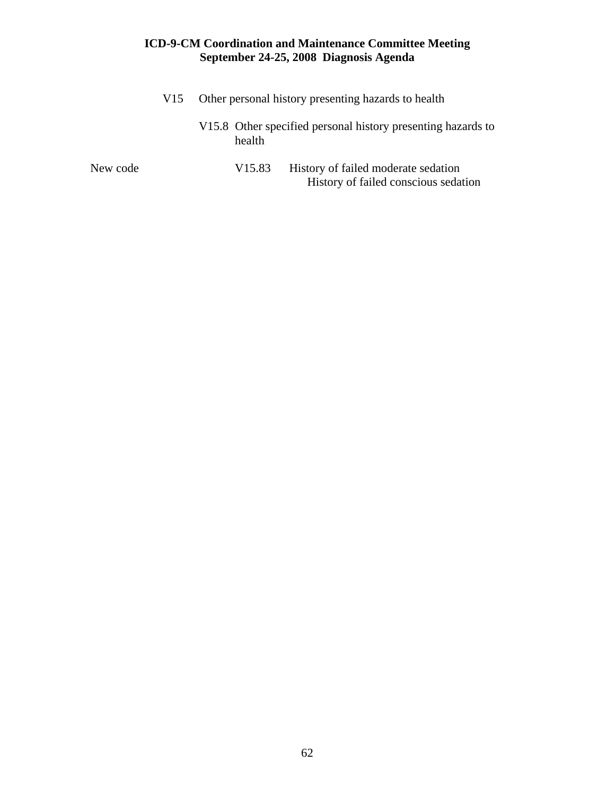|          | V <sub>15</sub> | Other personal history presenting hazards to health |                    |                                                                             |  |
|----------|-----------------|-----------------------------------------------------|--------------------|-----------------------------------------------------------------------------|--|
|          |                 |                                                     | health             | V15.8 Other specified personal history presenting hazards to                |  |
| New code |                 |                                                     | V <sub>15.83</sub> | History of failed moderate sedation<br>History of failed conscious sedation |  |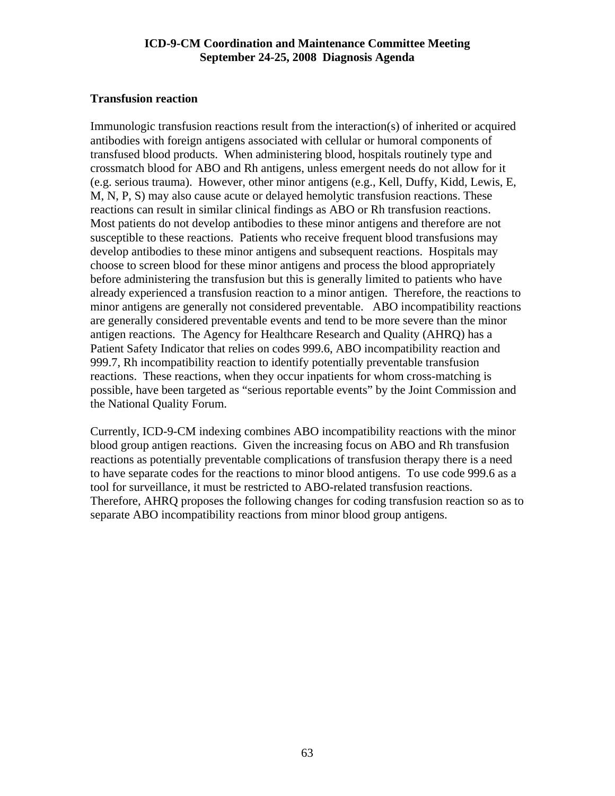# **Transfusion reaction**

Immunologic transfusion reactions result from the interaction(s) of inherited or acquired antibodies with foreign antigens associated with cellular or humoral components of transfused blood products. When administering blood, hospitals routinely type and crossmatch blood for ABO and Rh antigens, unless emergent needs do not allow for it (e.g. serious trauma). However, other minor antigens (e.g., Kell, Duffy, Kidd, Lewis, E, M, N, P, S) may also cause acute or delayed hemolytic transfusion reactions. These reactions can result in similar clinical findings as ABO or Rh transfusion reactions. Most patients do not develop antibodies to these minor antigens and therefore are not susceptible to these reactions. Patients who receive frequent blood transfusions may develop antibodies to these minor antigens and subsequent reactions. Hospitals may choose to screen blood for these minor antigens and process the blood appropriately before administering the transfusion but this is generally limited to patients who have already experienced a transfusion reaction to a minor antigen. Therefore, the reactions to minor antigens are generally not considered preventable. ABO incompatibility reactions are generally considered preventable events and tend to be more severe than the minor antigen reactions. The Agency for Healthcare Research and Quality (AHRQ) has a Patient Safety Indicator that relies on codes 999.6, ABO incompatibility reaction and 999.7, Rh incompatibility reaction to identify potentially preventable transfusion reactions. These reactions, when they occur inpatients for whom cross-matching is possible, have been targeted as "serious reportable events" by the Joint Commission and the National Quality Forum.

Currently, ICD-9-CM indexing combines ABO incompatibility reactions with the minor blood group antigen reactions. Given the increasing focus on ABO and Rh transfusion reactions as potentially preventable complications of transfusion therapy there is a need to have separate codes for the reactions to minor blood antigens. To use code 999.6 as a tool for surveillance, it must be restricted to ABO-related transfusion reactions. Therefore, AHRQ proposes the following changes for coding transfusion reaction so as to separate ABO incompatibility reactions from minor blood group antigens.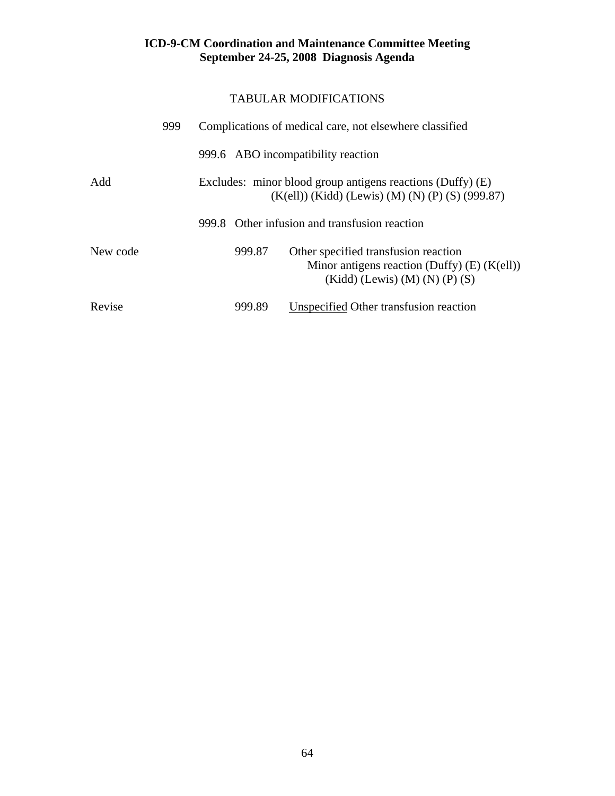|          | 999 | Complications of medical care, not elsewhere classified                                                          |                                                                                                                                    |  |
|----------|-----|------------------------------------------------------------------------------------------------------------------|------------------------------------------------------------------------------------------------------------------------------------|--|
|          |     | 999.6 ABO incompatibility reaction                                                                               |                                                                                                                                    |  |
| Add      |     | Excludes: minor blood group antigens reactions (Duffy) (E)<br>$(K(ell))$ (Kidd) (Lewis) (M) (N) (P) (S) (999.87) |                                                                                                                                    |  |
|          |     |                                                                                                                  | 999.8 Other infusion and transfusion reaction                                                                                      |  |
| New code |     | 999.87                                                                                                           | Other specified transfusion reaction<br>Minor antigens reaction (Duffy) $(E)$ (K(ell))<br>$(Kidd)$ (Lewis) $(M)$ $(N)$ $(P)$ $(S)$ |  |
| Revise   |     | 999.89                                                                                                           | Unspecified Other transfusion reaction                                                                                             |  |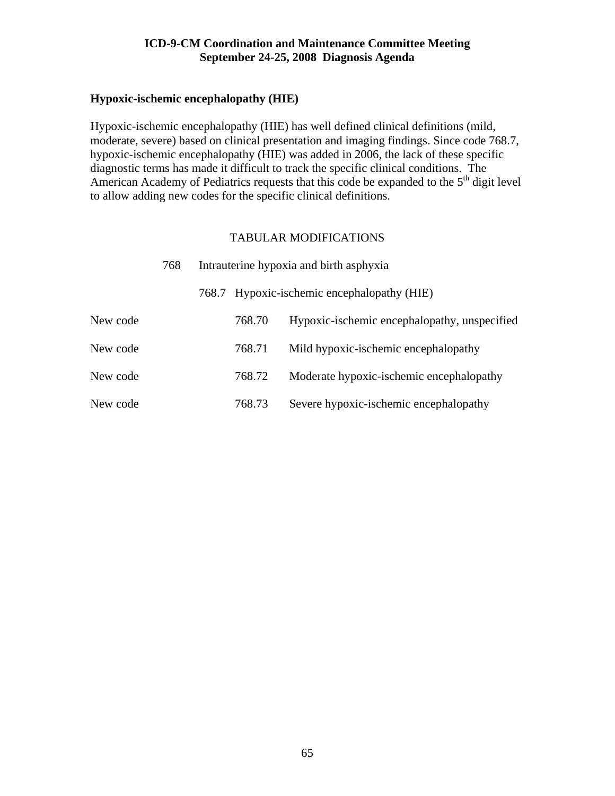## **Hypoxic-ischemic encephalopathy (HIE)**

Hypoxic-ischemic encephalopathy (HIE) has well defined clinical definitions (mild, moderate, severe) based on clinical presentation and imaging findings. Since code 768.7, hypoxic-ischemic encephalopathy (HIE) was added in 2006, the lack of these specific diagnostic terms has made it difficult to track the specific clinical conditions. The American Academy of Pediatrics requests that this code be expanded to the  $5<sup>th</sup>$  digit level to allow adding new codes for the specific clinical definitions.

|          | 768 |       | Intrauterine hypoxia and birth asphyxia |                                              |
|----------|-----|-------|-----------------------------------------|----------------------------------------------|
|          |     | 768.7 |                                         | Hypoxic-ischemic encephalopathy (HIE)        |
| New code |     |       | 768.70                                  | Hypoxic-ischemic encephalopathy, unspecified |
| New code |     |       | 768.71                                  | Mild hypoxic-ischemic encephalopathy         |
| New code |     |       | 768.72                                  | Moderate hypoxic-ischemic encephalopathy     |
| New code |     |       | 768.73                                  | Severe hypoxic-ischemic encephalopathy       |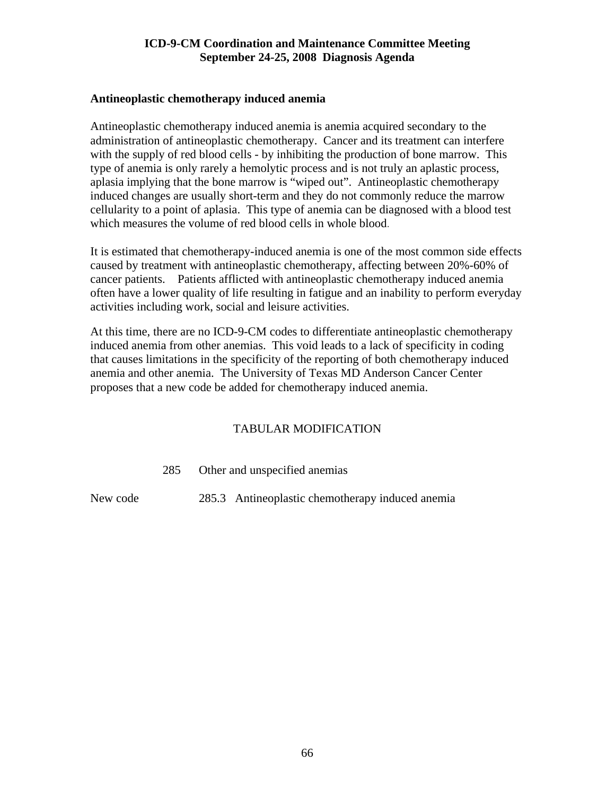#### **Antineoplastic chemotherapy induced anemia**

Antineoplastic chemotherapy induced anemia is anemia acquired secondary to the administration of antineoplastic chemotherapy. Cancer and its treatment can interfere with the supply of red blood cells - by inhibiting the production of bone marrow. This type of anemia is only rarely a hemolytic process and is not truly an aplastic process, aplasia implying that the bone marrow is "wiped out". Antineoplastic chemotherapy induced changes are usually short-term and they do not commonly reduce the marrow cellularity to a point of aplasia. This type of anemia can be diagnosed with a blood test which measures the volume of red blood cells in whole blood.

It is estimated that chemotherapy-induced anemia is one of the most common side effects caused by treatment with antineoplastic chemotherapy, affecting between 20%-60% of cancer patients. Patients afflicted with antineoplastic chemotherapy induced anemia often have a lower quality of life resulting in fatigue and an inability to perform everyday activities including work, social and leisure activities.

At this time, there are no ICD-9-CM codes to differentiate antineoplastic chemotherapy induced anemia from other anemias. This void leads to a lack of specificity in coding that causes limitations in the specificity of the reporting of both chemotherapy induced anemia and other anemia. The University of Texas MD Anderson Cancer Center proposes that a new code be added for chemotherapy induced anemia.

# TABULAR MODIFICATION

285 Other and unspecified anemias

New code 285.3 Antineoplastic chemotherapy induced anemia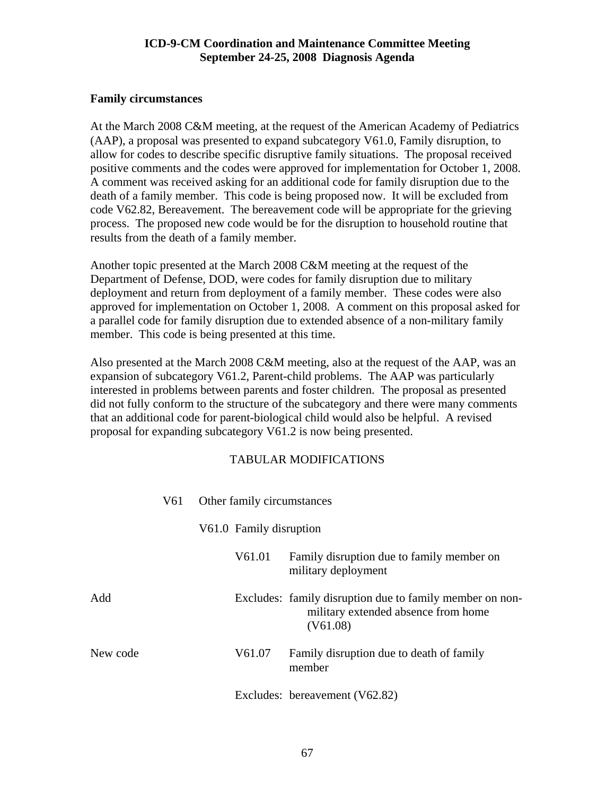# **Family circumstances**

At the March 2008 C&M meeting, at the request of the American Academy of Pediatrics (AAP), a proposal was presented to expand subcategory V61.0, Family disruption, to allow for codes to describe specific disruptive family situations. The proposal received positive comments and the codes were approved for implementation for October 1, 2008. A comment was received asking for an additional code for family disruption due to the death of a family member. This code is being proposed now. It will be excluded from code V62.82, Bereavement. The bereavement code will be appropriate for the grieving process. The proposed new code would be for the disruption to household routine that results from the death of a family member.

Another topic presented at the March 2008 C&M meeting at the request of the Department of Defense, DOD, were codes for family disruption due to military deployment and return from deployment of a family member. These codes were also approved for implementation on October 1, 2008. A comment on this proposal asked for a parallel code for family disruption due to extended absence of a non-military family member. This code is being presented at this time.

Also presented at the March 2008 C&M meeting, also at the request of the AAP, was an expansion of subcategory V61.2, Parent-child problems. The AAP was particularly interested in problems between parents and foster children. The proposal as presented did not fully conform to the structure of the subcategory and there were many comments that an additional code for parent-biological child would also be helpful. A revised proposal for expanding subcategory V61.2 is now being presented.

|          | V61 | Other family circumstances |                                                                                                             |  |
|----------|-----|----------------------------|-------------------------------------------------------------------------------------------------------------|--|
|          |     | V61.0 Family disruption    |                                                                                                             |  |
|          |     | V61.01                     | Family disruption due to family member on<br>military deployment                                            |  |
| Add      |     |                            | Excludes: family disruption due to family member on non-<br>military extended absence from home<br>(V61.08) |  |
| New code |     | V61.07                     | Family disruption due to death of family<br>member                                                          |  |
|          |     |                            | Excludes: bereavement (V62.82)                                                                              |  |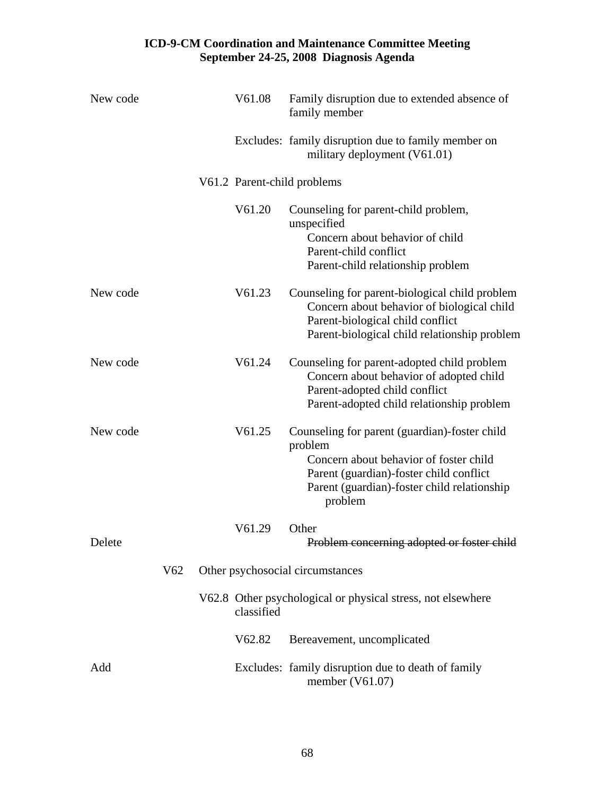| New code |                 | V61.08     | Family disruption due to extended absence of<br>family member                                                                                                                                           |
|----------|-----------------|------------|---------------------------------------------------------------------------------------------------------------------------------------------------------------------------------------------------------|
|          |                 |            | Excludes: family disruption due to family member on<br>military deployment (V61.01)                                                                                                                     |
|          |                 |            | V61.2 Parent-child problems                                                                                                                                                                             |
|          |                 | V61.20     | Counseling for parent-child problem,<br>unspecified<br>Concern about behavior of child<br>Parent-child conflict<br>Parent-child relationship problem                                                    |
| New code |                 | V61.23     | Counseling for parent-biological child problem<br>Concern about behavior of biological child<br>Parent-biological child conflict<br>Parent-biological child relationship problem                        |
| New code |                 | V61.24     | Counseling for parent-adopted child problem<br>Concern about behavior of adopted child<br>Parent-adopted child conflict<br>Parent-adopted child relationship problem                                    |
| New code |                 | V61.25     | Counseling for parent (guardian)-foster child<br>problem<br>Concern about behavior of foster child<br>Parent (guardian)-foster child conflict<br>Parent (guardian)-foster child relationship<br>problem |
| Delete   |                 | V61.29     | Other<br>Problem concerning adopted or foster child                                                                                                                                                     |
|          | V <sub>62</sub> |            | Other psychosocial circumstances                                                                                                                                                                        |
|          |                 | classified | V62.8 Other psychological or physical stress, not elsewhere                                                                                                                                             |
|          |                 | V62.82     | Bereavement, uncomplicated                                                                                                                                                                              |
| Add      |                 |            | Excludes: family disruption due to death of family<br>member $(V61.07)$                                                                                                                                 |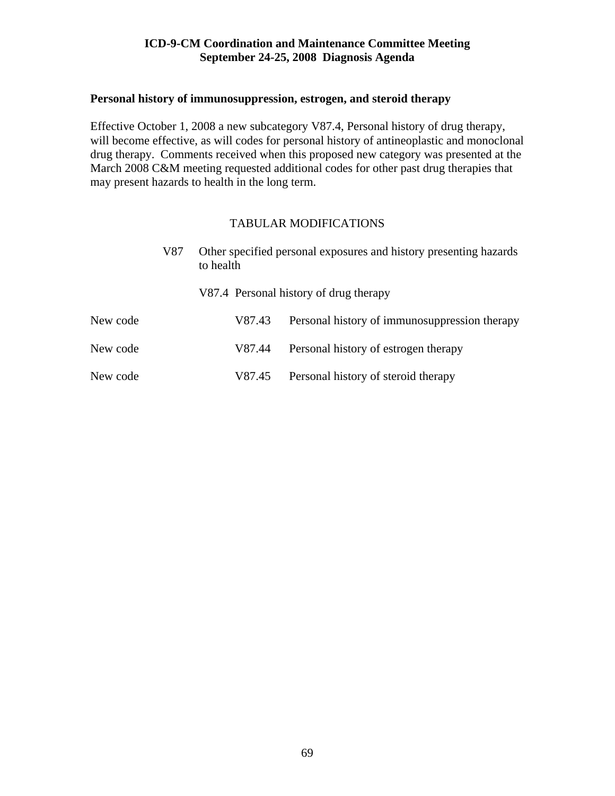#### **Personal history of immunosuppression, estrogen, and steroid therapy**

Effective October 1, 2008 a new subcategory V87.4, Personal history of drug therapy, will become effective, as will codes for personal history of antineoplastic and monoclonal drug therapy. Comments received when this proposed new category was presented at the March 2008 C&M meeting requested additional codes for other past drug therapies that may present hazards to health in the long term.

|          | V87 | Other specified personal exposures and history presenting hazards<br>to health |                                               |
|----------|-----|--------------------------------------------------------------------------------|-----------------------------------------------|
|          |     |                                                                                | V87.4 Personal history of drug therapy        |
| New code |     | V87.43                                                                         | Personal history of immunosuppression therapy |
| New code |     | V87.44                                                                         | Personal history of estrogen therapy          |
| New code |     | V87.45                                                                         | Personal history of steroid therapy           |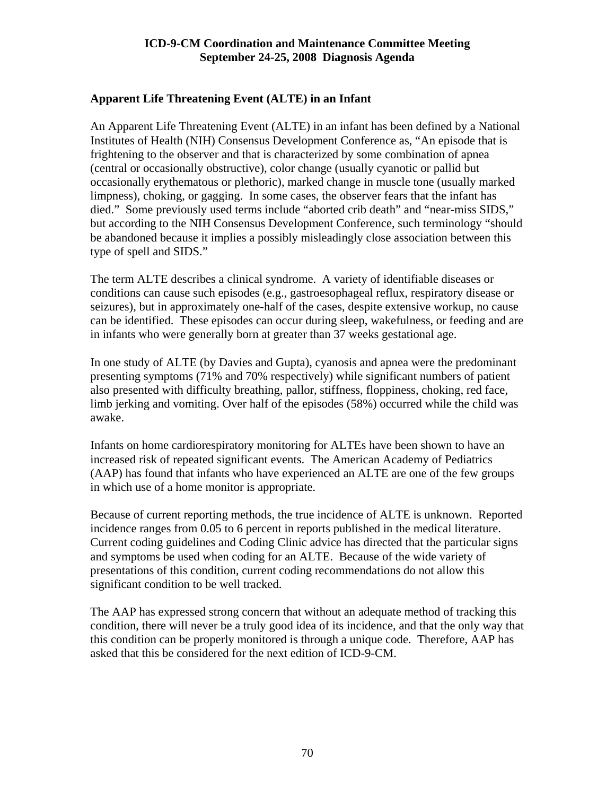# **Apparent Life Threatening Event (ALTE) in an Infant**

An Apparent Life Threatening Event (ALTE) in an infant has been defined by a National Institutes of Health (NIH) Consensus Development Conference as, "An episode that is frightening to the observer and that is characterized by some combination of apnea (central or occasionally obstructive), color change (usually cyanotic or pallid but occasionally erythematous or plethoric), marked change in muscle tone (usually marked limpness), choking, or gagging. In some cases, the observer fears that the infant has died." Some previously used terms include "aborted crib death" and "near-miss SIDS," but according to the NIH Consensus Development Conference, such terminology "should be abandoned because it implies a possibly misleadingly close association between this type of spell and SIDS."

The term ALTE describes a clinical syndrome. A variety of identifiable diseases or conditions can cause such episodes (e.g., gastroesophageal reflux, respiratory disease or seizures), but in approximately one-half of the cases, despite extensive workup, no cause can be identified. These episodes can occur during sleep, wakefulness, or feeding and are in infants who were generally born at greater than 37 weeks gestational age.

In one study of ALTE (by Davies and Gupta), cyanosis and apnea were the predominant presenting symptoms (71% and 70% respectively) while significant numbers of patient also presented with difficulty breathing, pallor, stiffness, floppiness, choking, red face, limb jerking and vomiting. Over half of the episodes (58%) occurred while the child was awake.

Infants on home cardiorespiratory monitoring for ALTEs have been shown to have an increased risk of repeated significant events. The American Academy of Pediatrics (AAP) has found that infants who have experienced an ALTE are one of the few groups in which use of a home monitor is appropriate.

Because of current reporting methods, the true incidence of ALTE is unknown. Reported incidence ranges from 0.05 to 6 percent in reports published in the medical literature. Current coding guidelines and Coding Clinic advice has directed that the particular signs and symptoms be used when coding for an ALTE. Because of the wide variety of presentations of this condition, current coding recommendations do not allow this significant condition to be well tracked.

The AAP has expressed strong concern that without an adequate method of tracking this condition, there will never be a truly good idea of its incidence, and that the only way that this condition can be properly monitored is through a unique code. Therefore, AAP has asked that this be considered for the next edition of ICD-9-CM.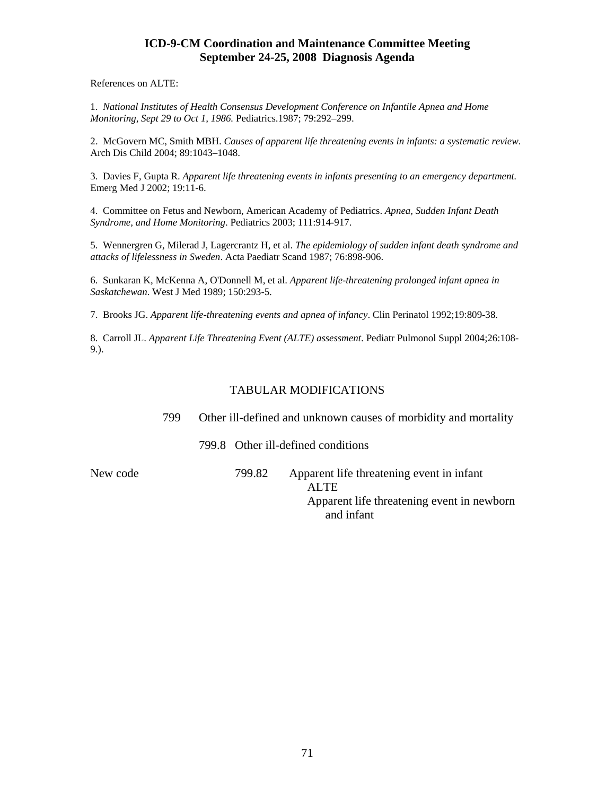References on ALTE:

1. *National Institutes of Health Consensus Development Conference on Infantile Apnea and Home Monitoring, Sept 29 to Oct 1, 1986.* Pediatrics.1987; 79:292–299.

2. McGovern MC, Smith MBH. *Causes of apparent life threatening events in infants: a systematic review*. Arch Dis Child 2004; 89:1043–1048.

3. Davies F, Gupta R. *Apparent life threatening events in infants presenting to an emergency department*. Emerg Med J 2002; 19:11-6.

4. Committee on Fetus and Newborn, American Academy of Pediatrics. *Apnea, Sudden Infant Death Syndrome, and Home Monitoring*. Pediatrics 2003; 111:914-917.

5. Wennergren G, Milerad J, Lagercrantz H, et al. *The epidemiology of sudden infant death syndrome and attacks of lifelessness in Sweden*. Acta Paediatr Scand 1987; 76:898-906.

6. Sunkaran K, McKenna A, O'Donnell M, et al. *Apparent life-threatening prolonged infant apnea in Saskatchewan*. West J Med 1989; 150:293-5.

7. Brooks JG. *Apparent life-threatening events and apnea of infancy*. Clin Perinatol 1992;19:809-38.

8. Carroll JL. *Apparent Life Threatening Event (ALTE) assessment*. Pediatr Pulmonol Suppl 2004;26:108- 9.).

#### TABULAR MODIFICATIONS

799 Other ill-defined and unknown causes of morbidity and mortality

799.8 Other ill-defined conditions

New code 799.82 Apparent life threatening event in infant ALTE Apparent life threatening event in newborn and infant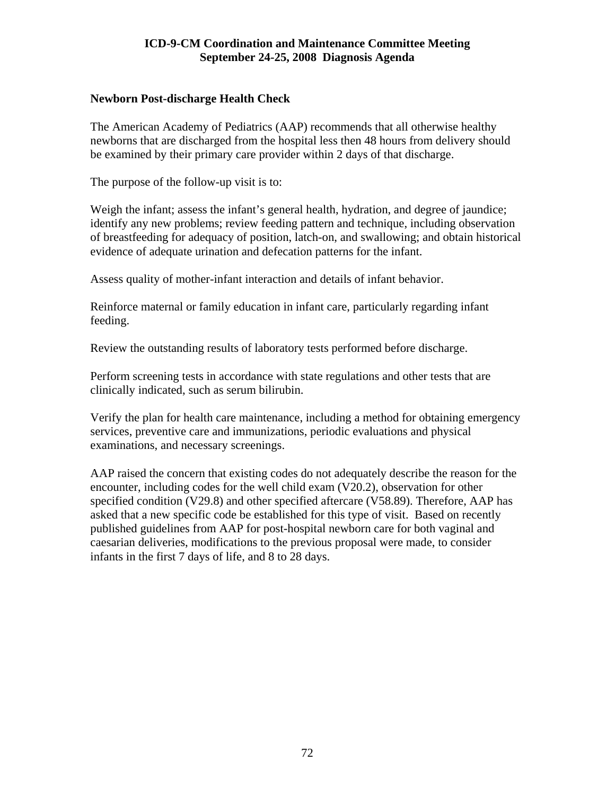## **Newborn Post-discharge Health Check**

The American Academy of Pediatrics (AAP) recommends that all otherwise healthy newborns that are discharged from the hospital less then 48 hours from delivery should be examined by their primary care provider within 2 days of that discharge.

The purpose of the follow-up visit is to:

Weigh the infant; assess the infant's general health, hydration, and degree of jaundice; identify any new problems; review feeding pattern and technique, including observation of breastfeeding for adequacy of position, latch-on, and swallowing; and obtain historical evidence of adequate urination and defecation patterns for the infant.

Assess quality of mother-infant interaction and details of infant behavior.

Reinforce maternal or family education in infant care, particularly regarding infant feeding.

Review the outstanding results of laboratory tests performed before discharge.

Perform screening tests in accordance with state regulations and other tests that are clinically indicated, such as serum bilirubin.

Verify the plan for health care maintenance, including a method for obtaining emergency services, preventive care and immunizations, periodic evaluations and physical examinations, and necessary screenings.

AAP raised the concern that existing codes do not adequately describe the reason for the encounter, including codes for the well child exam (V20.2), observation for other specified condition (V29.8) and other specified aftercare (V58.89). Therefore, AAP has asked that a new specific code be established for this type of visit. Based on recently published guidelines from AAP for post-hospital newborn care for both vaginal and caesarian deliveries, modifications to the previous proposal were made, to consider infants in the first 7 days of life, and 8 to 28 days.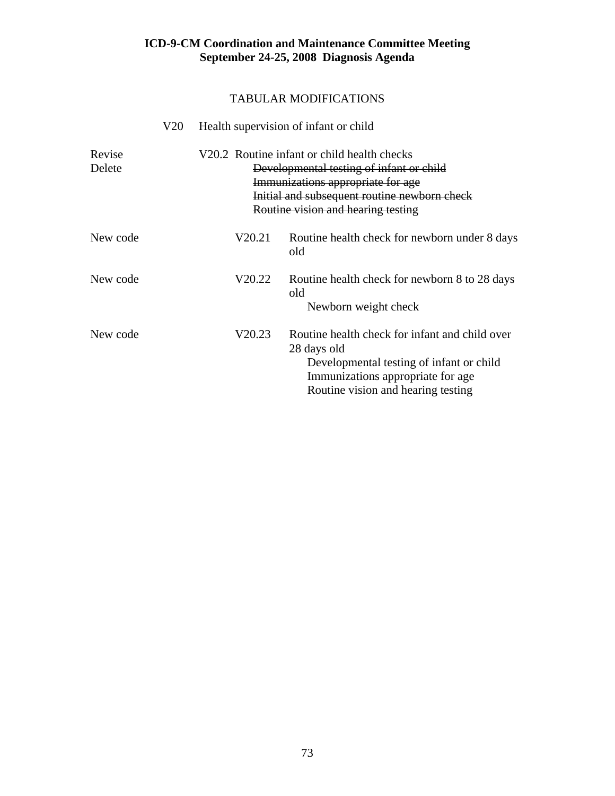|                  | V20 |        | Health supervision of infant or child                                                                                                                                                                              |
|------------------|-----|--------|--------------------------------------------------------------------------------------------------------------------------------------------------------------------------------------------------------------------|
| Revise<br>Delete |     |        | V20.2 Routine infant or child health checks<br>Developmental testing of infant or child<br>Immunizations appropriate for age<br>Initial and subsequent routine newborn check<br>Routine vision and hearing testing |
| New code         |     | V20.21 | Routine health check for newborn under 8 days<br>old                                                                                                                                                               |
| New code         |     | V20.22 | Routine health check for newborn 8 to 28 days<br>old<br>Newborn weight check                                                                                                                                       |
| New code         |     | V20.23 | Routine health check for infant and child over<br>28 days old<br>Developmental testing of infant or child<br>Immunizations appropriate for age<br>Routine vision and hearing testing                               |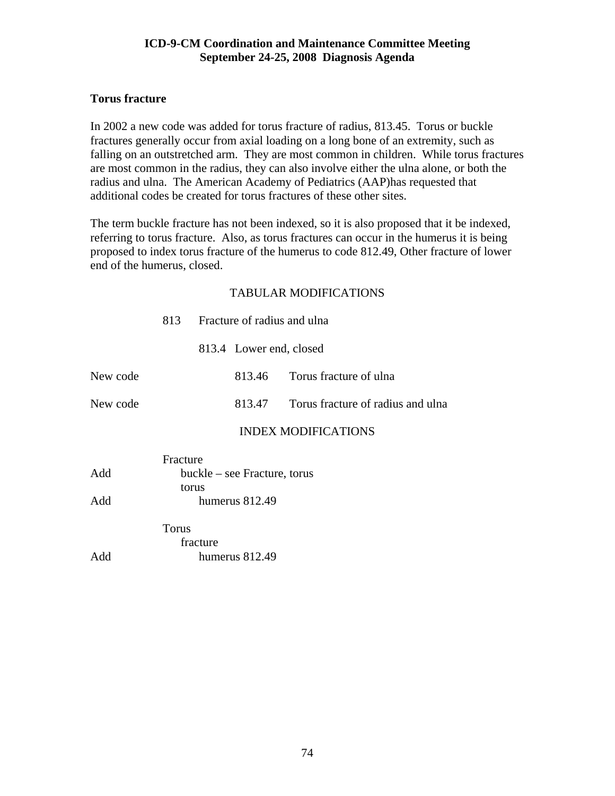## **Torus fracture**

In 2002 a new code was added for torus fracture of radius, 813.45. Torus or buckle fractures generally occur from axial loading on a long bone of an extremity, such as falling on an outstretched arm. They are most common in children. While torus fractures are most common in the radius, they can also involve either the ulna alone, or both the radius and ulna. The American Academy of Pediatrics (AAP)has requested that additional codes be created for torus fractures of these other sites.

The term buckle fracture has not been indexed, so it is also proposed that it be indexed, referring to torus fracture. Also, as torus fractures can occur in the humerus it is being proposed to index torus fracture of the humerus to code 812.49, Other fracture of lower end of the humerus, closed.

|          | 813      |          |                              | Fracture of radius and ulna       |
|----------|----------|----------|------------------------------|-----------------------------------|
|          |          |          | 813.4 Lower end, closed      |                                   |
| New code |          |          | 813.46                       | Torus fracture of ulna            |
| New code |          |          | 813.47                       | Torus fracture of radius and ulna |
|          |          |          |                              | <b>INDEX MODIFICATIONS</b>        |
|          | Fracture |          |                              |                                   |
| Add      |          |          | buckle – see Fracture, torus |                                   |
|          |          | torus    |                              |                                   |
| Add      |          |          | humerus 812.49               |                                   |
|          | Torus    |          |                              |                                   |
|          |          | fracture |                              |                                   |
| Add      |          |          | humerus 812.49               |                                   |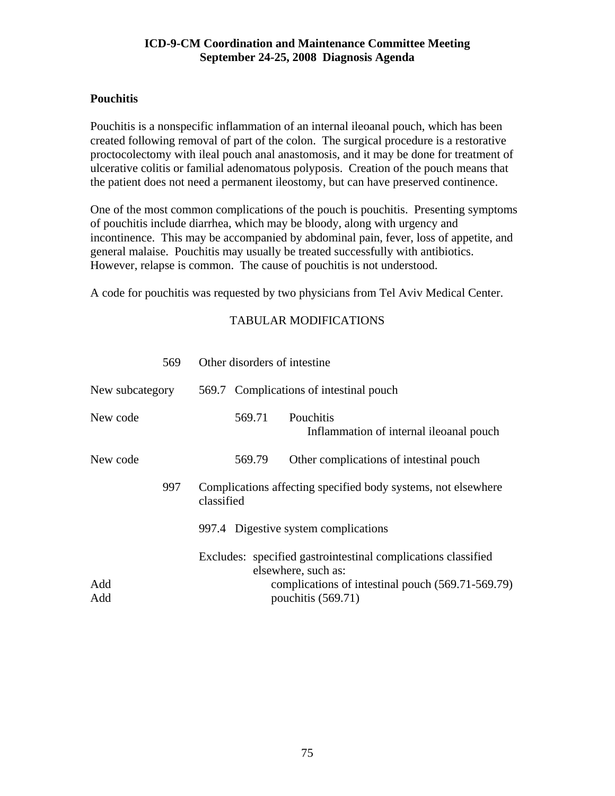# **Pouchitis**

Pouchitis is a nonspecific inflammation of an internal ileoanal pouch, which has been created following removal of part of the colon. The surgical procedure is a restorative proctocolectomy with ileal pouch anal anastomosis, and it may be done for treatment of ulcerative colitis or familial adenomatous polyposis. Creation of the pouch means that the patient does not need a permanent ileostomy, but can have preserved continence.

One of the most common complications of the pouch is pouchitis. Presenting symptoms of pouchitis include diarrhea, which may be bloody, along with urgency and incontinence. This may be accompanied by abdominal pain, fever, loss of appetite, and general malaise. Pouchitis may usually be treated successfully with antibiotics. However, relapse is common. The cause of pouchitis is not understood.

A code for pouchitis was requested by two physicians from Tel Aviv Medical Center.

| 569             | Other disorders of intestine                                                         |  |  |  |
|-----------------|--------------------------------------------------------------------------------------|--|--|--|
| New subcategory | 569.7 Complications of intestinal pouch                                              |  |  |  |
| New code        | <b>Pouchitis</b><br>569.71<br>Inflammation of internal ileoanal pouch                |  |  |  |
| New code        | 569.79<br>Other complications of intestinal pouch                                    |  |  |  |
| 997             | Complications affecting specified body systems, not elsewhere<br>classified          |  |  |  |
|                 | 997.4 Digestive system complications                                                 |  |  |  |
|                 | Excludes: specified gastrointestinal complications classified<br>elsewhere, such as: |  |  |  |
| Add<br>Add      | complications of intestinal pouch (569.71-569.79)<br>pouchitis (569.71)              |  |  |  |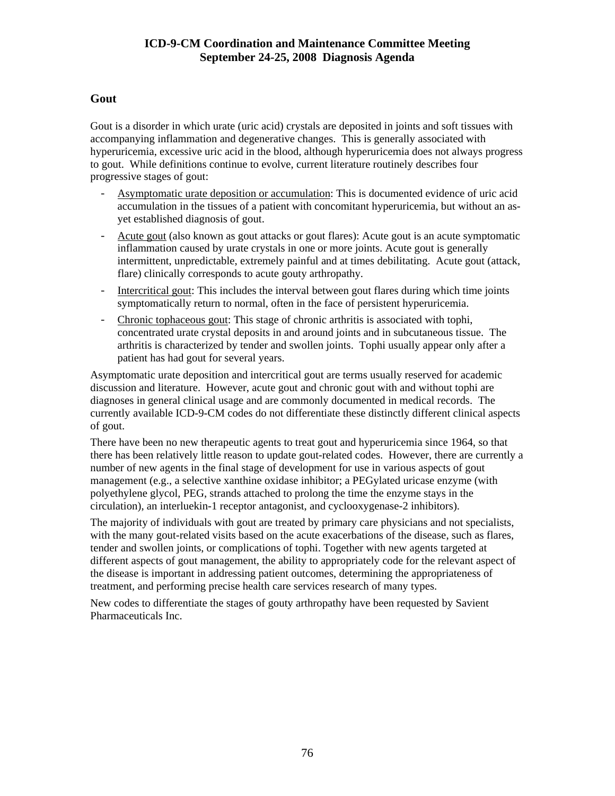# **Gout**

Gout is a disorder in which urate (uric acid) crystals are deposited in joints and soft tissues with accompanying inflammation and degenerative changes. This is generally associated with hyperuricemia, excessive uric acid in the blood, although hyperuricemia does not always progress to gout. While definitions continue to evolve, current literature routinely describes four progressive stages of gout:

- Asymptomatic urate deposition or accumulation: This is documented evidence of uric acid accumulation in the tissues of a patient with concomitant hyperuricemia, but without an asyet established diagnosis of gout.
- Acute gout (also known as gout attacks or gout flares): Acute gout is an acute symptomatic inflammation caused by urate crystals in one or more joints. Acute gout is generally intermittent, unpredictable, extremely painful and at times debilitating. Acute gout (attack, flare) clinically corresponds to acute gouty arthropathy.
- Intercritical gout: This includes the interval between gout flares during which time joints symptomatically return to normal, often in the face of persistent hyperuricemia.
- Chronic tophaceous gout: This stage of chronic arthritis is associated with tophi, concentrated urate crystal deposits in and around joints and in subcutaneous tissue. The arthritis is characterized by tender and swollen joints. Tophi usually appear only after a patient has had gout for several years.

Asymptomatic urate deposition and intercritical gout are terms usually reserved for academic discussion and literature. However, acute gout and chronic gout with and without tophi are diagnoses in general clinical usage and are commonly documented in medical records. The currently available ICD-9-CM codes do not differentiate these distinctly different clinical aspects of gout.

There have been no new therapeutic agents to treat gout and hyperuricemia since 1964, so that there has been relatively little reason to update gout-related codes. However, there are currently a number of new agents in the final stage of development for use in various aspects of gout management (e.g., a selective xanthine oxidase inhibitor; a PEGylated uricase enzyme (with polyethylene glycol, PEG, strands attached to prolong the time the enzyme stays in the circulation), an interluekin-1 receptor antagonist, and cyclooxygenase-2 inhibitors).

The majority of individuals with gout are treated by primary care physicians and not specialists, with the many gout-related visits based on the acute exacerbations of the disease, such as flares, tender and swollen joints, or complications of tophi. Together with new agents targeted at different aspects of gout management, the ability to appropriately code for the relevant aspect of the disease is important in addressing patient outcomes, determining the appropriateness of treatment, and performing precise health care services research of many types.

New codes to differentiate the stages of gouty arthropathy have been requested by Savient Pharmaceuticals Inc.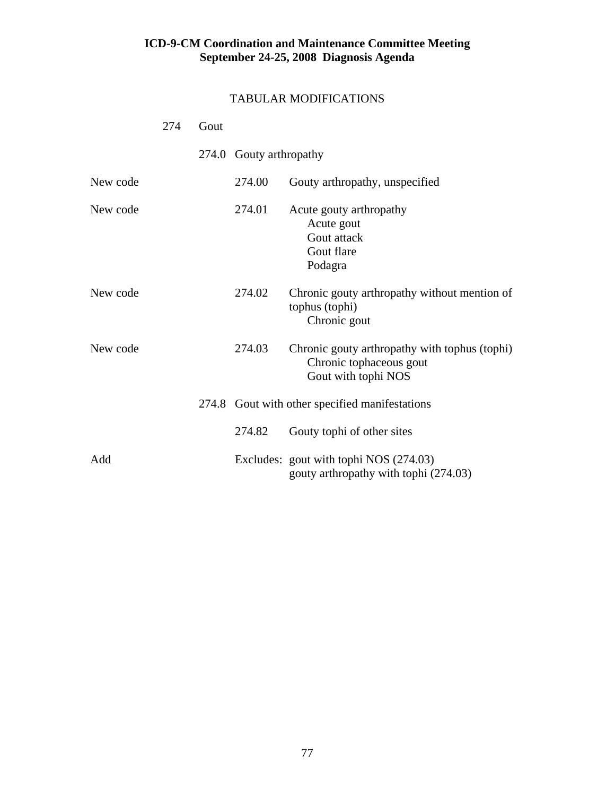|          | 274 | Gout |                         |                                                                                                 |
|----------|-----|------|-------------------------|-------------------------------------------------------------------------------------------------|
|          |     |      | 274.0 Gouty arthropathy |                                                                                                 |
| New code |     |      | 274.00                  | Gouty arthropathy, unspecified                                                                  |
| New code |     |      | 274.01                  | Acute gouty arthropathy<br>Acute gout<br>Gout attack<br>Gout flare<br>Podagra                   |
| New code |     |      | 274.02                  | Chronic gouty arthropathy without mention of<br>tophus (tophi)<br>Chronic gout                  |
| New code |     |      | 274.03                  | Chronic gouty arthropathy with tophus (tophi)<br>Chronic tophaceous gout<br>Gout with tophi NOS |
|          |     |      |                         | 274.8 Gout with other specified manifestations                                                  |
|          |     |      | 274.82                  | Gouty tophi of other sites                                                                      |
| Add      |     |      |                         | Excludes: gout with tophi NOS (274.03)<br>gouty arthropathy with tophi (274.03)                 |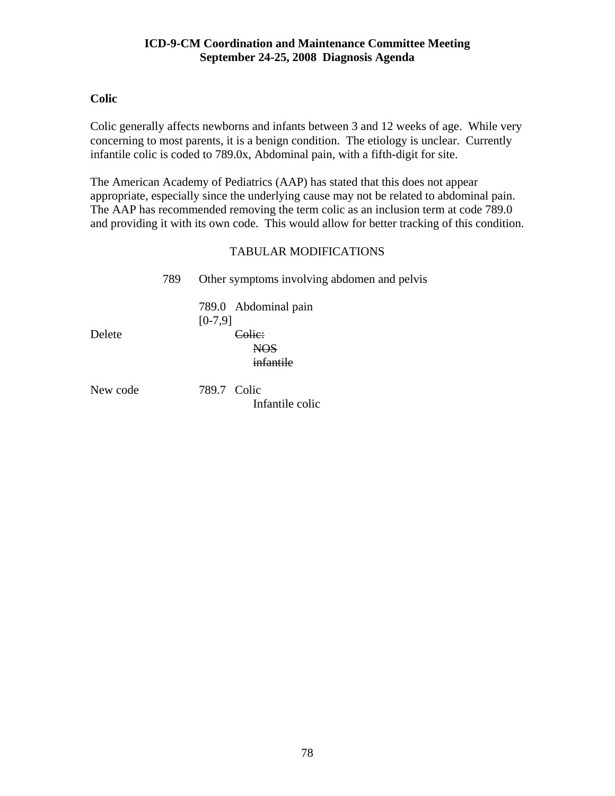# **Colic**

Colic generally affects newborns and infants between 3 and 12 weeks of age. While very concerning to most parents, it is a benign condition. The etiology is unclear. Currently infantile colic is coded to 789.0x, Abdominal pain, with a fifth-digit for site.

The American Academy of Pediatrics (AAP) has stated that this does not appear appropriate, especially since the underlying cause may not be related to abdominal pain. The AAP has recommended removing the term colic as an inclusion term at code 789.0 and providing it with its own code. This would allow for better tracking of this condition.

# TABULAR MODIFICATIONS

|          | 789 | Other symptoms involving abdomen and pelvis                     |
|----------|-----|-----------------------------------------------------------------|
| Delete   |     | 789.0 Abdominal pain<br>$[0-7,9]$<br><u>`olic`</u><br>infantile |
| New code |     | 789.7 Colic                                                     |

Infantile colic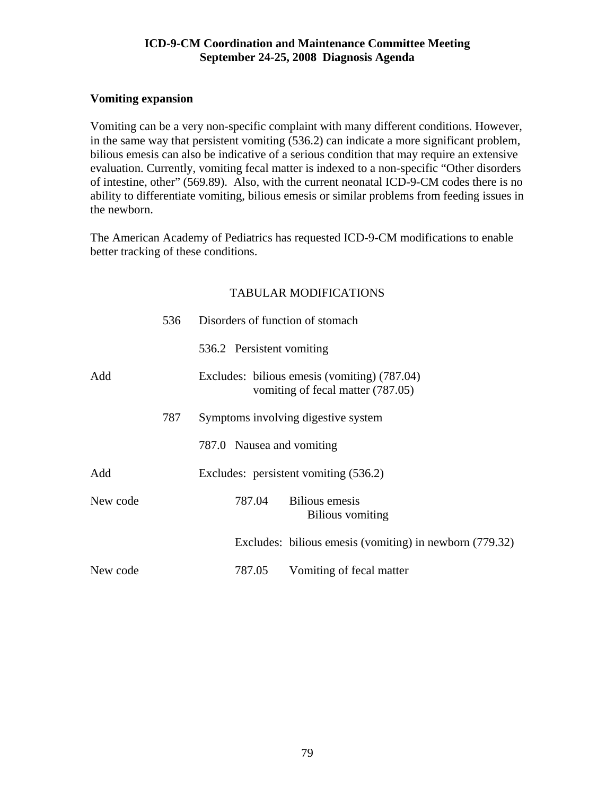## **Vomiting expansion**

Vomiting can be a very non-specific complaint with many different conditions. However, in the same way that persistent vomiting (536.2) can indicate a more significant problem, bilious emesis can also be indicative of a serious condition that may require an extensive evaluation. Currently, vomiting fecal matter is indexed to a non-specific "Other disorders of intestine, other" (569.89). Also, with the current neonatal ICD-9-CM codes there is no ability to differentiate vomiting, bilious emesis or similar problems from feeding issues in the newborn.

The American Academy of Pediatrics has requested ICD-9-CM modifications to enable better tracking of these conditions.

|          | 536 | Disorders of function of stomach                                                  |
|----------|-----|-----------------------------------------------------------------------------------|
|          |     | 536.2 Persistent vomiting                                                         |
| Add      |     | Excludes: bilious emesis (vomiting) (787.04)<br>vomiting of fecal matter (787.05) |
|          | 787 | Symptoms involving digestive system                                               |
|          |     | 787.0 Nausea and vomiting                                                         |
| Add      |     | Excludes: persistent vomiting (536.2)                                             |
| New code |     | <b>Bilious</b> emesis<br>787.04<br>Bilious vomiting                               |
|          |     | Excludes: bilious emesis (vomiting) in newborn (779.32)                           |
| New code |     | 787.05<br>Vomiting of fecal matter                                                |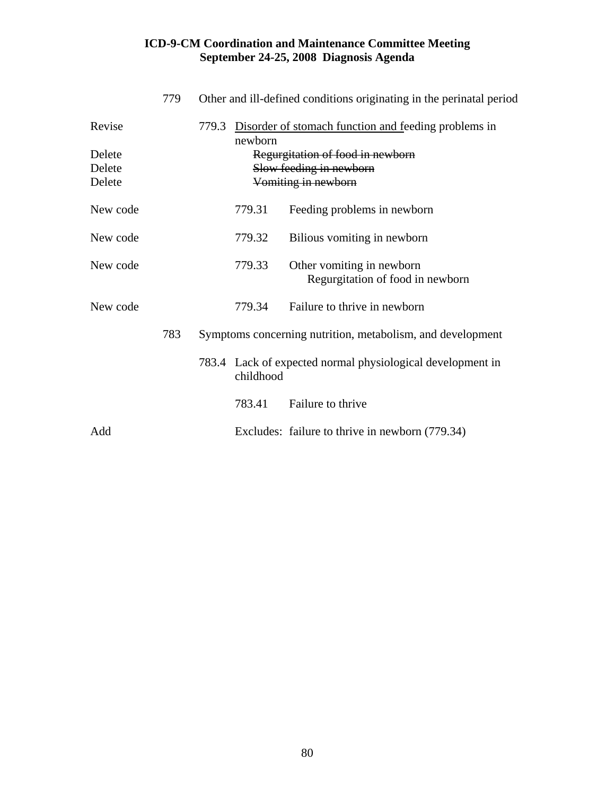|                            | 779 | Other and ill-defined conditions originating in the perinatal period     |           |                                                                                    |  |  |
|----------------------------|-----|--------------------------------------------------------------------------|-----------|------------------------------------------------------------------------------------|--|--|
| Revise                     |     | 779.3<br>Disorder of stomach function and feeding problems in<br>newborn |           |                                                                                    |  |  |
| Delete<br>Delete<br>Delete |     |                                                                          |           | Regurgitation of food in newborn<br>Slow feeding in newborn<br>Vomiting in newborn |  |  |
| New code                   |     |                                                                          | 779.31    | Feeding problems in newborn                                                        |  |  |
| New code                   |     |                                                                          | 779.32    | Bilious vomiting in newborn                                                        |  |  |
| New code                   |     |                                                                          | 779.33    | Other vomiting in newborn<br>Regurgitation of food in newborn                      |  |  |
| New code                   |     |                                                                          | 779.34    | Failure to thrive in newborn                                                       |  |  |
|                            | 783 |                                                                          |           | Symptoms concerning nutrition, metabolism, and development                         |  |  |
|                            |     |                                                                          | childhood | 783.4 Lack of expected normal physiological development in                         |  |  |
|                            |     |                                                                          | 783.41    | Failure to thrive                                                                  |  |  |
| Add                        |     |                                                                          |           | Excludes: failure to thrive in newborn (779.34)                                    |  |  |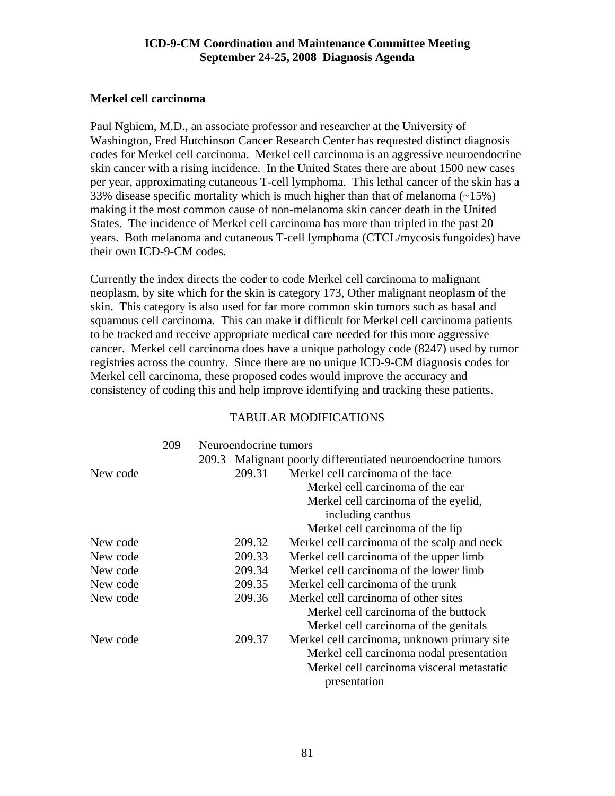## **Merkel cell carcinoma**

Paul Nghiem, M.D., an associate professor and researcher at the University of Washington, Fred Hutchinson Cancer Research Center has requested distinct diagnosis codes for Merkel cell carcinoma. Merkel cell carcinoma is an aggressive neuroendocrine skin cancer with a rising incidence. In the United States there are about 1500 new cases per year, approximating cutaneous T-cell lymphoma. This lethal cancer of the skin has a 33% disease specific mortality which is much higher than that of melanoma  $(\sim 15\%)$ making it the most common cause of non-melanoma skin cancer death in the United States. The incidence of Merkel cell carcinoma has more than tripled in the past 20 years. Both melanoma and cutaneous T-cell lymphoma (CTCL/mycosis fungoides) have their own ICD-9-CM codes.

Currently the index directs the coder to code Merkel cell carcinoma to malignant neoplasm, by site which for the skin is category 173, Other malignant neoplasm of the skin. This category is also used for far more common skin tumors such as basal and squamous cell carcinoma. This can make it difficult for Merkel cell carcinoma patients to be tracked and receive appropriate medical care needed for this more aggressive cancer. Merkel cell carcinoma does have a unique pathology code (8247) used by tumor registries across the country. Since there are no unique ICD-9-CM diagnosis codes for Merkel cell carcinoma, these proposed codes would improve the accuracy and consistency of coding this and help improve identifying and tracking these patients.

|          | 209 | Neuroendocrine tumors |                                                             |
|----------|-----|-----------------------|-------------------------------------------------------------|
|          |     |                       | 209.3 Malignant poorly differentiated neuroendocrine tumors |
| New code |     | 209.31                | Merkel cell carcinoma of the face                           |
|          |     |                       | Merkel cell carcinoma of the ear                            |
|          |     |                       | Merkel cell carcinoma of the eyelid,                        |
|          |     |                       | including canthus                                           |
|          |     |                       | Merkel cell carcinoma of the lip                            |
| New code |     | 209.32                | Merkel cell carcinoma of the scalp and neck                 |
| New code |     | 209.33                | Merkel cell carcinoma of the upper limb                     |
| New code |     | 209.34                | Merkel cell carcinoma of the lower limb                     |
| New code |     | 209.35                | Merkel cell carcinoma of the trunk                          |
| New code |     | 209.36                | Merkel cell carcinoma of other sites                        |
|          |     |                       | Merkel cell carcinoma of the buttock                        |
|          |     |                       | Merkel cell carcinoma of the genitals                       |
| New code |     | 209.37                | Merkel cell carcinoma, unknown primary site                 |
|          |     |                       | Merkel cell carcinoma nodal presentation                    |
|          |     |                       | Merkel cell carcinoma visceral metastatic                   |
|          |     |                       | presentation                                                |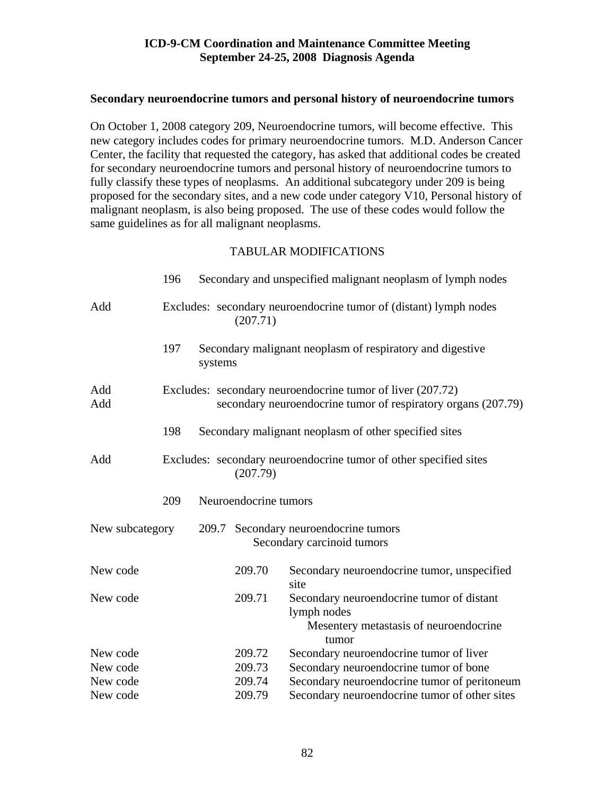#### **Secondary neuroendocrine tumors and personal history of neuroendocrine tumors**

On October 1, 2008 category 209, Neuroendocrine tumors, will become effective. This new category includes codes for primary neuroendocrine tumors. M.D. Anderson Cancer Center, the facility that requested the category, has asked that additional codes be created for secondary neuroendocrine tumors and personal history of neuroendocrine tumors to fully classify these types of neoplasms. An additional subcategory under 209 is being proposed for the secondary sites, and a new code under category V10, Personal history of malignant neoplasm, is also being proposed. The use of these codes would follow the same guidelines as for all malignant neoplasms.

|                 | 196 |                                                                               | Secondary and unspecified malignant neoplasm of lymph nodes |                                                                                                                             |  |  |  |  |
|-----------------|-----|-------------------------------------------------------------------------------|-------------------------------------------------------------|-----------------------------------------------------------------------------------------------------------------------------|--|--|--|--|
| Add             |     |                                                                               | (207.71)                                                    | Excludes: secondary neuroendocrine tumor of (distant) lymph nodes                                                           |  |  |  |  |
|                 | 197 | systems                                                                       |                                                             | Secondary malignant neoplasm of respiratory and digestive                                                                   |  |  |  |  |
| Add<br>Add      |     |                                                                               |                                                             | Excludes: secondary neuroendocrine tumor of liver (207.72)<br>secondary neuroendocrine tumor of respiratory organs (207.79) |  |  |  |  |
|                 | 198 |                                                                               |                                                             | Secondary malignant neoplasm of other specified sites                                                                       |  |  |  |  |
| Add             |     | Excludes: secondary neuroendocrine tumor of other specified sites<br>(207.79) |                                                             |                                                                                                                             |  |  |  |  |
|                 | 209 |                                                                               | Neuroendocrine tumors                                       |                                                                                                                             |  |  |  |  |
| New subcategory |     |                                                                               |                                                             | 209.7 Secondary neuroendocrine tumors<br>Secondary carcinoid tumors                                                         |  |  |  |  |
| New code        |     |                                                                               | 209.70                                                      | Secondary neuroendocrine tumor, unspecified<br>site                                                                         |  |  |  |  |
| New code        |     |                                                                               | 209.71                                                      | Secondary neuroendocrine tumor of distant<br>lymph nodes<br>Mesentery metastasis of neuroendocrine<br>tumor                 |  |  |  |  |
| New code        |     |                                                                               | 209.72                                                      | Secondary neuroendocrine tumor of liver                                                                                     |  |  |  |  |
| New code        |     |                                                                               | 209.73                                                      | Secondary neuroendocrine tumor of bone                                                                                      |  |  |  |  |
| New code        |     |                                                                               | 209.74                                                      | Secondary neuroendocrine tumor of peritoneum                                                                                |  |  |  |  |
| New code        |     |                                                                               | 209.79                                                      | Secondary neuroendocrine tumor of other sites                                                                               |  |  |  |  |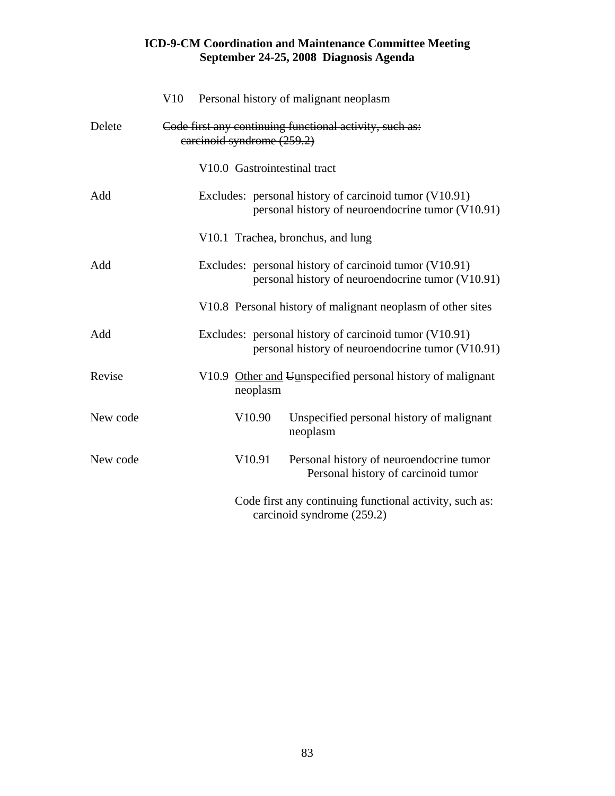|          | V10 |                            |          | Personal history of malignant neoplasm                                                                      |
|----------|-----|----------------------------|----------|-------------------------------------------------------------------------------------------------------------|
| Delete   |     | carcinoid syndrome (259.2) |          | Code first any continuing functional activity, such as:                                                     |
|          |     |                            |          | V10.0 Gastrointestinal tract                                                                                |
| Add      |     |                            |          | Excludes: personal history of carcinoid tumor (V10.91)<br>personal history of neuroendocrine tumor (V10.91) |
|          |     |                            |          | V10.1 Trachea, bronchus, and lung                                                                           |
| Add      |     |                            |          | Excludes: personal history of carcinoid tumor (V10.91)<br>personal history of neuroendocrine tumor (V10.91) |
|          |     |                            |          | V10.8 Personal history of malignant neoplasm of other sites                                                 |
| Add      |     |                            |          | Excludes: personal history of carcinoid tumor (V10.91)<br>personal history of neuroendocrine tumor (V10.91) |
| Revise   |     |                            | neoplasm | V10.9 Other and Uunspecified personal history of malignant                                                  |
| New code |     |                            | V10.90   | Unspecified personal history of malignant<br>neoplasm                                                       |
| New code |     |                            | V10.91   | Personal history of neuroendocrine tumor<br>Personal history of carcinoid tumor                             |
|          |     |                            |          | Code first any continuing functional activity, such as:<br>carcinoid syndrome (259.2)                       |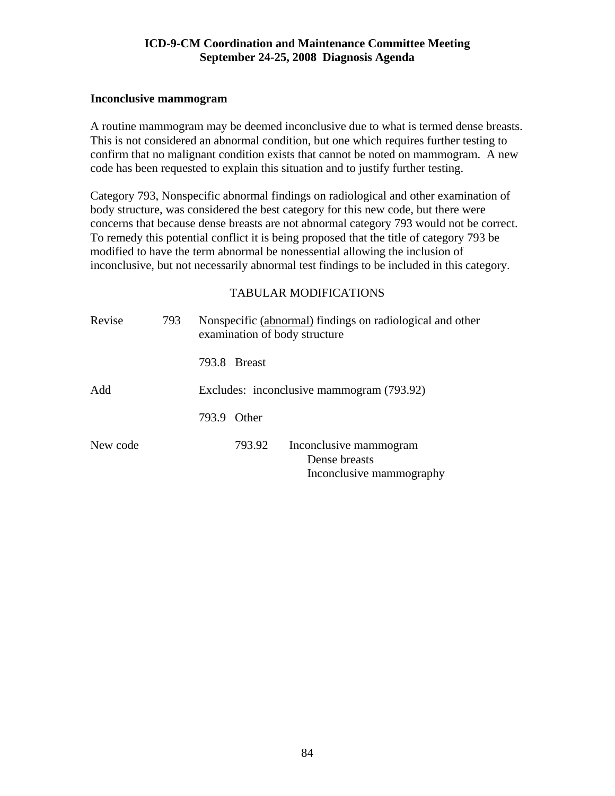#### **Inconclusive mammogram**

A routine mammogram may be deemed inconclusive due to what is termed dense breasts. This is not considered an abnormal condition, but one which requires further testing to confirm that no malignant condition exists that cannot be noted on mammogram. A new code has been requested to explain this situation and to justify further testing.

Category 793, Nonspecific abnormal findings on radiological and other examination of body structure, was considered the best category for this new code, but there were concerns that because dense breasts are not abnormal category 793 would not be correct. To remedy this potential conflict it is being proposed that the title of category 793 be modified to have the term abnormal be nonessential allowing the inclusion of inconclusive, but not necessarily abnormal test findings to be included in this category.

| Revise<br>793 |  |       |              | Nonspecific (abnormal) findings on radiological and other<br>examination of body structure |
|---------------|--|-------|--------------|--------------------------------------------------------------------------------------------|
|               |  |       | 793.8 Breast |                                                                                            |
| Add           |  |       |              | Excludes: inconclusive mammogram (793.92)                                                  |
|               |  | 793.9 | Other        |                                                                                            |
| New code      |  |       | 793.92       | Inconclusive mammogram<br>Dense breasts<br>Inconclusive mammography                        |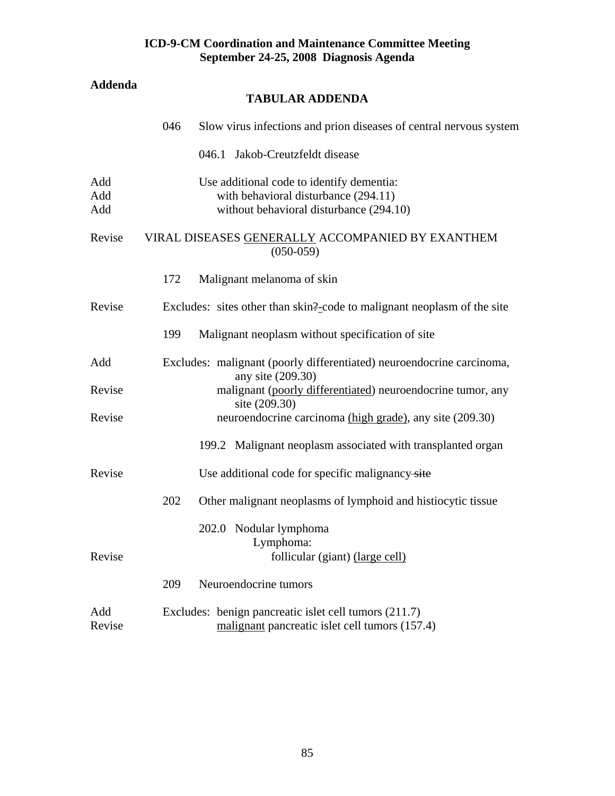# **Addenda**

# **TABULAR ADDENDA**

|                   | 046 | Slow virus infections and prion diseases of central nervous system                                                           |
|-------------------|-----|------------------------------------------------------------------------------------------------------------------------------|
|                   |     | 046.1 Jakob-Creutzfeldt disease                                                                                              |
| Add<br>Add<br>Add |     | Use additional code to identify dementia:<br>with behavioral disturbance (294.11)<br>without behavioral disturbance (294.10) |
| Revise            |     | VIRAL DISEASES GENERALLY ACCOMPANIED BY EXANTHEM<br>$(050-059)$                                                              |
|                   | 172 | Malignant melanoma of skin                                                                                                   |
| Revise            |     | Excludes: sites other than skin?-code to malignant neoplasm of the site                                                      |
|                   | 199 | Malignant neoplasm without specification of site                                                                             |
| Add               |     | Excludes: malignant (poorly differentiated) neuroendocrine carcinoma,<br>any site (209.30)                                   |
| Revise            |     | malignant (poorly differentiated) neuroendocrine tumor, any<br>site (209.30)                                                 |
| Revise            |     | neuroendocrine carcinoma (high grade), any site (209.30)                                                                     |
|                   |     | 199.2 Malignant neoplasm associated with transplanted organ                                                                  |
| Revise            |     | Use additional code for specific malignancy-site                                                                             |
|                   | 202 | Other malignant neoplasms of lymphoid and histiocytic tissue                                                                 |
|                   |     | 202.0 Nodular lymphoma<br>Lymphoma:                                                                                          |
| Revise            |     | follicular (giant) (large cell)                                                                                              |
|                   | 209 | Neuroendocrine tumors                                                                                                        |
| Add<br>Revise     |     | Excludes: benign pancreatic islet cell tumors (211.7)<br>malignant pancreatic islet cell tumors (157.4)                      |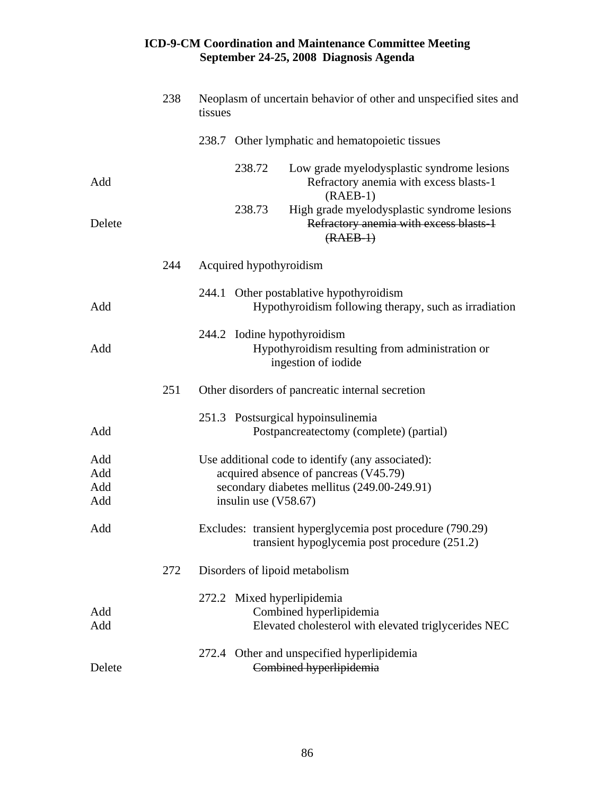|                          | 238 | Neoplasm of uncertain behavior of other and unspecified sites and<br>tissues                                                                                        |  |  |
|--------------------------|-----|---------------------------------------------------------------------------------------------------------------------------------------------------------------------|--|--|
|                          |     | 238.7 Other lymphatic and hematopoietic tissues                                                                                                                     |  |  |
| Add                      |     | 238.72<br>Low grade myelodysplastic syndrome lesions<br>Refractory anemia with excess blasts-1<br>$(RAEB-1)$                                                        |  |  |
| Delete                   |     | High grade myelodysplastic syndrome lesions<br>238.73<br>Refractory anemia with excess blasts-1<br>$(RAEB-1)$                                                       |  |  |
|                          | 244 | Acquired hypothyroidism                                                                                                                                             |  |  |
| Add                      |     | 244.1 Other postablative hypothyroidism<br>Hypothyroidism following therapy, such as irradiation                                                                    |  |  |
| Add                      |     | 244.2 Iodine hypothyroidism<br>Hypothyroidism resulting from administration or<br>ingestion of iodide                                                               |  |  |
|                          | 251 | Other disorders of pancreatic internal secretion                                                                                                                    |  |  |
| Add                      |     | 251.3 Postsurgical hypoinsulinemia<br>Postpancreatectomy (complete) (partial)                                                                                       |  |  |
| Add<br>Add<br>Add<br>Add |     | Use additional code to identify (any associated):<br>acquired absence of pancreas (V45.79)<br>secondary diabetes mellitus (249.00-249.91)<br>insulin use $(V58.67)$ |  |  |
| Add                      |     | Excludes: transient hyperglycemia post procedure (790.29)<br>transient hypoglycemia post procedure (251.2)                                                          |  |  |
|                          | 272 | Disorders of lipoid metabolism                                                                                                                                      |  |  |
| Add<br>Add               |     | 272.2 Mixed hyperlipidemia<br>Combined hyperlipidemia<br>Elevated cholesterol with elevated triglycerides NEC                                                       |  |  |
| Delete                   |     | 272.4 Other and unspecified hyperlipidemia<br>Combined hyperlipidemia                                                                                               |  |  |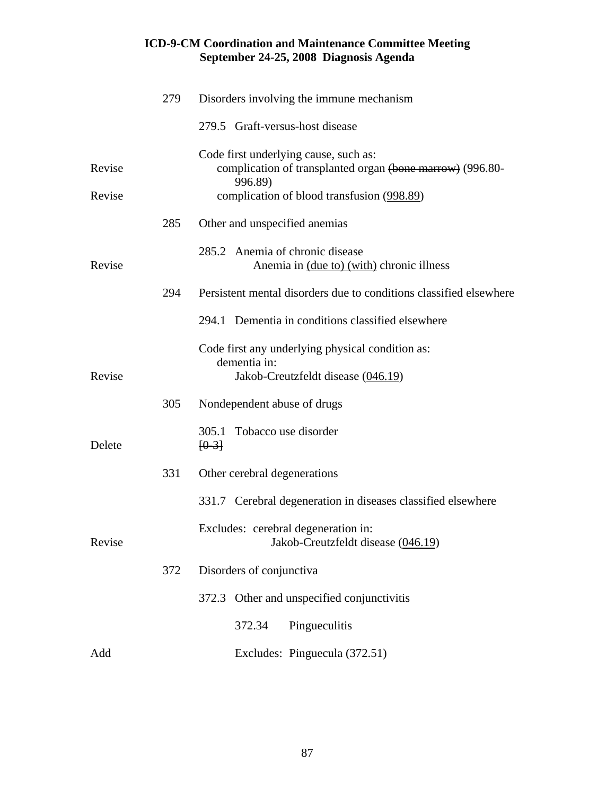|        | 279 | Disorders involving the immune mechanism                                                                      |
|--------|-----|---------------------------------------------------------------------------------------------------------------|
|        |     | 279.5 Graft-versus-host disease                                                                               |
| Revise |     | Code first underlying cause, such as:<br>complication of transplanted organ (bone marrow) (996.80-<br>996.89) |
| Revise |     | complication of blood transfusion (998.89)                                                                    |
|        | 285 | Other and unspecified anemias                                                                                 |
| Revise |     | 285.2 Anemia of chronic disease<br>Anemia in (due to) (with) chronic illness                                  |
|        | 294 | Persistent mental disorders due to conditions classified elsewhere                                            |
|        |     | 294.1 Dementia in conditions classified elsewhere                                                             |
| Revise |     | Code first any underlying physical condition as:<br>dementia in:<br>Jakob-Creutzfeldt disease (046.19)        |
|        | 305 | Nondependent abuse of drugs                                                                                   |
| Delete |     | 305.1 Tobacco use disorder<br>$[0-3]$                                                                         |
|        | 331 | Other cerebral degenerations                                                                                  |
|        |     | 331.7 Cerebral degeneration in diseases classified elsewhere                                                  |
| Revise |     | Excludes: cerebral degeneration in:<br>Jakob-Creutzfeldt disease (046.19)                                     |
|        | 372 | Disorders of conjunctiva                                                                                      |
|        |     | 372.3 Other and unspecified conjunctivitis                                                                    |
|        |     | Pingueculitis<br>372.34                                                                                       |
| Add    |     | Excludes: Pinguecula (372.51)                                                                                 |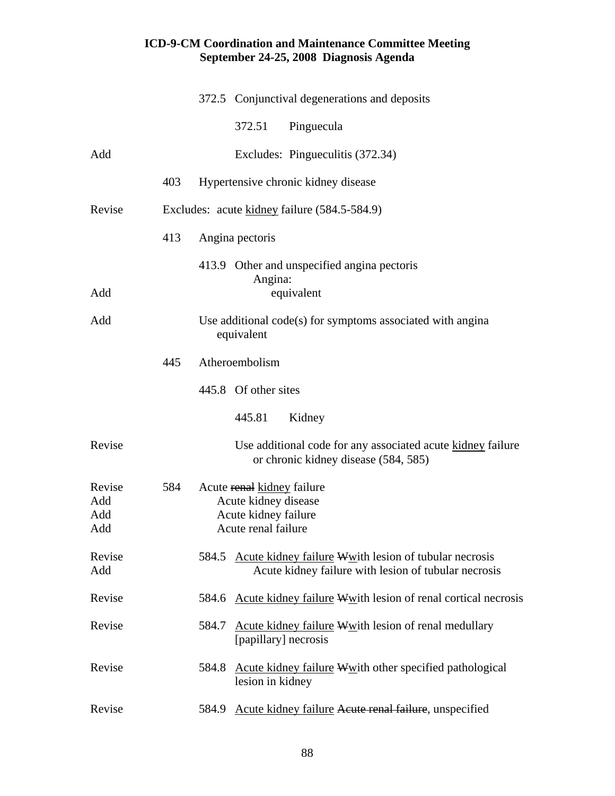|                             |     | 372.5 Conjunctival degenerations and deposits                                                                       |
|-----------------------------|-----|---------------------------------------------------------------------------------------------------------------------|
|                             |     | 372.51<br>Pinguecula                                                                                                |
| Add                         |     | Excludes: Pingueculitis (372.34)                                                                                    |
|                             | 403 | Hypertensive chronic kidney disease                                                                                 |
| Revise                      |     | Excludes: acute kidney failure (584.5-584.9)                                                                        |
|                             | 413 | Angina pectoris                                                                                                     |
| Add                         |     | 413.9 Other and unspecified angina pectoris<br>Angina:<br>equivalent                                                |
| Add                         |     | Use additional code(s) for symptoms associated with angina<br>equivalent                                            |
|                             | 445 | Atheroembolism                                                                                                      |
|                             |     | 445.8 Of other sites                                                                                                |
|                             |     | Kidney<br>445.81                                                                                                    |
| Revise                      |     | Use additional code for any associated acute kidney failure<br>or chronic kidney disease (584, 585)                 |
| Revise<br>Add<br>Add<br>Add | 584 | Acute renal kidney failure<br>Acute kidney disease<br>Acute kidney failure<br>Acute renal failure                   |
| Revise<br>Add               |     | 584.5 Acute kidney failure Wwith lesion of tubular necrosis<br>Acute kidney failure with lesion of tubular necrosis |
| Revise                      |     | 584.6 Acute kidney failure Wwith lesion of renal cortical necrosis                                                  |
| Revise                      |     | Acute kidney failure Wwith lesion of renal medullary<br>584.7<br>[papillary] necrosis                               |
| Revise                      |     | Acute kidney failure Wwith other specified pathological<br>584.8<br>lesion in kidney                                |
| Revise                      |     | Acute kidney failure Acute renal failure, unspecified<br>584.9                                                      |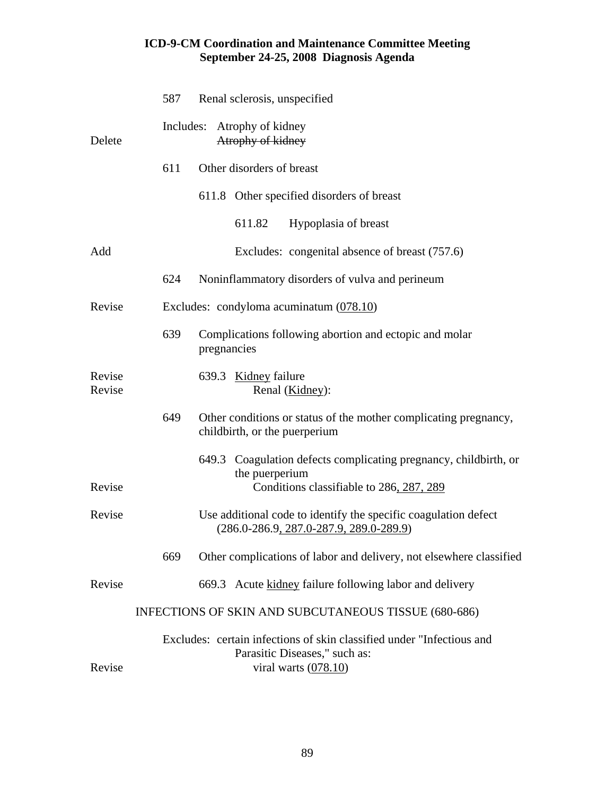|                  | 587 | Renal sclerosis, unspecified                                                                                                     |
|------------------|-----|----------------------------------------------------------------------------------------------------------------------------------|
| Delete           |     | Includes: Atrophy of kidney<br>Atrophy of kidney                                                                                 |
|                  | 611 | Other disorders of breast                                                                                                        |
|                  |     | 611.8 Other specified disorders of breast                                                                                        |
|                  |     | 611.82<br>Hypoplasia of breast                                                                                                   |
| Add              |     | Excludes: congenital absence of breast (757.6)                                                                                   |
|                  | 624 | Noninflammatory disorders of vulva and perineum                                                                                  |
| Revise           |     | Excludes: condyloma acuminatum $(078.10)$                                                                                        |
|                  | 639 | Complications following abortion and ectopic and molar<br>pregnancies                                                            |
| Revise<br>Revise |     | 639.3 Kidney failure<br>Renal (Kidney):                                                                                          |
|                  | 649 | Other conditions or status of the mother complicating pregnancy,<br>childbirth, or the puerperium                                |
|                  |     | Coagulation defects complicating pregnancy, childbirth, or<br>649.3<br>the puerperium                                            |
| Revise           |     | Conditions classifiable to 286, 287, 289                                                                                         |
| Revise           |     | Use additional code to identify the specific coagulation defect<br>$(286.0 - 286.9, 287.0 - 287.9, 289.0 - 289.9)$               |
|                  | 669 | Other complications of labor and delivery, not elsewhere classified                                                              |
| Revise           |     | 669.3 Acute kidney failure following labor and delivery                                                                          |
|                  |     | INFECTIONS OF SKIN AND SUBCUTANEOUS TISSUE (680-686)                                                                             |
| Revise           |     | Excludes: certain infections of skin classified under "Infectious and<br>Parasitic Diseases," such as:<br>viral warts $(078.10)$ |
|                  |     |                                                                                                                                  |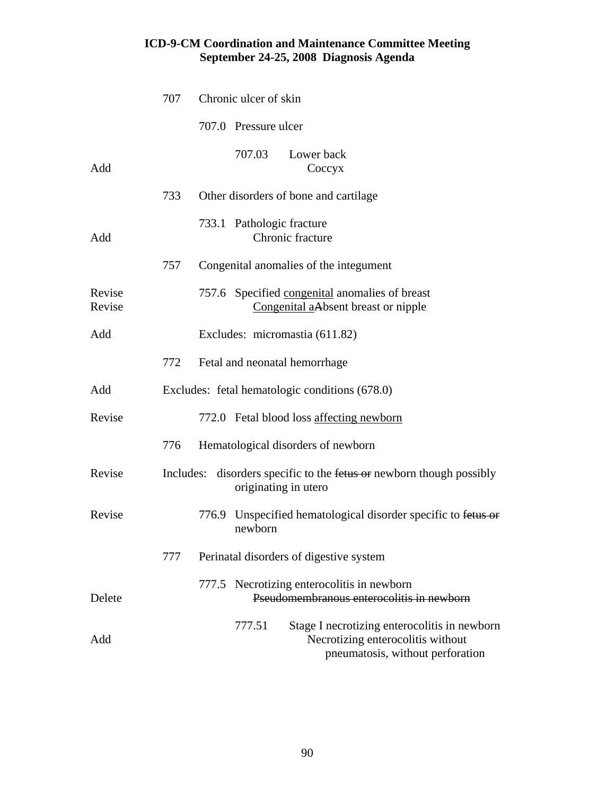|                  | 707 | Chronic ulcer of skin                                                                                                           |
|------------------|-----|---------------------------------------------------------------------------------------------------------------------------------|
|                  |     | 707.0 Pressure ulcer                                                                                                            |
| Add              |     | 707.03<br>Lower back<br>Coccyx                                                                                                  |
|                  | 733 | Other disorders of bone and cartilage                                                                                           |
| Add              |     | 733.1 Pathologic fracture<br>Chronic fracture                                                                                   |
|                  | 757 | Congenital anomalies of the integument                                                                                          |
| Revise<br>Revise |     | 757.6 Specified congenital anomalies of breast<br>Congenital aAbsent breast or nipple                                           |
| Add              |     | Excludes: micromastia (611.82)                                                                                                  |
|                  | 772 | Fetal and neonatal hemorrhage                                                                                                   |
| Add              |     | Excludes: fetal hematologic conditions (678.0)                                                                                  |
| Revise           |     | 772.0 Fetal blood loss affecting newborn                                                                                        |
|                  | 776 | Hematological disorders of newborn                                                                                              |
| Revise           |     | Includes: disorders specific to the fetus or newborn though possibly<br>originating in utero                                    |
| Revise           |     | 776.9 Unspecified hematological disorder specific to fetus or<br>newborn                                                        |
|                  | 777 | Perinatal disorders of digestive system                                                                                         |
| Delete           |     | 777.5 Necrotizing enterocolitis in newborn<br>Pseudomembranous enterocolitis in newborn                                         |
| Add              |     | Stage I necrotizing enterocolitis in newborn<br>777.51<br>Necrotizing enterocolitis without<br>pneumatosis, without perforation |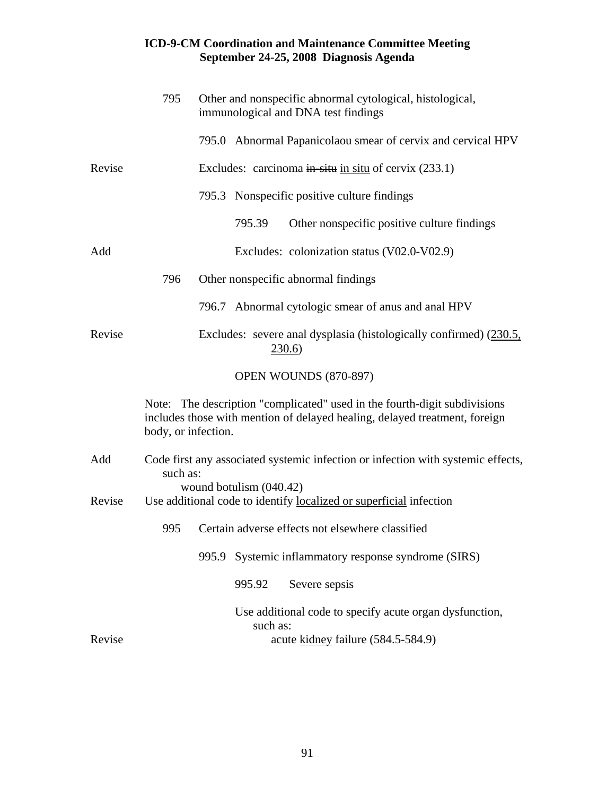|        | 795                 | Other and nonspecific abnormal cytological, histological,<br>immunological and DNA test findings                                                        |
|--------|---------------------|---------------------------------------------------------------------------------------------------------------------------------------------------------|
|        |                     | 795.0 Abnormal Papanicolaou smear of cervix and cervical HPV                                                                                            |
| Revise |                     | Excludes: carcinoma in-situ in situ of cervix $(233.1)$                                                                                                 |
|        |                     | 795.3 Nonspecific positive culture findings                                                                                                             |
|        |                     | 795.39<br>Other nonspecific positive culture findings                                                                                                   |
| Add    |                     | Excludes: colonization status (V02.0-V02.9)                                                                                                             |
|        | 796                 | Other nonspecific abnormal findings                                                                                                                     |
|        |                     | 796.7 Abnormal cytologic smear of anus and anal HPV                                                                                                     |
| Revise |                     | Excludes: severe anal dysplasia (histologically confirmed) (230.5,<br>230.6)                                                                            |
|        |                     | OPEN WOUNDS (870-897)                                                                                                                                   |
|        | body, or infection. | Note: The description "complicated" used in the fourth-digit subdivisions<br>includes those with mention of delayed healing, delayed treatment, foreign |
| Add    | such as:            | Code first any associated systemic infection or infection with systemic effects,                                                                        |
| Revise |                     | wound botulism (040.42)<br>Use additional code to identify localized or superficial infection                                                           |
|        | 995                 | Certain adverse effects not elsewhere classified                                                                                                        |
|        |                     | Systemic inflammatory response syndrome (SIRS)<br>995.9                                                                                                 |
|        |                     | Severe sepsis<br>995.92                                                                                                                                 |
|        |                     | Use additional code to specify acute organ dysfunction,<br>such as:                                                                                     |
| Revise |                     | acute kidney failure (584.5-584.9)                                                                                                                      |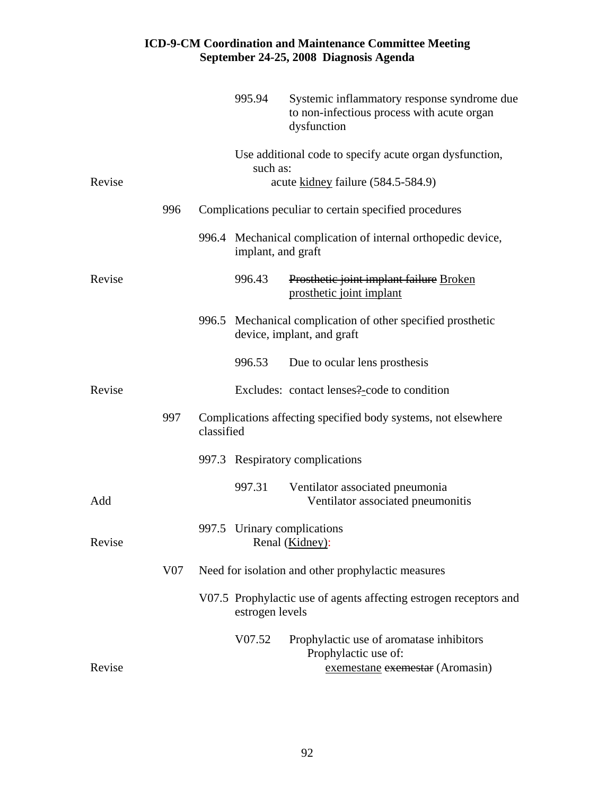|        |     |            | 995.94             | Systemic inflammatory response syndrome due<br>to non-infectious process with acute organ<br>dysfunction |
|--------|-----|------------|--------------------|----------------------------------------------------------------------------------------------------------|
| Revise |     |            | such as:           | Use additional code to specify acute organ dysfunction,<br>acute kidney failure (584.5-584.9)            |
|        | 996 |            |                    | Complications peculiar to certain specified procedures                                                   |
|        |     |            |                    |                                                                                                          |
|        |     |            | implant, and graft | 996.4 Mechanical complication of internal orthopedic device,                                             |
| Revise |     |            | 996.43             | Prosthetic joint implant failure Broken<br>prosthetic joint implant                                      |
|        |     |            |                    | 996.5 Mechanical complication of other specified prosthetic<br>device, implant, and graft                |
|        |     |            | 996.53             | Due to ocular lens prosthesis                                                                            |
| Revise |     |            |                    | Excludes: contact lenses?-code to condition                                                              |
|        | 997 | classified |                    | Complications affecting specified body systems, not elsewhere                                            |
|        |     |            |                    | 997.3 Respiratory complications                                                                          |
| Add    |     |            | 997.31             | Ventilator associated pneumonia<br>Ventilator associated pneumonitis                                     |
| Revise |     |            |                    | 997.5 Urinary complications<br>Renal (Kidney):                                                           |
|        | V07 |            |                    | Need for isolation and other prophylactic measures                                                       |
|        |     |            | estrogen levels    | V07.5 Prophylactic use of agents affecting estrogen receptors and                                        |
|        |     |            | V07.52             | Prophylactic use of aromatase inhibitors<br>Prophylactic use of:                                         |
| Revise |     |            |                    | exemestane exemestar (Aromasin)                                                                          |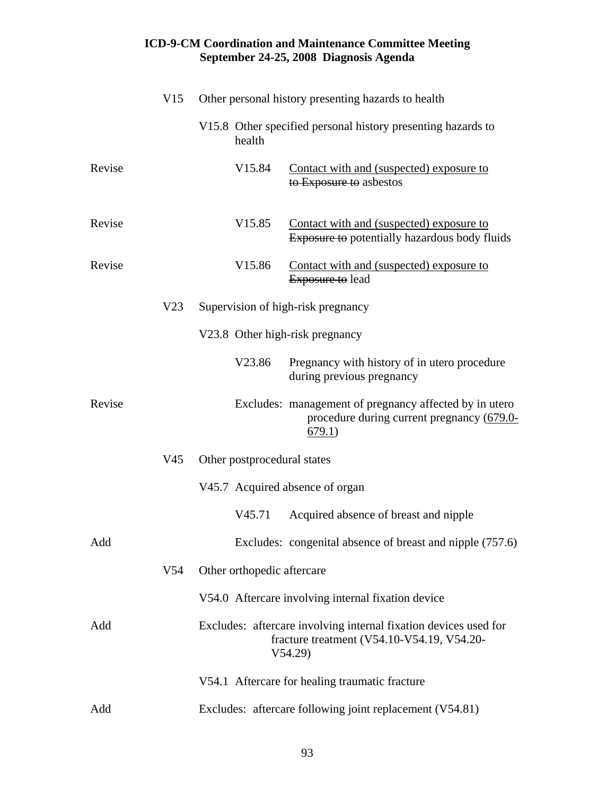|        | V15             |                             | Other personal history presenting hazards to health                                                                      |
|--------|-----------------|-----------------------------|--------------------------------------------------------------------------------------------------------------------------|
|        |                 | health                      | V15.8 Other specified personal history presenting hazards to                                                             |
| Revise |                 | V <sub>15.84</sub>          | Contact with and (suspected) exposure to<br>to Exposure to asbestos                                                      |
| Revise |                 | V <sub>15.85</sub>          | Contact with and (suspected) exposure to<br><b>Exposure to potentially hazardous body fluids</b>                         |
| Revise |                 | V <sub>15.86</sub>          | Contact with and (suspected) exposure to<br><b>Exposure to lead</b>                                                      |
|        | V <sub>23</sub> |                             | Supervision of high-risk pregnancy                                                                                       |
|        |                 |                             | V23.8 Other high-risk pregnancy                                                                                          |
|        |                 | V23.86                      | Pregnancy with history of in utero procedure<br>during previous pregnancy                                                |
| Revise |                 |                             | Excludes: management of pregnancy affected by in utero<br>procedure during current pregnancy (679.0-<br>679.1)           |
|        | V45             | Other postprocedural states |                                                                                                                          |
|        |                 |                             | V45.7 Acquired absence of organ                                                                                          |
|        |                 | V <sub>45.71</sub>          | Acquired absence of breast and nipple                                                                                    |
| Add    |                 |                             | Excludes: congenital absence of breast and nipple (757.6)                                                                |
|        | V <sub>54</sub> | Other orthopedic aftercare  |                                                                                                                          |
|        |                 |                             | V54.0 Aftercare involving internal fixation device                                                                       |
| Add    |                 |                             | Excludes: aftercare involving internal fixation devices used for<br>fracture treatment (V54.10-V54.19, V54.20-<br>V54.29 |
|        |                 |                             | V54.1 Aftercare for healing traumatic fracture                                                                           |
| Add    |                 |                             | Excludes: aftercare following joint replacement (V54.81)                                                                 |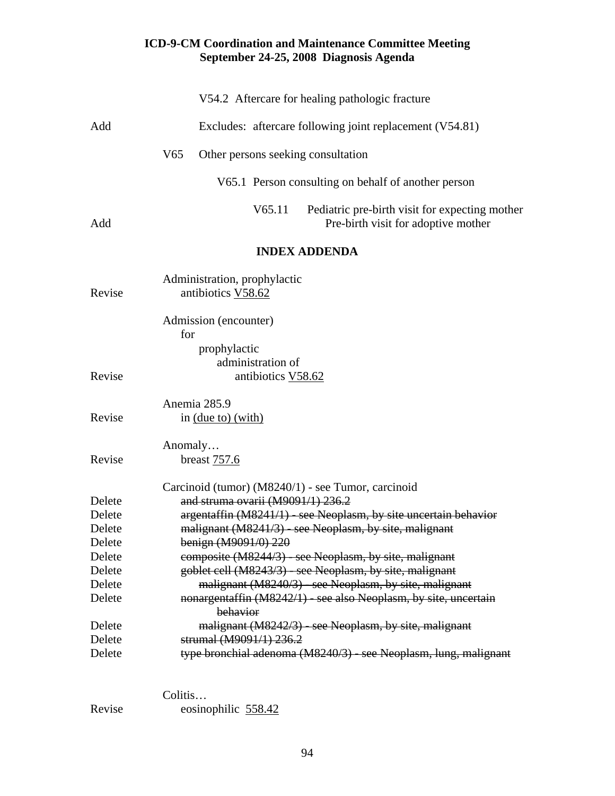|        | V54.2 Aftercare for healing pathologic fracture                                                 |
|--------|-------------------------------------------------------------------------------------------------|
| Add    | Excludes: aftercare following joint replacement (V54.81)                                        |
|        | V <sub>65</sub><br>Other persons seeking consultation                                           |
|        | V65.1 Person consulting on behalf of another person                                             |
| Add    | V65.11<br>Pediatric pre-birth visit for expecting mother<br>Pre-birth visit for adoptive mother |
|        | <b>INDEX ADDENDA</b>                                                                            |
| Revise | Administration, prophylactic<br>antibiotics V58.62                                              |
|        | Admission (encounter)<br>for<br>prophylactic                                                    |
|        | administration of                                                                               |
| Revise | antibiotics V58.62                                                                              |
|        | Anemia 285.9                                                                                    |
| Revise | in (due to) (with)                                                                              |
| Revise | Anomaly<br>breast 757.6                                                                         |
|        | Carcinoid (tumor) (M8240/1) - see Tumor, carcinoid                                              |
| Delete | and struma ovarii (M9091/1) 236.2                                                               |
| Delete | argentaffin (M8241/1) - see Neoplasm, by site uncertain behavior                                |
| Delete | malignant (M8241/3) - see Neoplasm, by site, malignant                                          |
| Delete | benign (M9091/0) 220                                                                            |
| Delete | composite (M8244/3) - see Neoplasm, by site, malignant                                          |
| Delete | goblet cell (M8243/3) - see Neoplasm, by site, malignant                                        |
| Delete | malignant (M8240/3) - see Neoplasm, by site, malignant                                          |
| Delete | nonargentaffin (M8242/1) - see also Neoplasm, by site, uncertain<br>behavior                    |
| Delete | malignant (M8242/3) - see Neoplasm, by site, malignant                                          |
| Delete | strumal (M9091/1) 236.2                                                                         |
| Delete | type bronchial adenoma (M8240/3) - see Neoplasm, lung, malignant                                |
|        |                                                                                                 |

Colitis...<br>Revise eosine eosinophilic 558.42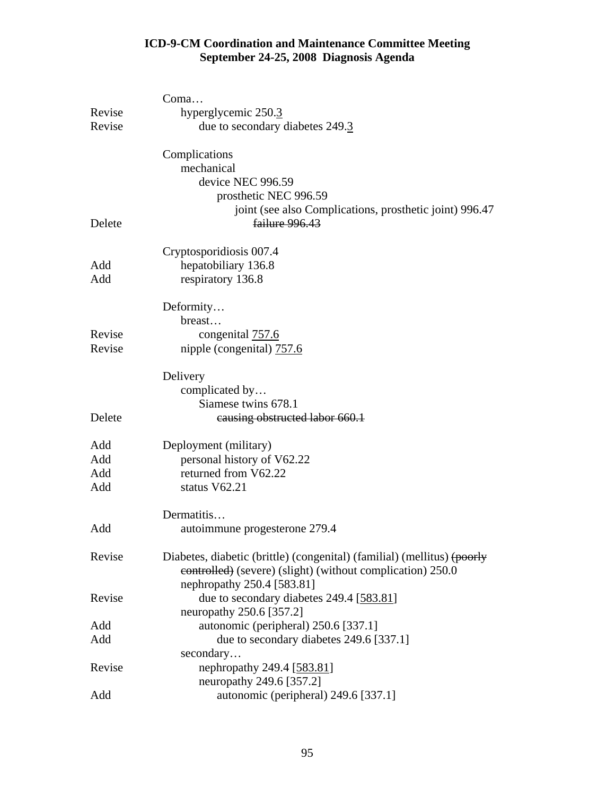|        | Coma                                                                    |
|--------|-------------------------------------------------------------------------|
| Revise | hyperglycemic 250.3                                                     |
| Revise | due to secondary diabetes 249.3                                         |
|        | Complications                                                           |
|        | mechanical                                                              |
|        | device NEC 996.59                                                       |
|        | prosthetic NEC 996.59                                                   |
|        | joint (see also Complications, prosthetic joint) 996.47                 |
| Delete | failure 996.43                                                          |
|        | Cryptosporidiosis 007.4                                                 |
| Add    | hepatobiliary 136.8                                                     |
| Add    | respiratory 136.8                                                       |
|        | Deformity                                                               |
|        | breast                                                                  |
| Revise | congenital 757.6                                                        |
| Revise | nipple (congenital) 757.6                                               |
|        | Delivery                                                                |
|        | complicated by                                                          |
|        | Siamese twins 678.1                                                     |
| Delete | causing obstructed labor 660.1                                          |
| Add    | Deployment (military)                                                   |
| Add    | personal history of V62.22                                              |
| Add    | returned from V62.22                                                    |
| Add    | status V62.21                                                           |
|        | Dermatitis                                                              |
| Add    | autoimmune progesterone 279.4                                           |
| Revise | Diabetes, diabetic (brittle) (congenital) (familial) (mellitus) (poorly |
|        | eontrolled) (severe) (slight) (without complication) 250.0              |
|        | nephropathy 250.4 [583.81]                                              |
| Revise | due to secondary diabetes 249.4 [583.81]<br>neuropathy 250.6 [357.2]    |
| Add    | autonomic (peripheral) 250.6 [337.1]                                    |
|        |                                                                         |
| Add    | due to secondary diabetes 249.6 [337.1]<br>secondary                    |
| Revise | nephropathy 249.4 [583.81]                                              |
|        | neuropathy 249.6 [357.2]                                                |
| Add    | autonomic (peripheral) 249.6 [337.1]                                    |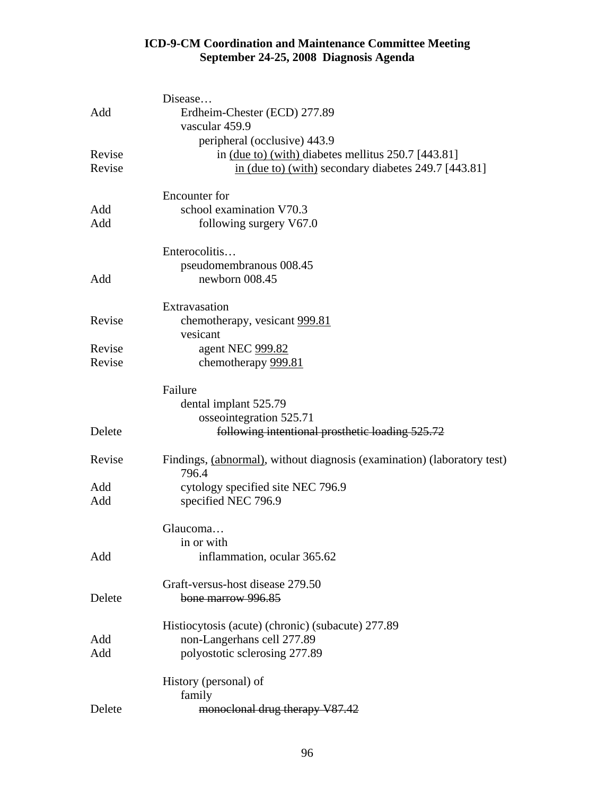|        | Disease                                                                                |
|--------|----------------------------------------------------------------------------------------|
| Add    | Erdheim-Chester (ECD) 277.89                                                           |
|        | vascular 459.9                                                                         |
|        | peripheral (occlusive) 443.9                                                           |
| Revise | in (due to) (with) diabetes mellitus 250.7 [443.81]                                    |
| Revise | in (due to) (with) secondary diabetes 249.7 [443.81]                                   |
|        |                                                                                        |
|        | <b>Encounter</b> for                                                                   |
| Add    | school examination V70.3                                                               |
| Add    | following surgery V67.0                                                                |
|        |                                                                                        |
|        | Enterocolitis                                                                          |
|        | pseudomembranous 008.45                                                                |
| Add    | newborn 008.45                                                                         |
|        |                                                                                        |
|        | Extravasation                                                                          |
| Revise | chemotherapy, vesicant 999.81                                                          |
|        | vesicant                                                                               |
| Revise | agent NEC 999.82                                                                       |
| Revise | chemotherapy 999.81                                                                    |
|        |                                                                                        |
|        | Failure                                                                                |
|        | dental implant 525.79                                                                  |
|        | osseointegration 525.71                                                                |
| Delete | following intentional prosthetic loading 525.72                                        |
|        |                                                                                        |
| Revise | Findings, <i>(abnormal)</i> , without diagnosis <i>(examination) (laboratory test)</i> |
|        | 796.4                                                                                  |
| Add    | cytology specified site NEC 796.9                                                      |
| Add    | specified NEC 796.9                                                                    |
|        |                                                                                        |
|        | Glaucoma                                                                               |
|        | in or with                                                                             |
| Add    | inflammation, ocular 365.62                                                            |
|        |                                                                                        |
|        | Graft-versus-host disease 279.50                                                       |
| Delete | bone marrow 996.85                                                                     |
|        |                                                                                        |
|        | Histiocytosis (acute) (chronic) (subacute) 277.89                                      |
| Add    | non-Langerhans cell 277.89                                                             |
| Add    | polyostotic sclerosing 277.89                                                          |
|        |                                                                                        |
|        | History (personal) of<br>family                                                        |
| Delete |                                                                                        |
|        | monoclonal drug therapy V87.42                                                         |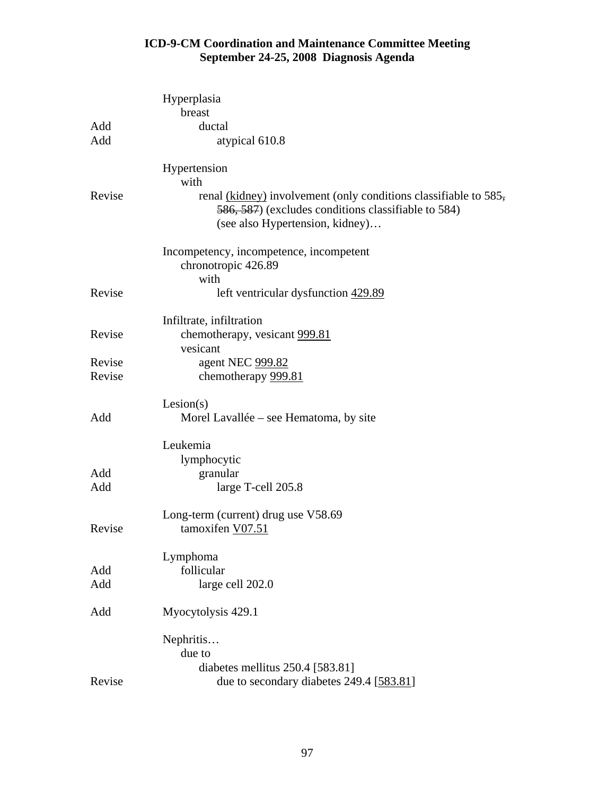|        | Hyperplasia                                                                                                             |
|--------|-------------------------------------------------------------------------------------------------------------------------|
|        | breast                                                                                                                  |
| Add    | ductal                                                                                                                  |
| Add    | atypical 610.8                                                                                                          |
|        | Hypertension                                                                                                            |
|        | with                                                                                                                    |
| Revise | renal (kidney) involvement (only conditions classifiable to 585,<br>586, 587) (excludes conditions classifiable to 584) |
|        | (see also Hypertension, kidney)                                                                                         |
|        | Incompetency, incompetence, incompetent                                                                                 |
|        | chronotropic 426.89                                                                                                     |
|        | with                                                                                                                    |
| Revise | left ventricular dysfunction 429.89                                                                                     |
|        | Infiltrate, infiltration                                                                                                |
| Revise | chemotherapy, vesicant 999.81                                                                                           |
|        | vesicant                                                                                                                |
| Revise | agent NEC 999.82                                                                                                        |
| Revise | chemotherapy 999.81                                                                                                     |
|        | Lesion(s)                                                                                                               |
| Add    | Morel Lavallée – see Hematoma, by site                                                                                  |
|        | Leukemia                                                                                                                |
|        | lymphocytic                                                                                                             |
| Add    | granular                                                                                                                |
| Add    | large T-cell 205.8                                                                                                      |
|        | Long-term (current) drug use V58.69                                                                                     |
| Revise | tamoxifen V07.51                                                                                                        |
|        | Lymphoma                                                                                                                |
| Add    | follicular                                                                                                              |
| Add    | large cell 202.0                                                                                                        |
|        |                                                                                                                         |
| Add    | Myocytolysis 429.1                                                                                                      |
|        | Nephritis                                                                                                               |
|        | due to                                                                                                                  |
|        | diabetes mellitus 250.4 [583.81]                                                                                        |
| Revise | due to secondary diabetes 249.4 [583.81]                                                                                |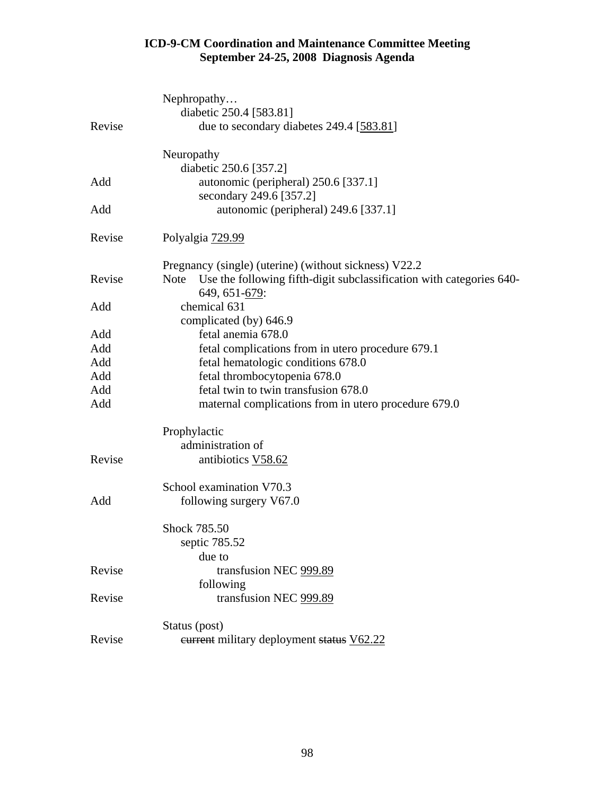|        | Nephropathy                                                                         |
|--------|-------------------------------------------------------------------------------------|
|        | diabetic 250.4 [583.81]                                                             |
| Revise | due to secondary diabetes 249.4 [583.81]                                            |
|        | Neuropathy                                                                          |
|        | diabetic 250.6 [357.2]                                                              |
| Add    | autonomic (peripheral) 250.6 [337.1]                                                |
|        | secondary 249.6 [357.2]                                                             |
| Add    | autonomic (peripheral) 249.6 [337.1]                                                |
| Revise | Polyalgia 729.99                                                                    |
|        | Pregnancy (single) (uterine) (without sickness) V22.2                               |
| Revise | <b>Note</b><br>Use the following fifth-digit subclassification with categories 640- |
|        | 649, 651-679:                                                                       |
| Add    | chemical 631                                                                        |
|        | complicated (by) 646.9                                                              |
| Add    | fetal anemia 678.0                                                                  |
| Add    | fetal complications from in utero procedure 679.1                                   |
| Add    | fetal hematologic conditions 678.0                                                  |
| Add    | fetal thrombocytopenia 678.0                                                        |
| Add    | fetal twin to twin transfusion 678.0                                                |
| Add    | maternal complications from in utero procedure 679.0                                |
|        | Prophylactic                                                                        |
|        | administration of                                                                   |
| Revise | antibiotics V58.62                                                                  |
|        | School examination V70.3                                                            |
| Add    | following surgery V67.0                                                             |
|        | Shock 785.50                                                                        |
|        | septic 785.52                                                                       |
|        | due to                                                                              |
| Revise | transfusion NEC 999.89                                                              |
|        | following                                                                           |
| Revise | transfusion NEC 999.89                                                              |
|        | Status (post)                                                                       |
| Revise | eurrent military deployment status V62.22                                           |